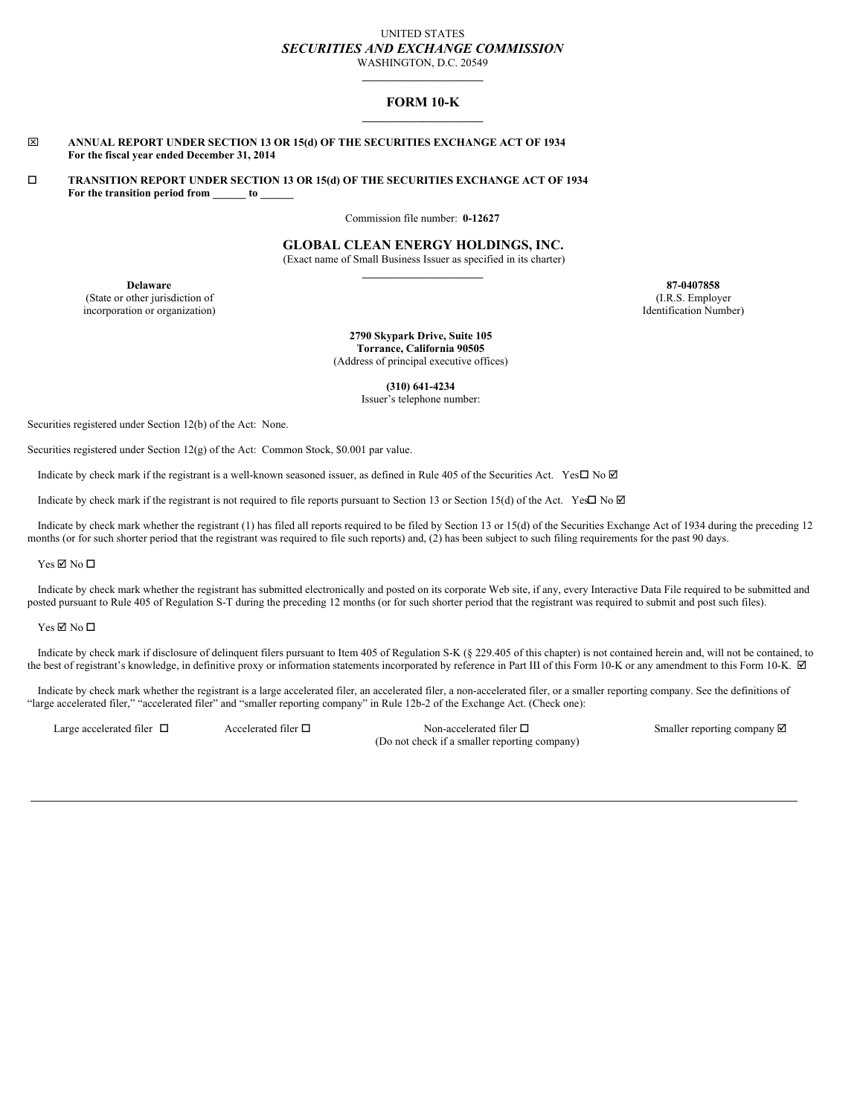## UNITED STATES *SECURITIES AND EXCHANGE COMMISSION* WASHINGTON, D.C. 20549

**\_\_\_\_\_\_\_\_\_\_\_\_\_\_\_\_\_\_\_\_\_\_**

# **FORM 10-K \_\_\_\_\_\_\_\_\_\_\_\_\_\_\_\_\_\_\_\_\_\_**

### x **ANNUAL REPORT UNDER SECTION 13 OR 15(d) OF THE SECURITIES EXCHANGE ACT OF 1934 For the fiscal year ended December 31, 2014**

o **TRANSITION REPORT UNDER SECTION 13 OR 15(d) OF THE SECURITIES EXCHANGE ACT OF 1934 For the transition period from \_\_\_\_\_\_ to \_\_\_\_\_\_**

Commission file number: **0-12627**

## **GLOBAL CLEAN ENERGY HOLDINGS, INC.**

(Exact name of Small Business Issuer as specified in its charter) **\_\_\_\_\_\_\_\_\_\_\_\_\_\_\_\_\_\_\_\_\_\_**

**Delaware 87-0407858** (State or other jurisdiction of incorporation or organization)

(I.R.S. Employer Identification Number)

**2790 Skypark Drive, Suite 105 Torrance, California 90505** (Address of principal executive offices)

**(310) 641-4234**

Issuer's telephone number:

Securities registered under Section 12(b) of the Act: None.

Securities registered under Section 12(g) of the Act: Common Stock, \$0.001 par value.

Indicate by check mark if the registrant is a well-known seasoned issuer, as defined in Rule 405 of the Securities Act. Yes $\Box$  No  $\Box$ 

Indicate by check mark if the registrant is not required to file reports pursuant to Section 13 or Section 15(d) of the Act. Yes $\Box$  No  $\Box$ 

Indicate by check mark whether the registrant (1) has filed all reports required to be filed by Section 13 or 15(d) of the Securities Exchange Act of 1934 during the preceding 12 months (or for such shorter period that the registrant was required to file such reports) and, (2) has been subject to such filing requirements for the past 90 days.

 $Yes \nabla$  No  $\nabla$ 

Indicate by check mark whether the registrant has submitted electronically and posted on its corporate Web site, if any, every Interactive Data File required to be submitted and posted pursuant to Rule 405 of Regulation S-T during the preceding 12 months (or for such shorter period that the registrant was required to submit and post such files).

### $Yes \nabla No \nabla$

Indicate by check mark if disclosure of delinquent filers pursuant to Item 405 of Regulation S-K (§ 229.405 of this chapter) is not contained herein and, will not be contained, to the best of registrant's knowledge, in definitive proxy or information statements incorporated by reference in Part III of this Form 10-K or any amendment to this Form 10-K.  $\boxtimes$ 

Indicate by check mark whether the registrant is a large accelerated filer, an accelerated filer, a non-accelerated filer, or a smaller reporting company. See the definitions of "large accelerated filer," "accelerated filer" and "smaller reporting company" in Rule 12b-2 of the Exchange Act. (Check one):

Large accelerated filer  $\Box$  Accelerated filer  $\Box$  Non-accelerated filer  $\Box$ (Do not check if a smaller reporting company) Smaller reporting company  $\boxtimes$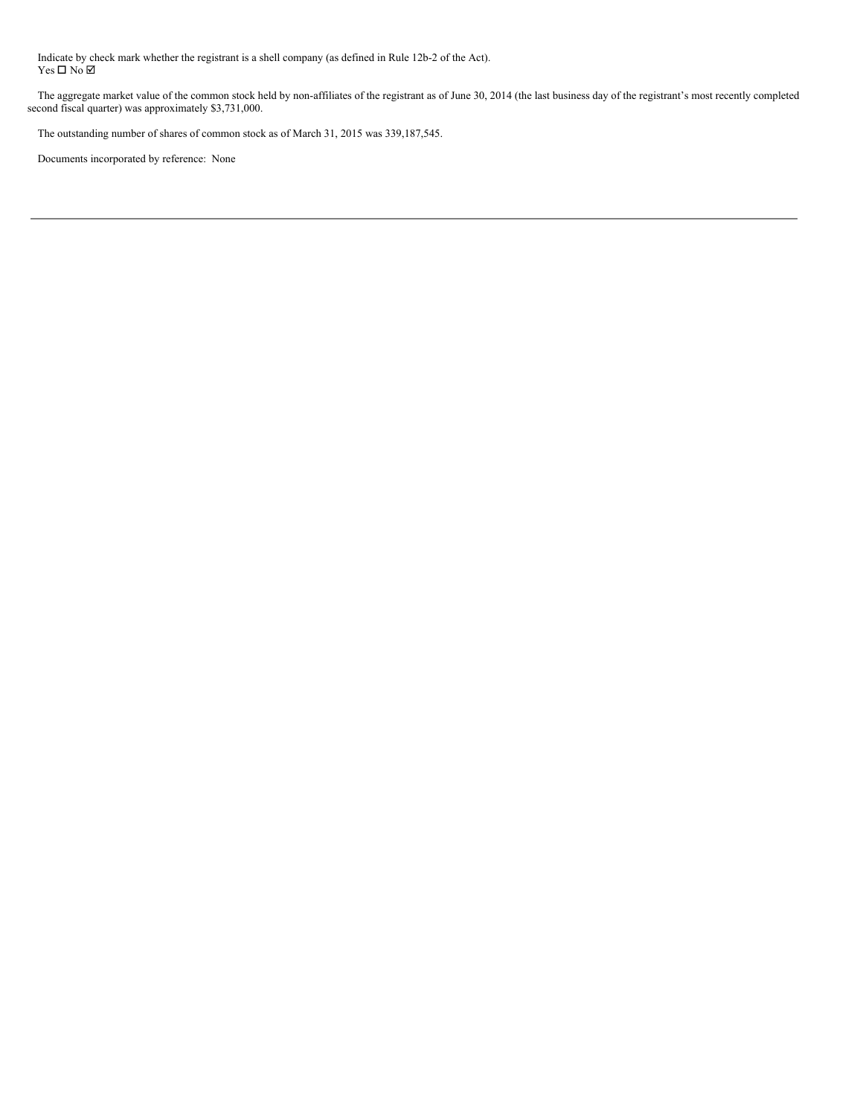Indicate by check mark whether the registrant is a shell company (as defined in Rule 12b-2 of the Act). Yes □ No ☑

The aggregate market value of the common stock held by non-affiliates of the registrant as of June 30, 2014 (the last business day of the registrant's most recently completed second fiscal quarter) was approximately \$3,731,000.

The outstanding number of shares of common stock as of March 31, 2015 was 339,187,545.

Documents incorporated by reference: None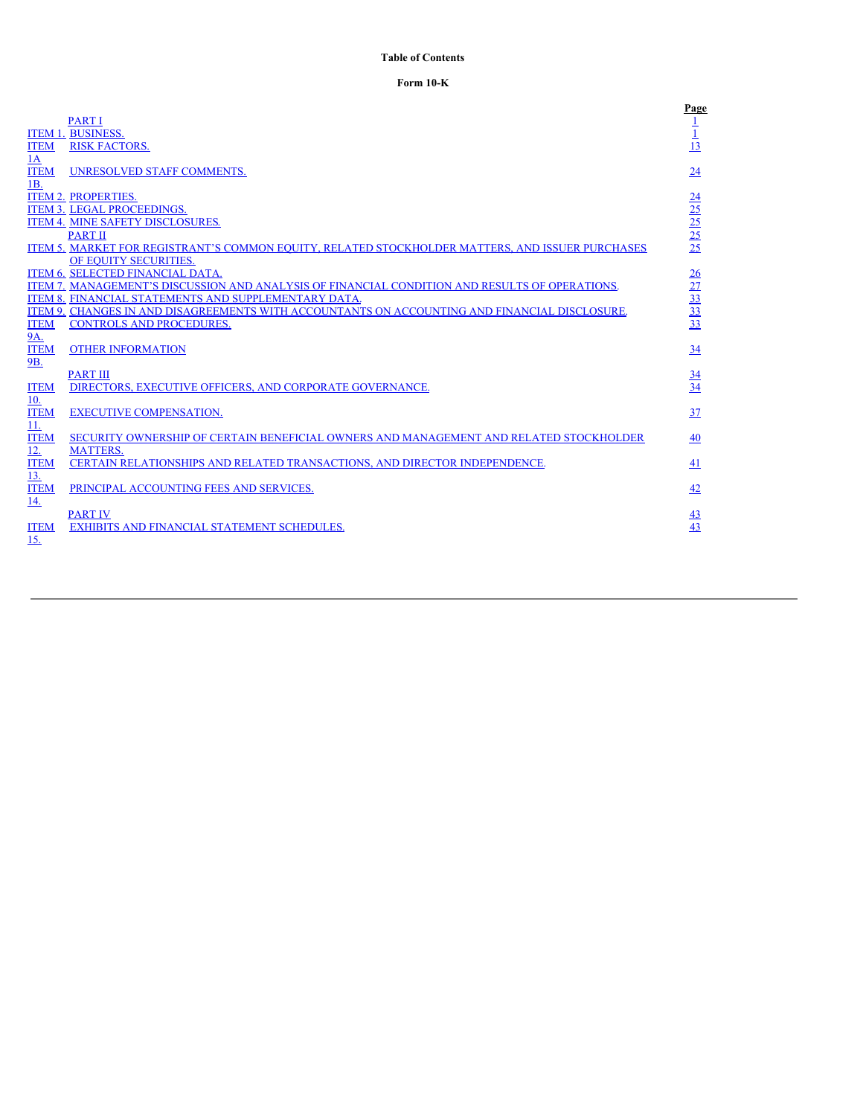# <span id="page-2-0"></span>**Table of Contents**

# **Form 10-K**

|             |                                                                                                         | Page                                                  |
|-------------|---------------------------------------------------------------------------------------------------------|-------------------------------------------------------|
|             | <b>PART I</b>                                                                                           |                                                       |
|             | <b>ITEM 1. BUSINESS.</b>                                                                                |                                                       |
| <b>ITEM</b> | <b>RISK FACTORS.</b>                                                                                    | 13                                                    |
| 1A          |                                                                                                         |                                                       |
| <b>ITEM</b> | <b>UNRESOLVED STAFF COMMENTS.</b>                                                                       | 24                                                    |
| 1B.         |                                                                                                         |                                                       |
|             | <b>ITEM 2. PROPERTIES.</b>                                                                              |                                                       |
|             | <b>ITEM 3. LEGAL PROCEEDINGS.</b>                                                                       | $\frac{24}{25}$<br>$\frac{25}{25}$<br>$\frac{25}{25}$ |
|             | <b>ITEM 4. MINE SAFETY DISCLOSURES.</b>                                                                 |                                                       |
|             | <b>PART II</b>                                                                                          |                                                       |
|             | <u>ITEM 5. MARKET FOR REGISTRANT'S COMMON EQUITY, RELATED STOCKHOLDER MATTERS, AND ISSUER PURCHASES</u> |                                                       |
|             | OF EQUITY SECURITIES.                                                                                   |                                                       |
|             | ITEM 6. SELECTED FINANCIAL DATA.                                                                        |                                                       |
|             | ITEM 7. MANAGEMENT'S DISCUSSION AND ANALYSIS OF FINANCIAL CONDITION AND RESULTS OF OPERATIONS.          |                                                       |
|             | ITEM 8. FINANCIAL STATEMENTS AND SUPPLEMENTARY DATA.                                                    |                                                       |
|             | ITEM 9. CHANGES IN AND DISAGREEMENTS WITH ACCOUNTANTS ON ACCOUNTING AND FINANCIAL DISCLOSURE.           | $\frac{26}{27}$<br>$\frac{27}{33}$<br>$\frac{33}{33}$ |
| <b>ITEM</b> | <b>CONTROLS AND PROCEDURES.</b>                                                                         |                                                       |
| 9A.         |                                                                                                         |                                                       |
| <b>ITEM</b> | <b>OTHER INFORMATION</b>                                                                                | 34                                                    |
| 9B.         |                                                                                                         |                                                       |
| <b>ITEM</b> | <b>PART III</b><br>DIRECTORS, EXECUTIVE OFFICERS, AND CORPORATE GOVERNANCE.                             | $\frac{34}{34}$                                       |
| 10.         |                                                                                                         |                                                       |
| <b>ITEM</b> | <b>EXECUTIVE COMPENSATION.</b>                                                                          | 37                                                    |
| 11.         |                                                                                                         |                                                       |
| <b>ITEM</b> | SECURITY OWNERSHIP OF CERTAIN BENEFICIAL OWNERS AND MANAGEMENT AND RELATED STOCKHOLDER                  | 40                                                    |
| <u>12.</u>  | <b>MATTERS.</b>                                                                                         |                                                       |
| <b>ITEM</b> | CERTAIN RELATIONSHIPS AND RELATED TRANSACTIONS, AND DIRECTOR INDEPENDENCE.                              | <u>41</u>                                             |
| 13.         |                                                                                                         |                                                       |
| <b>ITEM</b> | PRINCIPAL ACCOUNTING FEES AND SERVICES.                                                                 | 42                                                    |
| 14.         |                                                                                                         |                                                       |
|             | <b>PART IV</b>                                                                                          | <u>43</u>                                             |
| <b>ITEM</b> | EXHIBITS AND FINANCIAL STATEMENT SCHEDULES.                                                             | 43                                                    |
| 15.         |                                                                                                         |                                                       |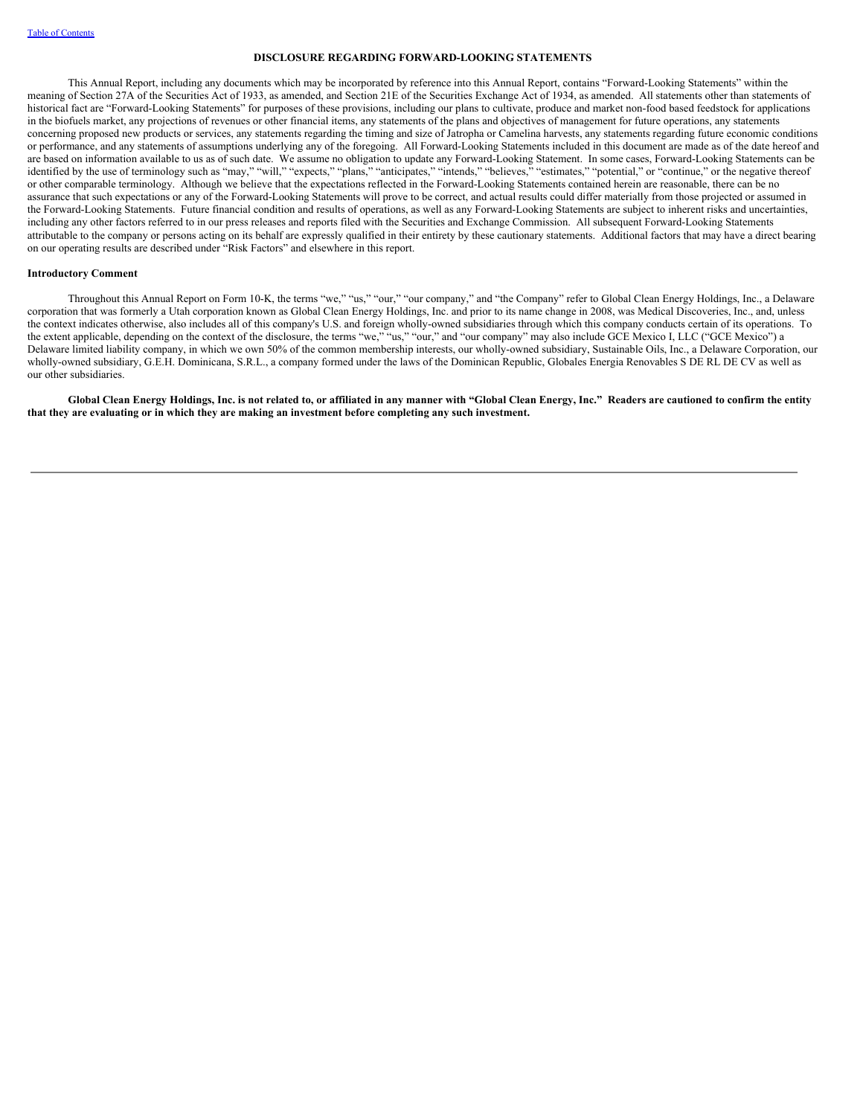### **DISCLOSURE REGARDING FORWARD-LOOKING STATEMENTS**

This Annual Report, including any documents which may be incorporated by reference into this Annual Report, contains "Forward-Looking Statements" within the meaning of Section 27A of the Securities Act of 1933, as amended, and Section 21E of the Securities Exchange Act of 1934, as amended. All statements other than statements of historical fact are "Forward-Looking Statements" for purposes of these provisions, including our plans to cultivate, produce and market non-food based feedstock for applications in the biofuels market, any projections of revenues or other financial items, any statements of the plans and objectives of management for future operations, any statements concerning proposed new products or services, any statements regarding the timing and size of Jatropha or Camelina harvests, any statements regarding future economic conditions or performance, and any statements of assumptions underlying any of the foregoing. All Forward-Looking Statements included in this document are made as of the date hereof and are based on information available to us as of such date. We assume no obligation to update any Forward-Looking Statement. In some cases, Forward-Looking Statements can be identified by the use of terminology such as "may," "will," "expects," "plans," "anticipates," "intends," "believes," "estimates," "potential," or "continue," or the negative thereof or other comparable terminology. Although we believe that the expectations reflected in the Forward-Looking Statements contained herein are reasonable, there can be no assurance that such expectations or any of the Forward-Looking Statements will prove to be correct, and actual results could differ materially from those projected or assumed in the Forward-Looking Statements. Future financial condition and results of operations, as well as any Forward-Looking Statements are subject to inherent risks and uncertainties, including any other factors referred to in our press releases and reports filed with the Securities and Exchange Commission. All subsequent Forward-Looking Statements attributable to the company or persons acting on its behalf are expressly qualified in their entirety by these cautionary statements. Additional factors that may have a direct bearing on our operating results are described under "Risk Factors" and elsewhere in this report.

#### **Introductory Comment**

Throughout this Annual Report on Form 10-K, the terms "we," "us," "our," "our company," and "the Company" refer to Global Clean Energy Holdings, Inc., a Delaware corporation that was formerly a Utah corporation known as Global Clean Energy Holdings, Inc. and prior to its name change in 2008, was Medical Discoveries, Inc., and, unless the context indicates otherwise, also includes all of this company's U.S. and foreign wholly-owned subsidiaries through which this company conducts certain of its operations. To the extent applicable, depending on the context of the disclosure, the terms "we," "us," "our," and "our company" may also include GCE Mexico I, LLC ("GCE Mexico") a Delaware limited liability company, in which we own 50% of the common membership interests, our wholly-owned subsidiary, Sustainable Oils, Inc., a Delaware Corporation, our wholly-owned subsidiary, G.E.H. Dominicana, S.R.L., a company formed under the laws of the Dominican Republic, Globales Energia Renovables S DE RL DE CV as well as our other subsidiaries.

Global Clean Energy Holdings, Inc. is not related to, or affiliated in any manner with "Global Clean Energy, Inc." Readers are cautioned to confirm the entity **that they are evaluating or in which they are making an investment before completing any such investment.**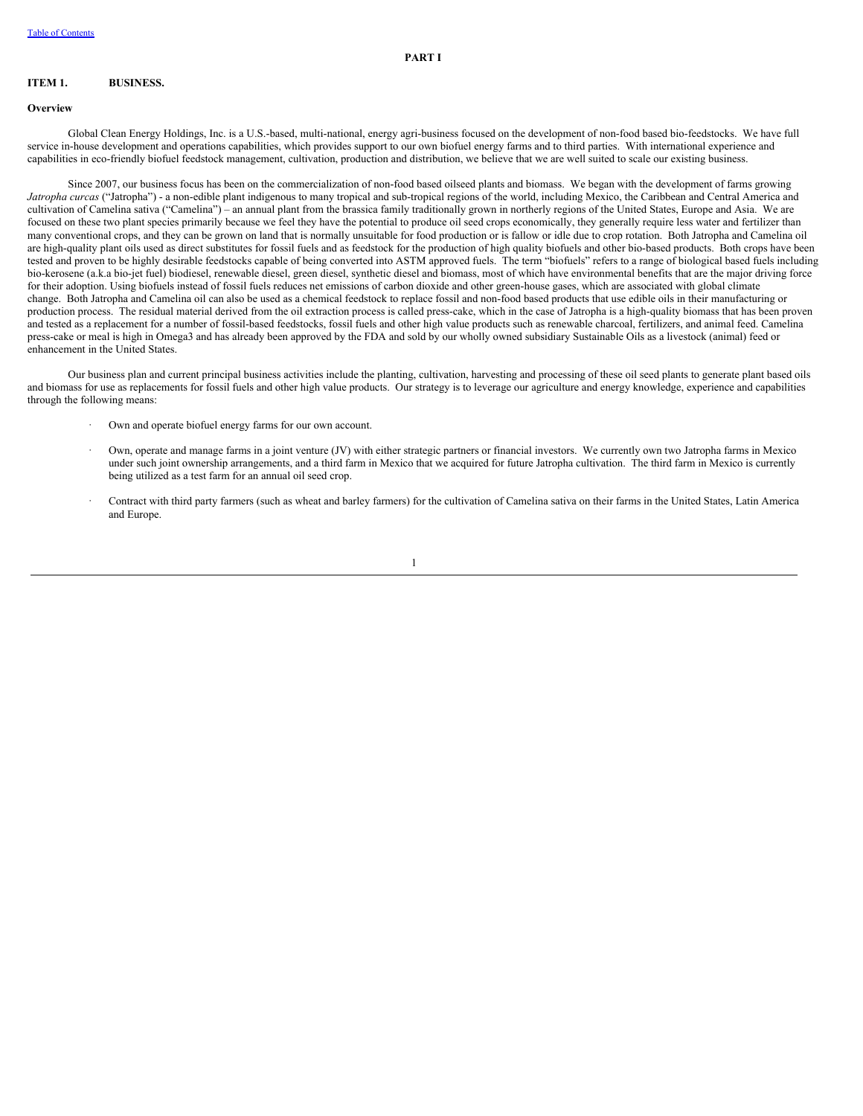## <span id="page-4-1"></span><span id="page-4-0"></span>**ITEM 1. BUSINESS.**

## **Overview**

Global Clean Energy Holdings, Inc. is a U.S.-based, multi-national, energy agri-business focused on the development of non-food based bio-feedstocks. We have full service in-house development and operations capabilities, which provides support to our own biofuel energy farms and to third parties. With international experience and capabilities in eco-friendly biofuel feedstock management, cultivation, production and distribution, we believe that we are well suited to scale our existing business.

Since 2007, our business focus has been on the commercialization of non-food based oilseed plants and biomass. We began with the development of farms growing *Jatropha curcas* ("Jatropha") - a non-edible plant indigenous to many tropical and sub-tropical regions of the world, including Mexico, the Caribbean and Central America and cultivation of Camelina sativa ("Camelina") – an annual plant from the brassica family traditionally grown in northerly regions of the United States, Europe and Asia. We are focused on these two plant species primarily because we feel they have the potential to produce oil seed crops economically, they generally require less water and fertilizer than many conventional crops, and they can be grown on land that is normally unsuitable for food production or is fallow or idle due to crop rotation. Both Jatropha and Camelina oil are high-quality plant oils used as direct substitutes for fossil fuels and as feedstock for the production of high quality biofuels and other bio-based products. Both crops have been tested and proven to be highly desirable feedstocks capable of being converted into ASTM approved fuels. The term "biofuels" refers to a range of biological based fuels including bio-kerosene (a.k.a bio-jet fuel) biodiesel, renewable diesel, green diesel, synthetic diesel and biomass, most of which have environmental benefits that are the major driving force for their adoption. Using biofuels instead of fossil fuels reduces net emissions of carbon dioxide and other green-house gases, which are associated with global climate change. Both Jatropha and Camelina oil can also be used as a chemical feedstock to replace fossil and non-food based products that use edible oils in their manufacturing or production process. The residual material derived from the oil extraction process is called press-cake, which in the case of Jatropha is a high-quality biomass that has been proven and tested as a replacement for a number of fossil-based feedstocks, fossil fuels and other high value products such as renewable charcoal, fertilizers, and animal feed. Camelina press-cake or meal is high in Omega3 and has already been approved by the FDA and sold by our wholly owned subsidiary Sustainable Oils as a livestock (animal) feed or enhancement in the United States.

Our business plan and current principal business activities include the planting, cultivation, harvesting and processing of these oil seed plants to generate plant based oils and biomass for use as replacements for fossil fuels and other high value products. Our strategy is to leverage our agriculture and energy knowledge, experience and capabilities through the following means:

- Own and operate biofuel energy farms for our own account.
- · Own, operate and manage farms in a joint venture (JV) with either strategic partners or financial investors. We currently own two Jatropha farms in Mexico under such joint ownership arrangements, and a third farm in Mexico that we acquired for future Jatropha cultivation. The third farm in Mexico is currently being utilized as a test farm for an annual oil seed crop.
- · Contract with third party farmers (such as wheat and barley farmers) for the cultivation of Camelina sativa on their farms in the United States, Latin America and Europe.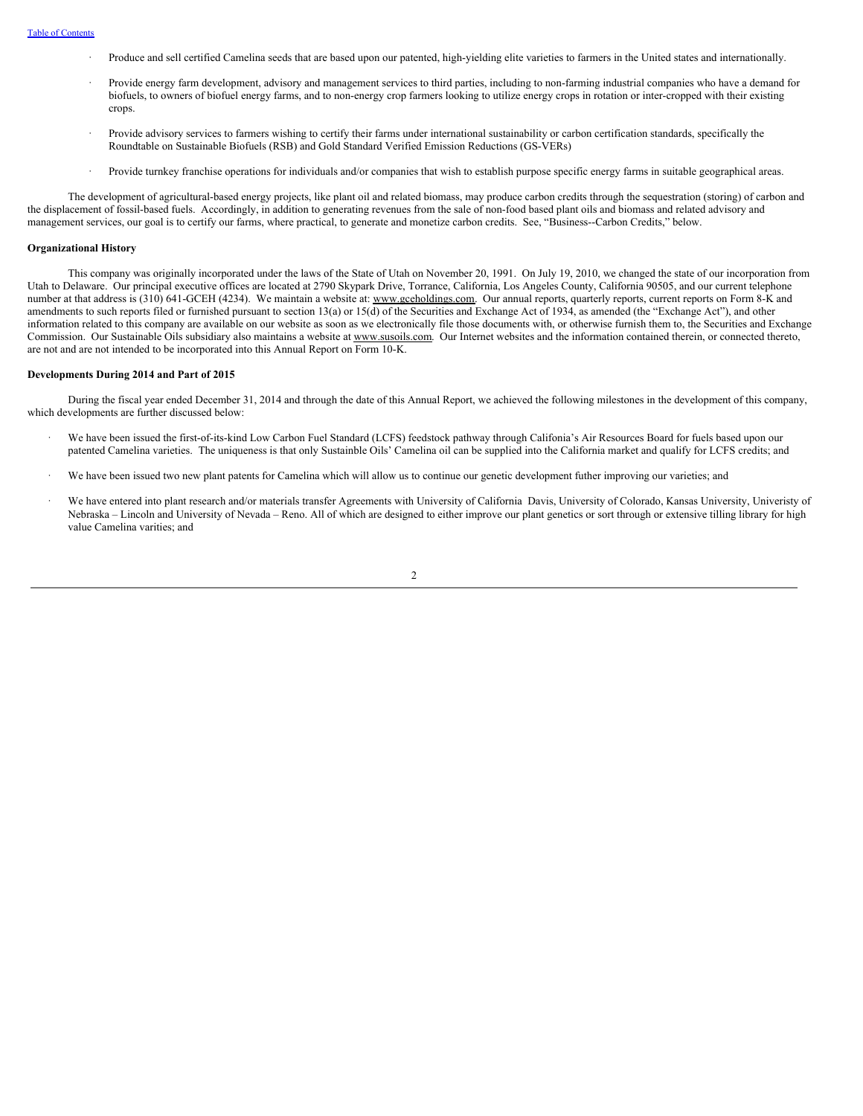- · Produce and sell certified Camelina seeds that are based upon our patented, high-yielding elite varieties to farmers in the United states and internationally.
- · Provide energy farm development, advisory and management services to third parties, including to non-farming industrial companies who have a demand for biofuels, to owners of biofuel energy farms, and to non-energy crop farmers looking to utilize energy crops in rotation or inter-cropped with their existing crops.
- Provide advisory services to farmers wishing to certify their farms under international sustainability or carbon certification standards, specifically the Roundtable on Sustainable Biofuels (RSB) and Gold Standard Verified Emission Reductions (GS-VERs)
- Provide turnkey franchise operations for individuals and/or companies that wish to establish purpose specific energy farms in suitable geographical areas.

The development of agricultural-based energy projects, like plant oil and related biomass, may produce carbon credits through the sequestration (storing) of carbon and the displacement of fossil-based fuels. Accordingly, in addition to generating revenues from the sale of non-food based plant oils and biomass and related advisory and management services, our goal is to certify our farms, where practical, to generate and monetize carbon credits. See, "Business--Carbon Credits," below.

### **Organizational History**

This company was originally incorporated under the laws of the State of Utah on November 20, 1991. On July 19, 2010, we changed the state of our incorporation from Utah to Delaware. Our principal executive offices are located at 2790 Skypark Drive, Torrance, California, Los Angeles County, California 90505, and our current telephone number at that address is (310) 641-GCEH (4234). We maintain a website at: www.gceholdings.com. Our annual reports, quarterly reports, current reports on Form 8-K and amendments to such reports filed or furnished pursuant to section 13(a) or 15(d) of the Securities and Exchange Act of 1934, as amended (the "Exchange Act"), and other information related to this company are available on our website as soon as we electronically file those documents with, or otherwise furnish them to, the Securities and Exchange Commission. Our Sustainable Oils subsidiary also maintains a website at www.susoils.com. Our Internet websites and the information contained therein, or connected thereto, are not and are not intended to be incorporated into this Annual Report on Form 10-K.

#### **Developments During 2014 and Part of 2015**

During the fiscal year ended December 31, 2014 and through the date of this Annual Report, we achieved the following milestones in the development of this company, which developments are further discussed below:

- We have been issued the first-of-its-kind Low Carbon Fuel Standard (LCFS) feedstock pathway through Califonia's Air Resources Board for fuels based upon our patented Camelina varieties. The uniqueness is that only Sustainble Oils' Camelina oil can be supplied into the California market and qualify for LCFS credits; and
- We have been issued two new plant patents for Camelina which will allow us to continue our genetic development futher improving our varieties; and
- We have entered into plant research and/or materials transfer Agreements with University of California Davis, University of Colorado, Kansas University, Univeristy of Nebraska – Lincoln and University of Nevada – Reno. All of which are designed to either improve our plant genetics or sort through or extensive tilling library for high value Camelina varities; and

 $\overline{2}$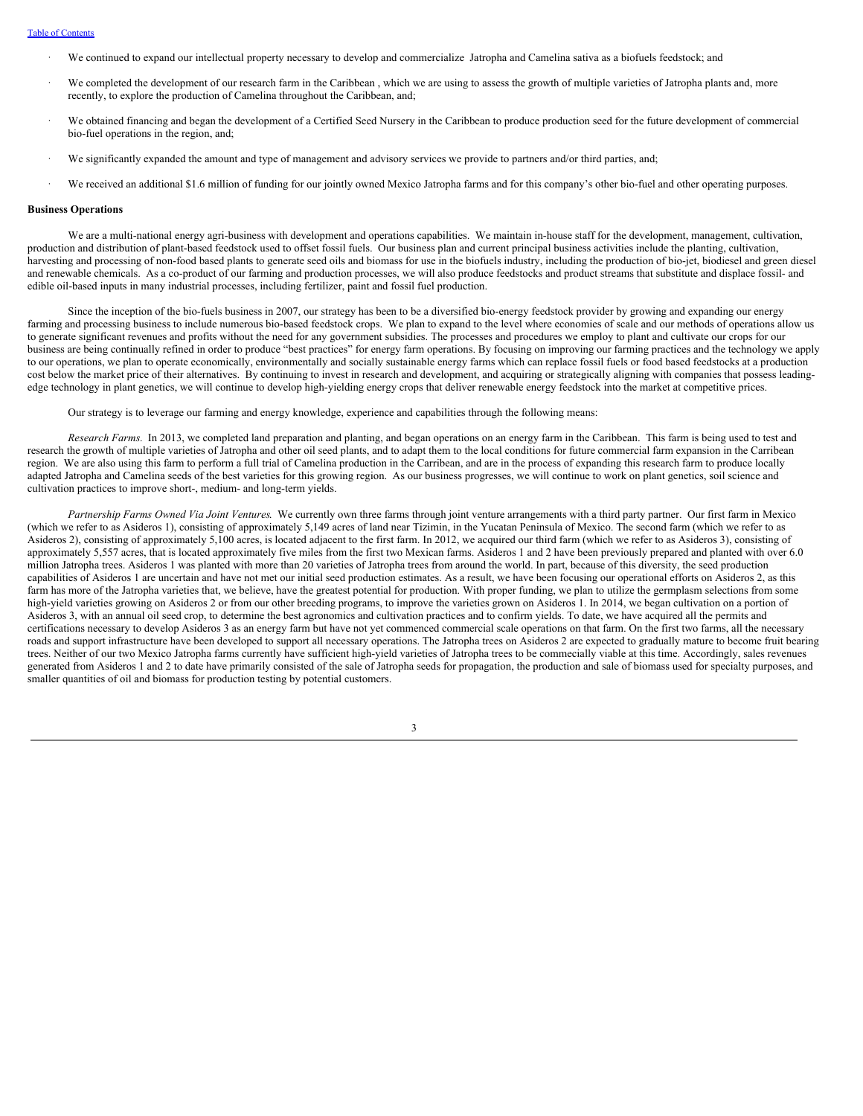### Table of [Contents](#page-2-0)

- · We continued to expand our intellectual property necessary to develop and commercialize Jatropha and Camelina sativa as a biofuels feedstock; and
- We completed the development of our research farm in the Caribbean, which we are using to assess the growth of multiple varieties of Jatropha plants and, more recently, to explore the production of Camelina throughout the Caribbean, and;
- · We obtained financing and began the development of a Certified Seed Nursery in the Caribbean to produce production seed for the future development of commercial bio-fuel operations in the region, and;
- We significantly expanded the amount and type of management and advisory services we provide to partners and/or third parties, and;
- We received an additional \$1.6 million of funding for our jointly owned Mexico Jatropha farms and for this company's other bio-fuel and other operating purposes.

### **Business Operations**

We are a multi-national energy agri-business with development and operations capabilities. We maintain in-house staff for the development, management, cultivation, production and distribution of plant-based feedstock used to offset fossil fuels. Our business plan and current principal business activities include the planting, cultivation, harvesting and processing of non-food based plants to generate seed oils and biomass for use in the biofuels industry, including the production of bio-jet, biodiesel and green diesel and renewable chemicals. As a co-product of our farming and production processes, we will also produce feedstocks and product streams that substitute and displace fossil- and edible oil-based inputs in many industrial processes, including fertilizer, paint and fossil fuel production.

Since the inception of the bio-fuels business in 2007, our strategy has been to be a diversified bio-energy feedstock provider by growing and expanding our energy farming and processing business to include numerous bio-based feedstock crops. We plan to expand to the level where economies of scale and our methods of operations allow us to generate significant revenues and profits without the need for any government subsidies. The processes and procedures we employ to plant and cultivate our crops for our business are being continually refined in order to produce "best practices" for energy farm operations. By focusing on improving our farming practices and the technology we apply to our operations, we plan to operate economically, environmentally and socially sustainable energy farms which can replace fossil fuels or food based feedstocks at a production cost below the market price of their alternatives. By continuing to invest in research and development, and acquiring or strategically aligning with companies that possess leadingedge technology in plant genetics, we will continue to develop high-yielding energy crops that deliver renewable energy feedstock into the market at competitive prices.

Our strategy is to leverage our farming and energy knowledge, experience and capabilities through the following means:

*Research Farms.* In 2013, we completed land preparation and planting, and began operations on an energy farm in the Caribbean. This farm is being used to test and research the growth of multiple varieties of Jatropha and other oil seed plants, and to adapt them to the local conditions for future commercial farm expansion in the Carribean region. We are also using this farm to perform a full trial of Camelina production in the Carribean, and are in the process of expanding this research farm to produce locally adapted Jatropha and Camelina seeds of the best varieties for this growing region. As our business progresses, we will continue to work on plant genetics, soil science and cultivation practices to improve short-, medium- and long-term yields.

*Partnership Farms Owned Via Joint Ventures*. We currently own three farms through joint venture arrangements with a third party partner. Our first farm in Mexico (which we refer to as Asideros 1), consisting of approximately 5,149 acres of land near Tizimin, in the Yucatan Peninsula of Mexico. The second farm (which we refer to as Asideros 2), consisting of approximately 5,100 acres, is located adjacent to the first farm. In 2012, we acquired our third farm (which we refer to as Asideros 3), consisting of approximately 5,557 acres, that is located approximately five miles from the first two Mexican farms. Asideros 1 and 2 have been previously prepared and planted with over 6.0 million Jatropha trees. Asideros 1 was planted with more than 20 varieties of Jatropha trees from around the world. In part, because of this diversity, the seed production capabilities of Asideros 1 are uncertain and have not met our initial seed production estimates. As a result, we have been focusing our operational efforts on Asideros 2, as this farm has more of the Jatropha varieties that, we believe, have the greatest potential for production. With proper funding, we plan to utilize the germplasm selections from some high-yield varieties growing on Asideros 2 or from our other breeding programs, to improve the varieties grown on Asideros 1. In 2014, we began cultivation on a portion of Asideros 3, with an annual oil seed crop, to determine the best agronomics and cultivation practices and to confirm yields. To date, we have acquired all the permits and certifications necessary to develop Asideros 3 as an energy farm but have not yet commenced commercial scale operations on that farm. On the first two farms, all the necessary roads and support infrastructure have been developed to support all necessary operations. The Jatropha trees on Asideros 2 are expected to gradually mature to become fruit bearing trees. Neither of our two Mexico Jatropha farms currently have sufficient high-yield varieties of Jatropha trees to be commecially viable at this time. Accordingly, sales revenues generated from Asideros 1 and 2 to date have primarily consisted of the sale of Jatropha seeds for propagation, the production and sale of biomass used for specialty purposes, and smaller quantities of oil and biomass for production testing by potential customers.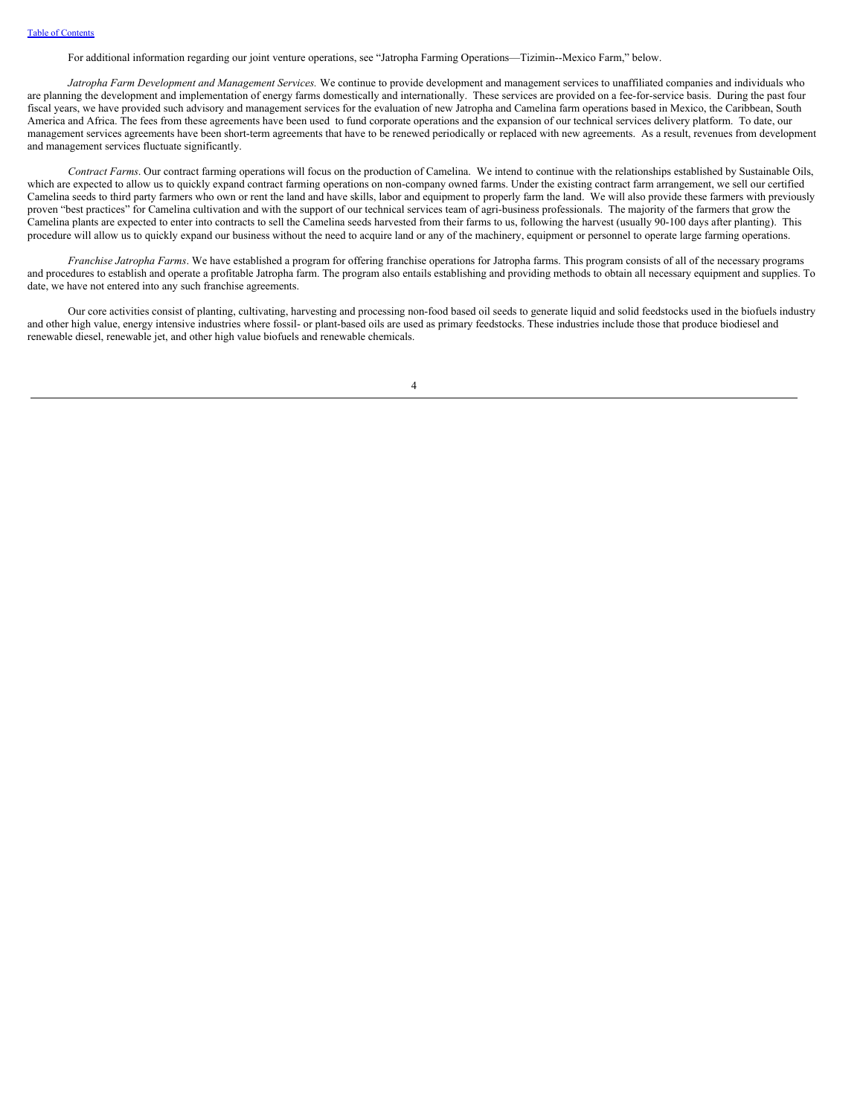For additional information regarding our joint venture operations, see "Jatropha Farming Operations—Tizimin--Mexico Farm," below.

*Jatropha Farm Development and Management Services.* We continue to provide development and management services to unaffiliated companies and individuals who are planning the development and implementation of energy farms domestically and internationally. These services are provided on a fee-for-service basis. During the past four fiscal years, we have provided such advisory and management services for the evaluation of new Jatropha and Camelina farm operations based in Mexico, the Caribbean, South America and Africa. The fees from these agreements have been used to fund corporate operations and the expansion of our technical services delivery platform. To date, our management services agreements have been short-term agreements that have to be renewed periodically or replaced with new agreements. As a result, revenues from development and management services fluctuate significantly.

*Contract Farms*. Our contract farming operations will focus on the production of Camelina. We intend to continue with the relationships established by Sustainable Oils, which are expected to allow us to quickly expand contract farming operations on non-company owned farms. Under the existing contract farm arrangement, we sell our certified Camelina seeds to third party farmers who own or rent the land and have skills, labor and equipment to properly farm the land. We will also provide these farmers with previously proven "best practices" for Camelina cultivation and with the support of our technical services team of agri-business professionals. The majority of the farmers that grow the Camelina plants are expected to enter into contracts to sell the Camelina seeds harvested from their farms to us, following the harvest (usually 90-100 days after planting). This procedure will allow us to quickly expand our business without the need to acquire land or any of the machinery, equipment or personnel to operate large farming operations.

*Franchise Jatropha Farms*. We have established a program for offering franchise operations for Jatropha farms. This program consists of all of the necessary programs and procedures to establish and operate a profitable Jatropha farm. The program also entails establishing and providing methods to obtain all necessary equipment and supplies. To date, we have not entered into any such franchise agreements.

Our core activities consist of planting, cultivating, harvesting and processing non-food based oil seeds to generate liquid and solid feedstocks used in the biofuels industry and other high value, energy intensive industries where fossil- or plant-based oils are used as primary feedstocks. These industries include those that produce biodiesel and renewable diesel, renewable jet, and other high value biofuels and renewable chemicals.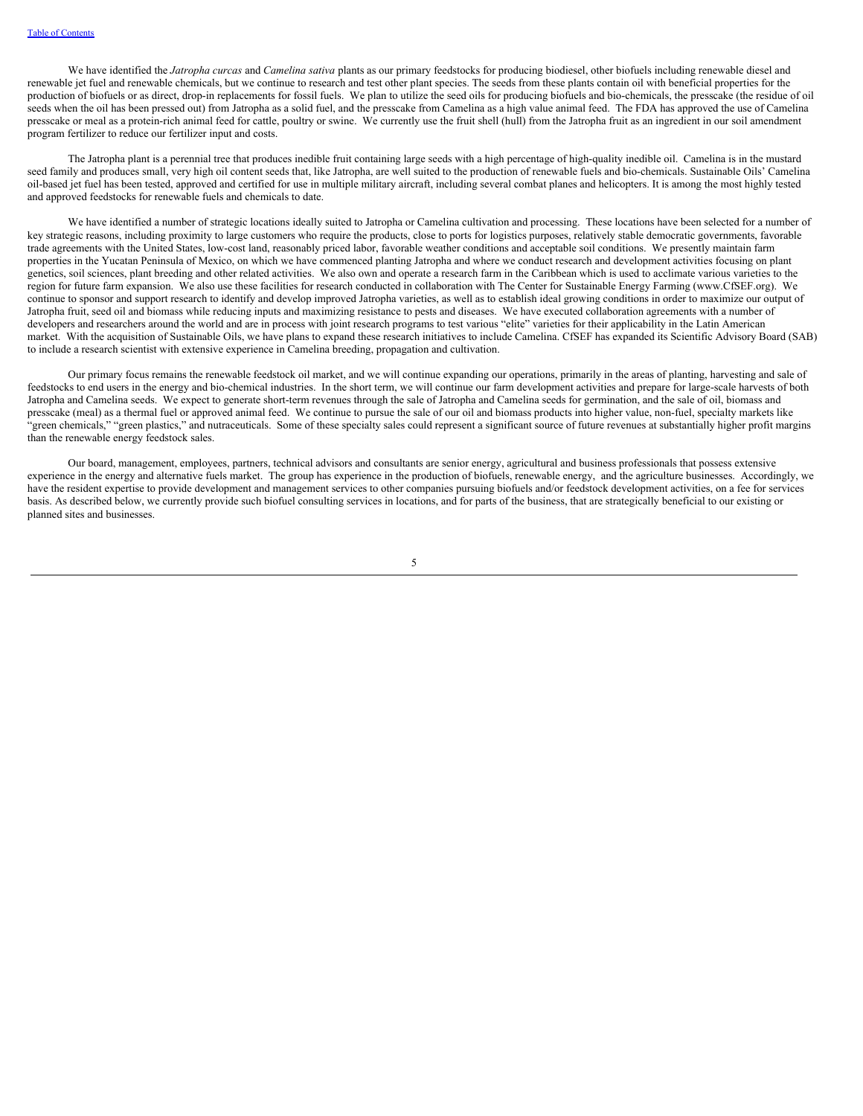We have identified the *Jatropha curcas* and *Camelina sativa* plants as our primary feedstocks for producing biodiesel, other biofuels including renewable diesel and renewable jet fuel and renewable chemicals, but we continue to research and test other plant species. The seeds from these plants contain oil with beneficial properties for the production of biofuels or as direct, drop-in replacements for fossil fuels. We plan to utilize the seed oils for producing biofuels and bio-chemicals, the presscake (the residue of oil seeds when the oil has been pressed out) from Jatropha as a solid fuel, and the presscake from Camelina as a high value animal feed. The FDA has approved the use of Camelina presscake or meal as a protein-rich animal feed for cattle, poultry or swine. We currently use the fruit shell (hull) from the Jatropha fruit as an ingredient in our soil amendment program fertilizer to reduce our fertilizer input and costs.

The Jatropha plant is a perennial tree that produces inedible fruit containing large seeds with a high percentage of high-quality inedible oil. Camelina is in the mustard seed family and produces small, very high oil content seeds that, like Jatropha, are well suited to the production of renewable fuels and bio-chemicals. Sustainable Oils' Camelina oil-based jet fuel has been tested, approved and certified for use in multiple military aircraft, including several combat planes and helicopters. It is among the most highly tested and approved feedstocks for renewable fuels and chemicals to date.

We have identified a number of strategic locations ideally suited to Jatropha or Camelina cultivation and processing. These locations have been selected for a number of key strategic reasons, including proximity to large customers who require the products, close to ports for logistics purposes, relatively stable democratic governments, favorable trade agreements with the United States, low-cost land, reasonably priced labor, favorable weather conditions and acceptable soil conditions. We presently maintain farm properties in the Yucatan Peninsula of Mexico, on which we have commenced planting Jatropha and where we conduct research and development activities focusing on plant genetics, soil sciences, plant breeding and other related activities. We also own and operate a research farm in the Caribbean which is used to acclimate various varieties to the region for future farm expansion. We also use these facilities for research conducted in collaboration with The Center for Sustainable Energy Farming (www.CfSEF.org). We continue to sponsor and support research to identify and develop improved Jatropha varieties, as well as to establish ideal growing conditions in order to maximize our output of Jatropha fruit, seed oil and biomass while reducing inputs and maximizing resistance to pests and diseases. We have executed collaboration agreements with a number of developers and researchers around the world and are in process with joint research programs to test various "elite" varieties for their applicability in the Latin American market. With the acquisition of Sustainable Oils, we have plans to expand these research initiatives to include Camelina. CfSEF has expanded its Scientific Advisory Board (SAB) to include a research scientist with extensive experience in Camelina breeding, propagation and cultivation.

Our primary focus remains the renewable feedstock oil market, and we will continue expanding our operations, primarily in the areas of planting, harvesting and sale of feedstocks to end users in the energy and bio-chemical industries. In the short term, we will continue our farm development activities and prepare for large-scale harvests of both Jatropha and Camelina seeds. We expect to generate short-term revenues through the sale of Jatropha and Camelina seeds for germination, and the sale of oil, biomass and presscake (meal) as a thermal fuel or approved animal feed. We continue to pursue the sale of our oil and biomass products into higher value, non-fuel, specialty markets like "green chemicals," "green plastics," and nutraceuticals. Some of these specialty sales could represent a significant source of future revenues at substantially higher profit margins than the renewable energy feedstock sales.

Our board, management, employees, partners, technical advisors and consultants are senior energy, agricultural and business professionals that possess extensive experience in the energy and alternative fuels market. The group has experience in the production of biofuels, renewable energy, and the agriculture businesses. Accordingly, we have the resident expertise to provide development and management services to other companies pursuing biofuels and/or feedstock development activities, on a fee for services basis. As described below, we currently provide such biofuel consulting services in locations, and for parts of the business, that are strategically beneficial to our existing or planned sites and businesses.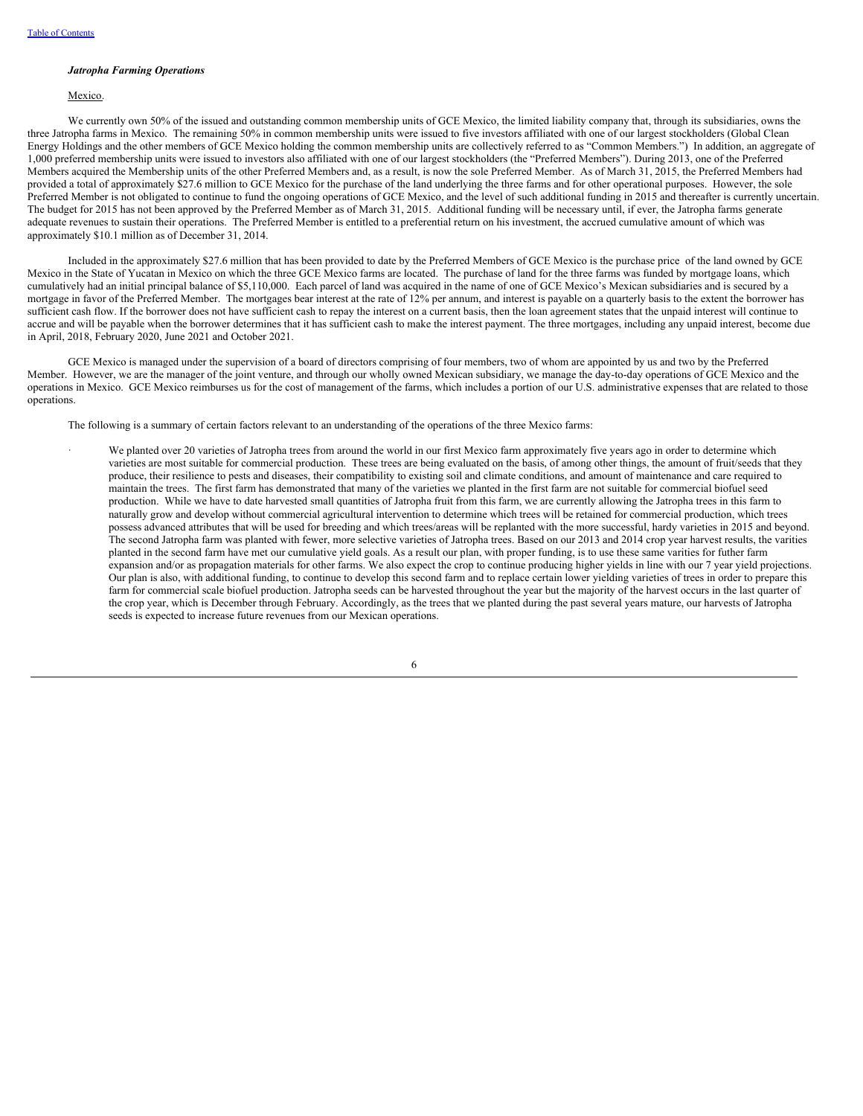#### *Jatropha Farming Operations*

## Mexico.

We currently own 50% of the issued and outstanding common membership units of GCE Mexico, the limited liability company that, through its subsidiaries, owns the three Jatropha farms in Mexico. The remaining 50% in common membership units were issued to five investors affiliated with one of our largest stockholders (Global Clean Energy Holdings and the other members of GCE Mexico holding the common membership units are collectively referred to as "Common Members.") In addition, an aggregate of 1,000 preferred membership units were issued to investors also affiliated with one of our largest stockholders (the "Preferred Members"). During 2013, one of the Preferred Members acquired the Membership units of the other Preferred Members and, as a result, is now the sole Preferred Member. As of March 31, 2015, the Preferred Members had provided a total of approximately \$27.6 million to GCE Mexico for the purchase of the land underlying the three farms and for other operational purposes. However, the sole Preferred Member is not obligated to continue to fund the ongoing operations of GCE Mexico, and the level of such additional funding in 2015 and thereafter is currently uncertain. The budget for 2015 has not been approved by the Preferred Member as of March 31, 2015. Additional funding will be necessary until, if ever, the Jatropha farms generate adequate revenues to sustain their operations. The Preferred Member is entitled to a preferential return on his investment, the accrued cumulative amount of which was approximately \$10.1 million as of December 31, 2014.

Included in the approximately \$27.6 million that has been provided to date by the Preferred Members of GCE Mexico is the purchase price of the land owned by GCE Mexico in the State of Yucatan in Mexico on which the three GCE Mexico farms are located. The purchase of land for the three farms was funded by mortgage loans, which cumulatively had an initial principal balance of \$5,110,000. Each parcel of land was acquired in the name of one of GCE Mexico's Mexican subsidiaries and is secured by a mortgage in favor of the Preferred Member. The mortgages bear interest at the rate of 12% per annum, and interest is payable on a quarterly basis to the extent the borrower has sufficient cash flow. If the borrower does not have sufficient cash to repay the interest on a current basis, then the loan agreement states that the unpaid interest will continue to accrue and will be payable when the borrower determines that it has sufficient cash to make the interest payment. The three mortgages, including any unpaid interest, become due in April, 2018, February 2020, June 2021 and October 2021.

GCE Mexico is managed under the supervision of a board of directors comprising of four members, two of whom are appointed by us and two by the Preferred Member. However, we are the manager of the joint venture, and through our wholly owned Mexican subsidiary, we manage the day-to-day operations of GCE Mexico and the operations in Mexico. GCE Mexico reimburses us for the cost of management of the farms, which includes a portion of our U.S. administrative expenses that are related to those operations.

The following is a summary of certain factors relevant to an understanding of the operations of the three Mexico farms:

We planted over 20 varieties of Jatropha trees from around the world in our first Mexico farm approximately five years ago in order to determine which varieties are most suitable for commercial production. These trees are being evaluated on the basis, of among other things, the amount of fruit/seeds that they produce, their resilience to pests and diseases, their compatibility to existing soil and climate conditions, and amount of maintenance and care required to maintain the trees. The first farm has demonstrated that many of the varieties we planted in the first farm are not suitable for commercial biofuel seed production. While we have to date harvested small quantities of Jatropha fruit from this farm, we are currently allowing the Jatropha trees in this farm to naturally grow and develop without commercial agricultural intervention to determine which trees will be retained for commercial production, which trees possess advanced attributes that will be used for breeding and which trees/areas will be replanted with the more successful, hardy varieties in 2015 and beyond. The second Jatropha farm was planted with fewer, more selective varieties of Jatropha trees. Based on our 2013 and 2014 crop year harvest results, the varities planted in the second farm have met our cumulative yield goals. As a result our plan, with proper funding, is to use these same varities for futher farm expansion and/or as propagation materials for other farms. We also expect the crop to continue producing higher yields in line with our 7 year yield projections. Our plan is also, with additional funding, to continue to develop this second farm and to replace certain lower yielding varieties of trees in order to prepare this farm for commercial scale biofuel production. Jatropha seeds can be harvested throughout the year but the majority of the harvest occurs in the last quarter of the crop year, which is December through February. Accordingly, as the trees that we planted during the past several years mature, our harvests of Jatropha seeds is expected to increase future revenues from our Mexican operations.

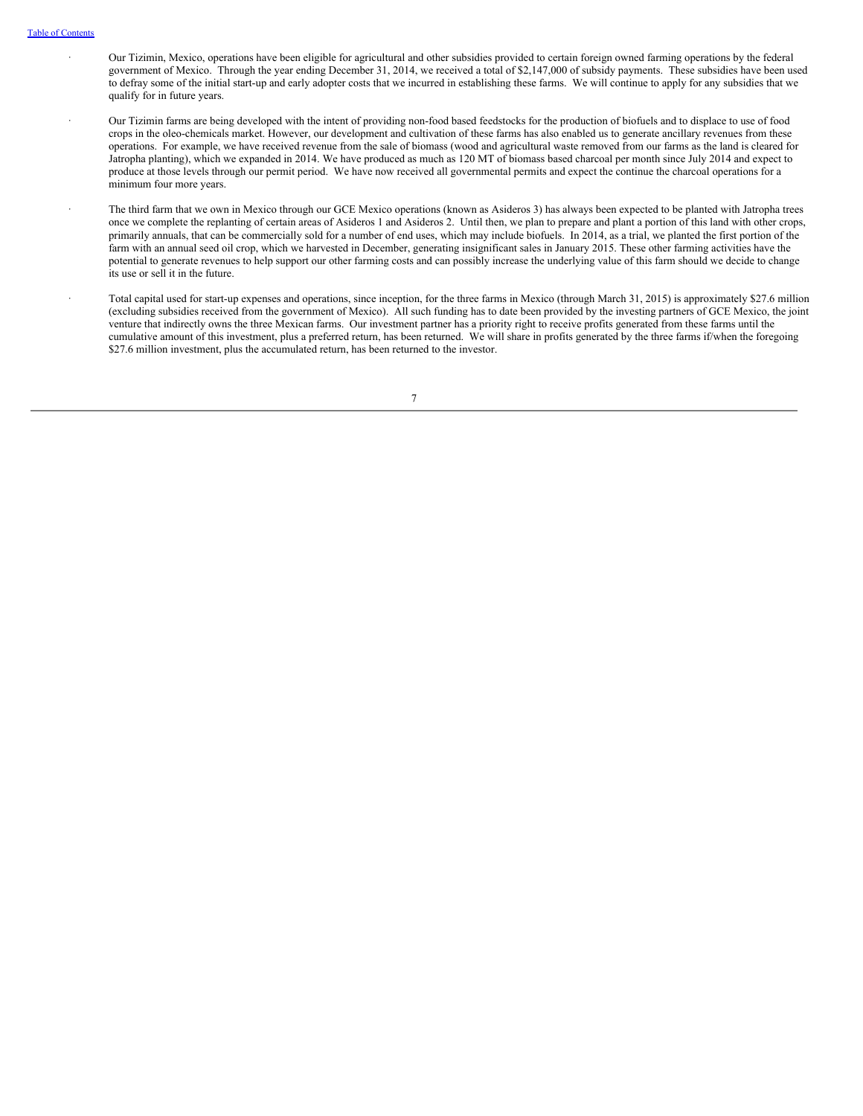- · Our Tizimin, Mexico, operations have been eligible for agricultural and other subsidies provided to certain foreign owned farming operations by the federal government of Mexico. Through the year ending December 31, 2014, we received a total of \$2,147,000 of subsidy payments. These subsidies have been used to defray some of the initial start-up and early adopter costs that we incurred in establishing these farms. We will continue to apply for any subsidies that we qualify for in future years. · Our Tizimin farms are being developed with the intent of providing non-food based feedstocks for the production of biofuels and to displace to use of food crops in the oleo-chemicals market. However, our development and cultivation of these farms has also enabled us to generate ancillary revenues from these operations. For example, we have received revenue from the sale of biomass (wood and agricultural waste removed from our farms as the land is cleared for
	- Jatropha planting), which we expanded in 2014. We have produced as much as 120 MT of biomass based charcoal per month since July 2014 and expect to produce at those levels through our permit period. We have now received all governmental permits and expect the continue the charcoal operations for a minimum four more years.
	- The third farm that we own in Mexico through our GCE Mexico operations (known as Asideros 3) has always been expected to be planted with Jatropha trees once we complete the replanting of certain areas of Asideros 1 and Asideros 2. Until then, we plan to prepare and plant a portion of this land with other crops, primarily annuals, that can be commercially sold for a number of end uses, which may include biofuels. In 2014, as a trial, we planted the first portion of the farm with an annual seed oil crop, which we harvested in December, generating insignificant sales in January 2015. These other farming activities have the potential to generate revenues to help support our other farming costs and can possibly increase the underlying value of this farm should we decide to change its use or sell it in the future.
	- Total capital used for start-up expenses and operations, since inception, for the three farms in Mexico (through March 31, 2015) is approximately \$27.6 million (excluding subsidies received from the government of Mexico). All such funding has to date been provided by the investing partners of GCE Mexico, the joint venture that indirectly owns the three Mexican farms. Our investment partner has a priority right to receive profits generated from these farms until the cumulative amount of this investment, plus a preferred return, has been returned. We will share in profits generated by the three farms if/when the foregoing \$27.6 million investment, plus the accumulated return, has been returned to the investor.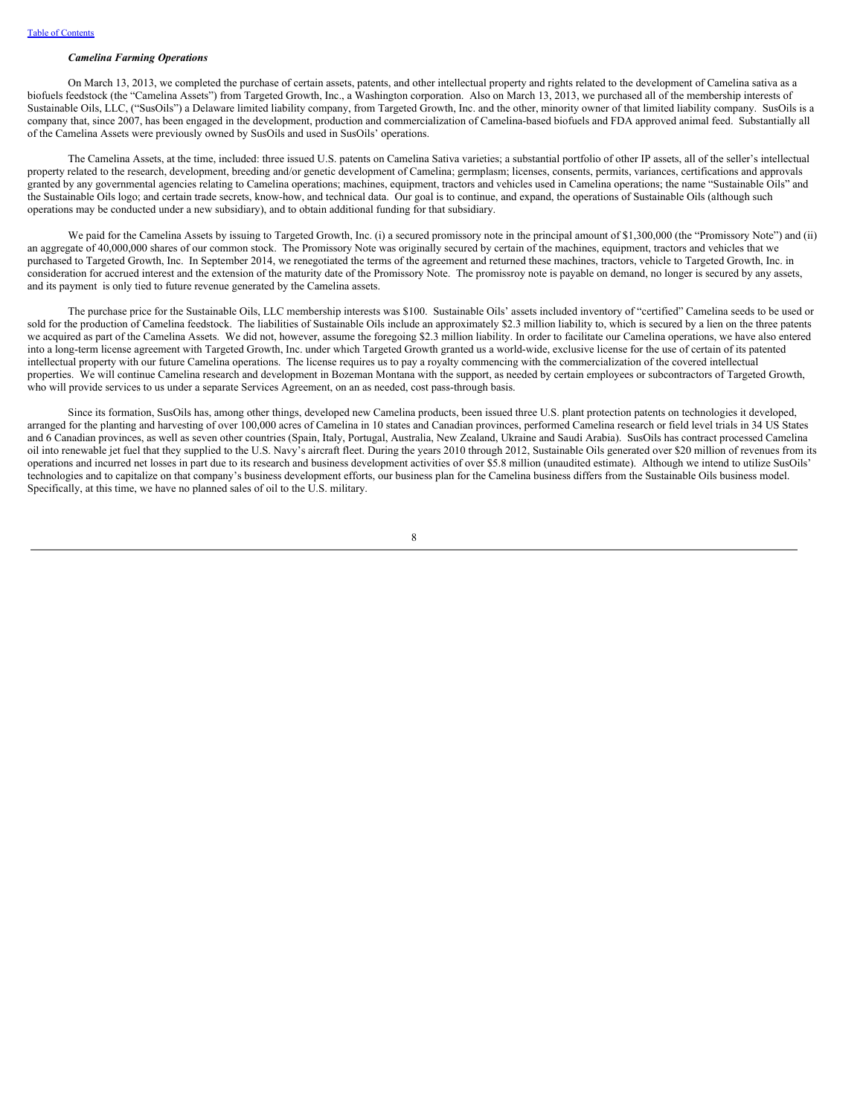### *Camelina Farming Operations*

On March 13, 2013, we completed the purchase of certain assets, patents, and other intellectual property and rights related to the development of Camelina sativa as a biofuels feedstock (the "Camelina Assets") from Targeted Growth, Inc., a Washington corporation. Also on March 13, 2013, we purchased all of the membership interests of Sustainable Oils, LLC, ("SusOils") a Delaware limited liability company, from Targeted Growth, Inc. and the other, minority owner of that limited liability company. SusOils is a company that, since 2007, has been engaged in the development, production and commercialization of Camelina-based biofuels and FDA approved animal feed. Substantially all of the Camelina Assets were previously owned by SusOils and used in SusOils' operations.

The Camelina Assets, at the time, included: three issued U.S. patents on Camelina Sativa varieties; a substantial portfolio of other IP assets, all of the seller's intellectual property related to the research, development, breeding and/or genetic development of Camelina; germplasm; licenses, consents, permits, variances, certifications and approvals granted by any governmental agencies relating to Camelina operations; machines, equipment, tractors and vehicles used in Camelina operations; the name "Sustainable Oils" and the Sustainable Oils logo; and certain trade secrets, know-how, and technical data. Our goal is to continue, and expand, the operations of Sustainable Oils (although such operations may be conducted under a new subsidiary), and to obtain additional funding for that subsidiary.

We paid for the Camelina Assets by issuing to Targeted Growth, Inc. (i) a secured promissory note in the principal amount of \$1,300,000 (the "Promissory Note") and (ii) an aggregate of 40,000,000 shares of our common stock. The Promissory Note was originally secured by certain of the machines, equipment, tractors and vehicles that we purchased to Targeted Growth, Inc. In September 2014, we renegotiated the terms of the agreement and returned these machines, tractors, vehicle to Targeted Growth, Inc. in consideration for accrued interest and the extension of the maturity date of the Promissory Note. The promissroy note is payable on demand, no longer is secured by any assets, and its payment is only tied to future revenue generated by the Camelina assets.

The purchase price for the Sustainable Oils, LLC membership interests was \$100. Sustainable Oils' assets included inventory of "certified" Camelina seeds to be used or sold for the production of Camelina feedstock. The liabilities of Sustainable Oils include an approximately \$2.3 million liability to, which is secured by a lien on the three patents we acquired as part of the Camelina Assets. We did not, however, assume the foregoing \$2.3 million liability. In order to facilitate our Camelina operations, we have also entered into a long-term license agreement with Targeted Growth, Inc. under which Targeted Growth granted us a world-wide, exclusive license for the use of certain of its patented intellectual property with our future Camelina operations. The license requires us to pay a royalty commencing with the commercialization of the covered intellectual properties. We will continue Camelina research and development in Bozeman Montana with the support, as needed by certain employees or subcontractors of Targeted Growth, who will provide services to us under a separate Services Agreement, on an as needed, cost pass-through basis.

Since its formation, SusOils has, among other things, developed new Camelina products, been issued three U.S. plant protection patents on technologies it developed, arranged for the planting and harvesting of over 100,000 acres of Camelina in 10 states and Canadian provinces, performed Camelina research or field level trials in 34 US States and 6 Canadian provinces, as well as seven other countries (Spain, Italy, Portugal, Australia, New Zealand, Ukraine and Saudi Arabia). SusOils has contract processed Camelina oil into renewable jet fuel that they supplied to the U.S. Navy's aircraft fleet. During the years 2010 through 2012, Sustainable Oils generated over \$20 million of revenues from its operations and incurred net losses in part due to its research and business development activities of over \$5.8 million (unaudited estimate). Although we intend to utilize SusOils' technologies and to capitalize on that company's business development efforts, our business plan for the Camelina business differs from the Sustainable Oils business model. Specifically, at this time, we have no planned sales of oil to the U.S. military.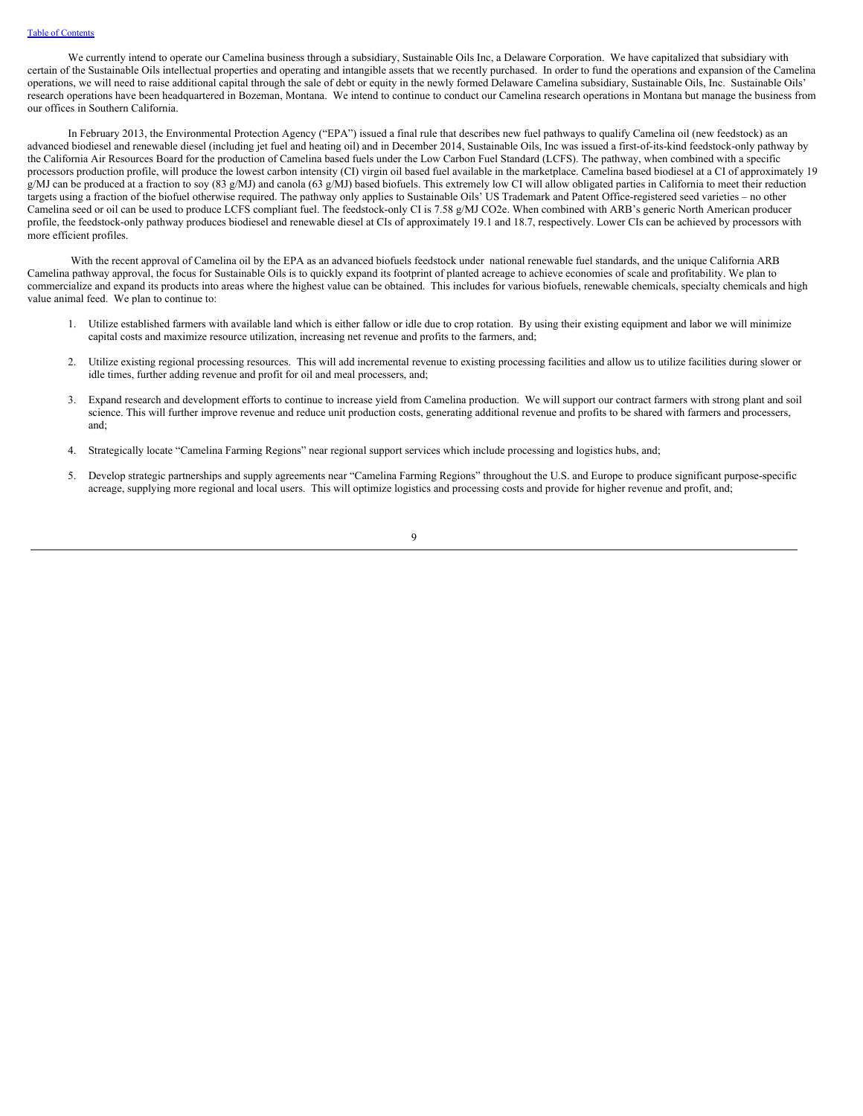We currently intend to operate our Camelina business through a subsidiary, Sustainable Oils Inc, a Delaware Corporation. We have capitalized that subsidiary with certain of the Sustainable Oils intellectual properties and operating and intangible assets that we recently purchased. In order to fund the operations and expansion of the Camelina operations, we will need to raise additional capital through the sale of debt or equity in the newly formed Delaware Camelina subsidiary, Sustainable Oils, Inc. Sustainable Oils' research operations have been headquartered in Bozeman, Montana. We intend to continue to conduct our Camelina research operations in Montana but manage the business from our offices in Southern California.

In February 2013, the Environmental Protection Agency ("EPA") issued a final rule that describes new fuel pathways to qualify Camelina oil (new feedstock) as an advanced biodiesel and renewable diesel (including jet fuel and heating oil) and in December 2014, Sustainable Oils, Inc was issued a first-of-its-kind feedstock-only pathway by the California Air Resources Board for the production of Camelina based fuels under the Low Carbon Fuel Standard (LCFS). The pathway, when combined with a specific processors production profile, will produce the lowest carbon intensity (CI) virgin oil based fuel available in the marketplace. Camelina based biodiesel at a CI of approximately 19 g/MJ can be produced at a fraction to soy (83 g/MJ) and canola (63 g/MJ) based biofuels. This extremely low CI will allow obligated parties in California to meet their reduction targets using a fraction of the biofuel otherwise required. The pathway only applies to Sustainable Oils' US Trademark and Patent Office-registered seed varieties – no other Camelina seed or oil can be used to produce LCFS compliant fuel. The feedstock-only CI is 7.58 g/MJ CO2e. When combined with ARB's generic North American producer profile, the feedstock-only pathway produces biodiesel and renewable diesel at CIs of approximately 19.1 and 18.7, respectively. Lower CIs can be achieved by processors with more efficient profiles.

With the recent approval of Camelina oil by the EPA as an advanced biofuels feedstock under national renewable fuel standards, and the unique California ARB Camelina pathway approval, the focus for Sustainable Oils is to quickly expand its footprint of planted acreage to achieve economies of scale and profitability. We plan to commercialize and expand its products into areas where the highest value can be obtained. This includes for various biofuels, renewable chemicals, specialty chemicals and high value animal feed. We plan to continue to:

- 1. Utilize established farmers with available land which is either fallow or idle due to crop rotation. By using their existing equipment and labor we will minimize capital costs and maximize resource utilization, increasing net revenue and profits to the farmers, and;
- 2. Utilize existing regional processing resources. This will add incremental revenue to existing processing facilities and allow us to utilize facilities during slower or idle times, further adding revenue and profit for oil and meal processers, and;
- 3. Expand research and development efforts to continue to increase yield from Camelina production. We will support our contract farmers with strong plant and soil science. This will further improve revenue and reduce unit production costs, generating additional revenue and profits to be shared with farmers and processers, and;
- 4. Strategically locate "Camelina Farming Regions" near regional support services which include processing and logistics hubs, and;
- 5. Develop strategic partnerships and supply agreements near "Camelina Farming Regions" throughout the U.S. and Europe to produce significant purpose-specific acreage, supplying more regional and local users. This will optimize logistics and processing costs and provide for higher revenue and profit, and;

 $\overline{Q}$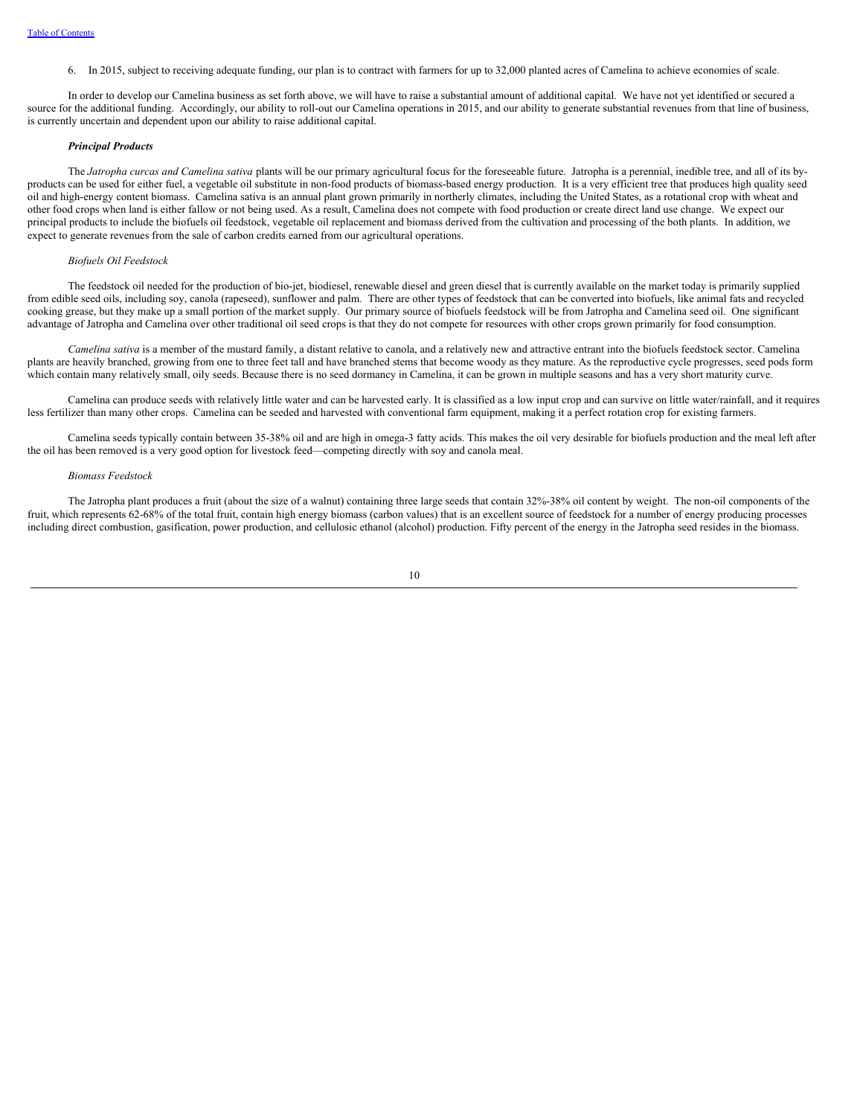6. In 2015, subject to receiving adequate funding, our plan is to contract with farmers for up to 32,000 planted acres of Camelina to achieve economies of scale.

In order to develop our Camelina business as set forth above, we will have to raise a substantial amount of additional capital. We have not yet identified or secured a source for the additional funding. Accordingly, our ability to roll-out our Camelina operations in 2015, and our ability to generate substantial revenues from that line of business, is currently uncertain and dependent upon our ability to raise additional capital.

### *Principal Products*

The *Jatropha curcas and Camelina sativa* plants will be our primary agricultural focus for the foreseeable future. Jatropha is a perennial, inedible tree, and all of its byproducts can be used for either fuel, a vegetable oil substitute in non-food products of biomass-based energy production. It is a very efficient tree that produces high quality seed oil and high-energy content biomass. Camelina sativa is an annual plant grown primarily in northerly climates, including the United States, as a rotational crop with wheat and other food crops when land is either fallow or not being used. As a result, Camelina does not compete with food production or create direct land use change. We expect our principal products to include the biofuels oil feedstock, vegetable oil replacement and biomass derived from the cultivation and processing of the both plants. In addition, we expect to generate revenues from the sale of carbon credits earned from our agricultural operations.

#### *Biofuels Oil Feedstock*

The feedstock oil needed for the production of bio-jet, biodiesel, renewable diesel and green diesel that is currently available on the market today is primarily supplied from edible seed oils, including soy, canola (rapeseed), sunflower and palm. There are other types of feedstock that can be converted into biofuels, like animal fats and recycled cooking grease, but they make up a small portion of the market supply. Our primary source of biofuels feedstock will be from Jatropha and Camelina seed oil. One significant advantage of Jatropha and Camelina over other traditional oil seed crops is that they do not compete for resources with other crops grown primarily for food consumption.

*Camelina sativa* is a member of the mustard family, a distant relative to canola, and a relatively new and attractive entrant into the biofuels feedstock sector. Camelina plants are heavily branched, growing from one to three feet tall and have branched stems that become woody as they mature. As the reproductive cycle progresses, seed pods form which contain many relatively small, oily seeds. Because there is no seed dormancy in Camelina, it can be grown in multiple seasons and has a very short maturity curve.

Camelina can produce seeds with relatively little water and can be harvested early. It is classified as a low input crop and can survive on little water/rainfall, and it requires less fertilizer than many other crops. Camelina can be seeded and harvested with conventional farm equipment, making it a perfect rotation crop for existing farmers.

Camelina seeds typically contain between 35-38% oil and are high in omega-3 fatty acids. This makes the oil very desirable for biofuels production and the meal left after the oil has been removed is a very good option for livestock feed—competing directly with soy and canola meal.

#### *Biomass Feedstock*

The Jatropha plant produces a fruit (about the size of a walnut) containing three large seeds that contain 32%-38% oil content by weight. The non-oil components of the fruit, which represents 62-68% of the total fruit, contain high energy biomass (carbon values) that is an excellent source of feedstock for a number of energy producing processes including direct combustion, gasification, power production, and cellulosic ethanol (alcohol) production. Fifty percent of the energy in the Jatropha seed resides in the biomass.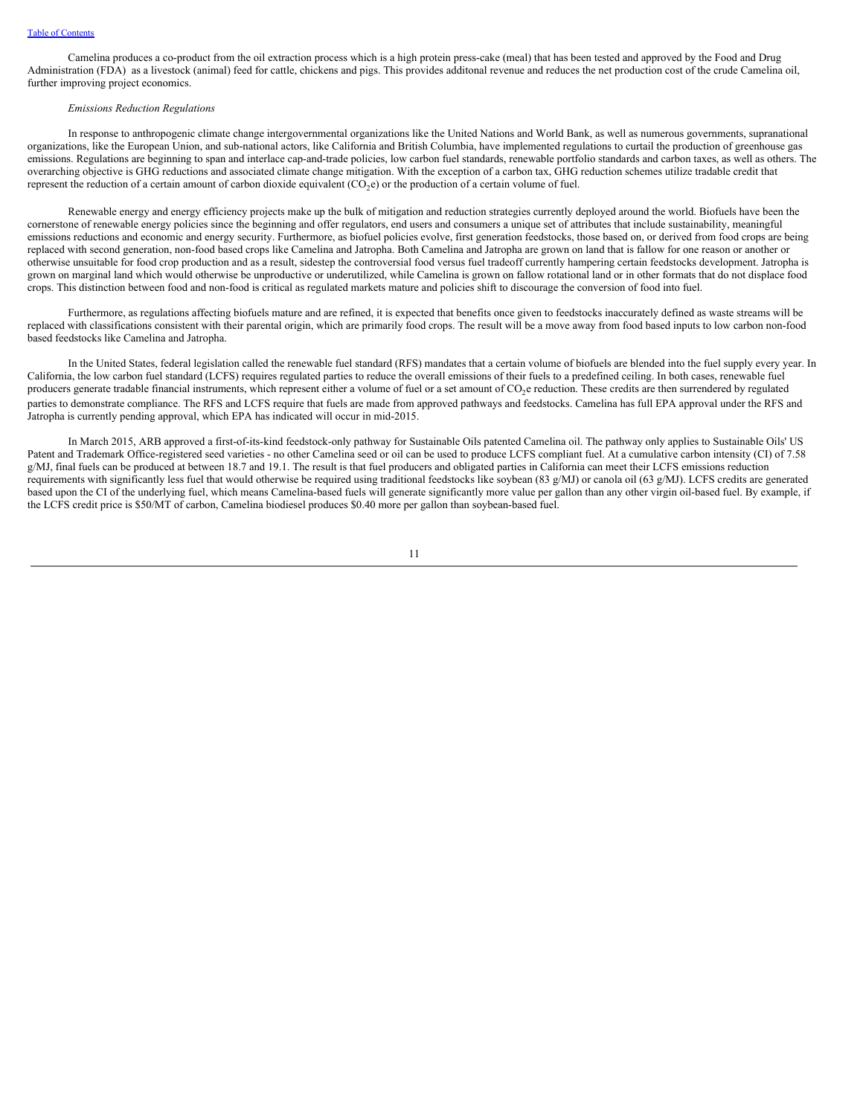Camelina produces a co-product from the oil extraction process which is a high protein press-cake (meal) that has been tested and approved by the Food and Drug Administration (FDA) as a livestock (animal) feed for cattle, chickens and pigs. This provides additonal revenue and reduces the net production cost of the crude Camelina oil, further improving project economics.

## *Emissions Reduction Regulations*

In response to anthropogenic climate change intergovernmental organizations like the United Nations and World Bank, as well as numerous governments, supranational organizations, like the European Union, and sub-national actors, like California and British Columbia, have implemented regulations to curtail the production of greenhouse gas emissions. Regulations are beginning to span and interlace cap-and-trade policies, low carbon fuel standards, renewable portfolio standards and carbon taxes, as well as others. The overarching objective is GHG reductions and associated climate change mitigation. With the exception of a carbon tax, GHG reduction schemes utilize tradable credit that represent the reduction of a certain amount of carbon dioxide equivalent  $(CO_2e)$  or the production of a certain volume of fuel.

Renewable energy and energy efficiency projects make up the bulk of mitigation and reduction strategies currently deployed around the world. Biofuels have been the cornerstone of renewable energy policies since the beginning and offer regulators, end users and consumers a unique set of attributes that include sustainability, meaningful emissions reductions and economic and energy security. Furthermore, as biofuel policies evolve, first generation feedstocks, those based on, or derived from food crops are being replaced with second generation, non-food based crops like Camelina and Jatropha. Both Camelina and Jatropha are grown on land that is fallow for one reason or another or otherwise unsuitable for food crop production and as a result, sidestep the controversial food versus fuel tradeoff currently hampering certain feedstocks development. Jatropha is grown on marginal land which would otherwise be unproductive or underutilized, while Camelina is grown on fallow rotational land or in other formats that do not displace food crops. This distinction between food and non-food is critical as regulated markets mature and policies shift to discourage the conversion of food into fuel.

Furthermore, as regulations affecting biofuels mature and are refined, it is expected that benefits once given to feedstocks inaccurately defined as waste streams will be replaced with classifications consistent with their parental origin, which are primarily food crops. The result will be a move away from food based inputs to low carbon non-food based feedstocks like Camelina and Jatropha.

In the United States, federal legislation called the renewable fuel standard (RFS) mandates that a certain volume of biofuels are blended into the fuel supply every year. In California, the low carbon fuel standard (LCFS) requires regulated parties to reduce the overall emissions of their fuels to a predefined ceiling. In both cases, renewable fuel producers generate tradable financial instruments, which represent either a volume of fuel or a set amount of  $CO_2$ e reduction. These credits are then surrendered by regulated parties to demonstrate compliance. The RFS and LCFS require that fuels are made from approved pathways and feedstocks. Camelina has full EPA approval under the RFS and Jatropha is currently pending approval, which EPA has indicated will occur in mid-2015.

In March 2015, ARB approved a first-of-its-kind feedstock-only pathway for Sustainable Oils patented Camelina oil. The pathway only applies to Sustainable Oils' US Patent and Trademark Office-registered seed varieties - no other Camelina seed or oil can be used to produce LCFS compliant fuel. At a cumulative carbon intensity (CI) of 7.58 g/MJ, final fuels can be produced at between 18.7 and 19.1. The result is that fuel producers and obligated parties in California can meet their LCFS emissions reduction requirements with significantly less fuel that would otherwise be required using traditional feedstocks like soybean (83 g/MJ) or canola oil (63 g/MJ). LCFS credits are generated based upon the CI of the underlying fuel, which means Camelina-based fuels will generate significantly more value per gallon than any other virgin oil-based fuel. By example, if the LCFS credit price is \$50/MT of carbon, Camelina biodiesel produces \$0.40 more per gallon than soybean-based fuel.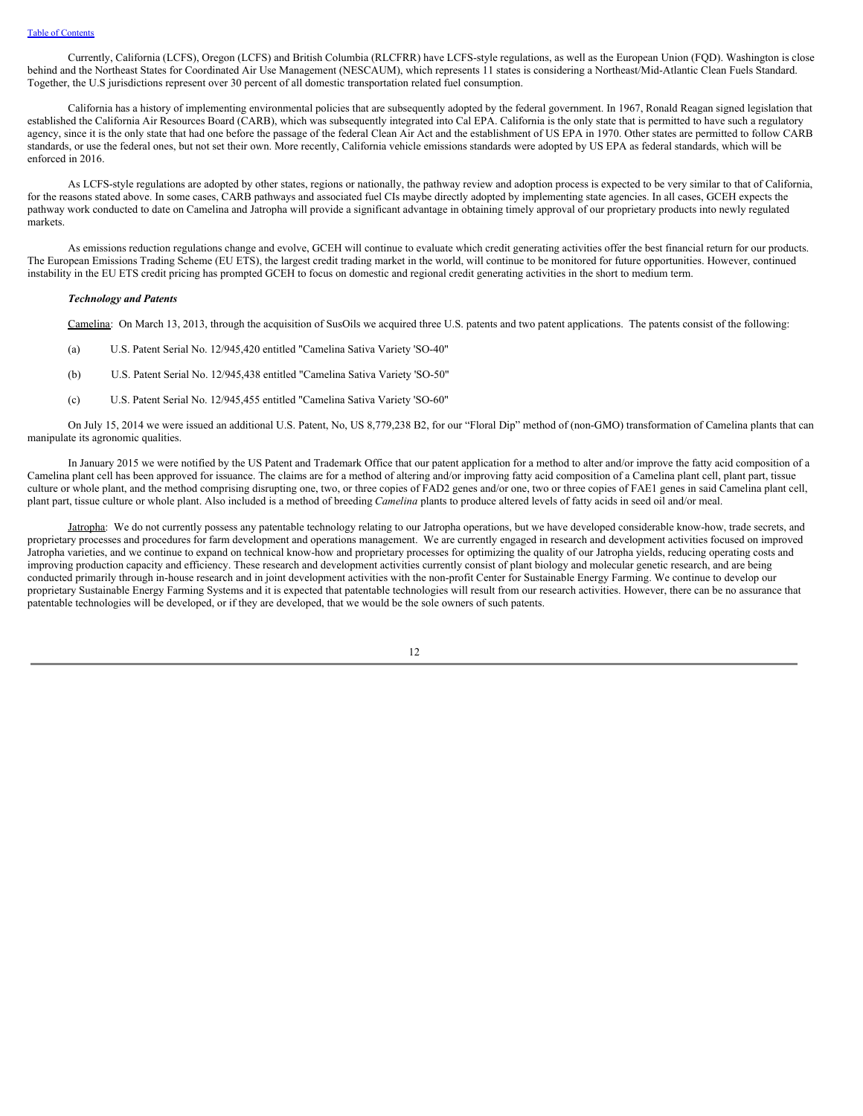Currently, California (LCFS), Oregon (LCFS) and British Columbia (RLCFRR) have LCFS-style regulations, as well as the European Union (FQD). Washington is close behind and the Northeast States for Coordinated Air Use Management (NESCAUM), which represents 11 states is considering a Northeast/Mid-Atlantic Clean Fuels Standard. Together, the U.S jurisdictions represent over 30 percent of all domestic transportation related fuel consumption.

California has a history of implementing environmental policies that are subsequently adopted by the federal government. In 1967, Ronald Reagan signed legislation that established the California Air Resources Board (CARB), which was subsequently integrated into Cal EPA. California is the only state that is permitted to have such a regulatory agency, since it is the only state that had one before the passage of the federal Clean Air Act and the establishment of US EPA in 1970. Other states are permitted to follow CARB standards, or use the federal ones, but not set their own. More recently, California vehicle emissions standards were adopted by US EPA as federal standards, which will be enforced in 2016.

As LCFS-style regulations are adopted by other states, regions or nationally, the pathway review and adoption process is expected to be very similar to that of California, for the reasons stated above. In some cases, CARB pathways and associated fuel CIs maybe directly adopted by implementing state agencies. In all cases, GCEH expects the pathway work conducted to date on Camelina and Jatropha will provide a significant advantage in obtaining timely approval of our proprietary products into newly regulated markets.

As emissions reduction regulations change and evolve, GCEH will continue to evaluate which credit generating activities offer the best financial return for our products. The European Emissions Trading Scheme (EU ETS), the largest credit trading market in the world, will continue to be monitored for future opportunities. However, continued instability in the EU ETS credit pricing has prompted GCEH to focus on domestic and regional credit generating activities in the short to medium term.

### *Technology and Patents*

Camelina: On March 13, 2013, through the acquisition of SusOils we acquired three U.S. patents and two patent applications. The patents consist of the following:

- (a) U.S. Patent Serial No. 12/945,420 entitled "Camelina Sativa Variety 'SO-40"
- (b) U.S. Patent Serial No. 12/945,438 entitled "Camelina Sativa Variety 'SO-50"
- (c) U.S. Patent Serial No. 12/945,455 entitled "Camelina Sativa Variety 'SO-60"

On July 15, 2014 we were issued an additional U.S. Patent, No, US 8,779,238 B2, for our "Floral Dip" method of (non-GMO) transformation of Camelina plants that can manipulate its agronomic qualities.

In January 2015 we were notified by the US Patent and Trademark Office that our patent application for a method to alter and/or improve the fatty acid composition of a Camelina plant cell has been approved for issuance. The claims are for a method of altering and/or improving fatty acid composition of a Camelina plant cell, plant part, tissue culture or whole plant, and the method comprising disrupting one, two, or three copies of FAD2 genes and/or one, two or three copies of FAE1 genes in said Camelina plant cell, plant part, tissue culture or whole plant. Also included is a method of breeding *Camelina* plants to produce altered levels of fatty acids in seed oil and/or meal.

Jatropha: We do not currently possess any patentable technology relating to our Jatropha operations, but we have developed considerable know-how, trade secrets, and proprietary processes and procedures for farm development and operations management. We are currently engaged in research and development activities focused on improved Jatropha varieties, and we continue to expand on technical know-how and proprietary processes for optimizing the quality of our Jatropha yields, reducing operating costs and improving production capacity and efficiency. These research and development activities currently consist of plant biology and molecular genetic research, and are being conducted primarily through in-house research and in joint development activities with the non-profit Center for Sustainable Energy Farming. We continue to develop our proprietary Sustainable Energy Farming Systems and it is expected that patentable technologies will result from our research activities. However, there can be no assurance that patentable technologies will be developed, or if they are developed, that we would be the sole owners of such patents.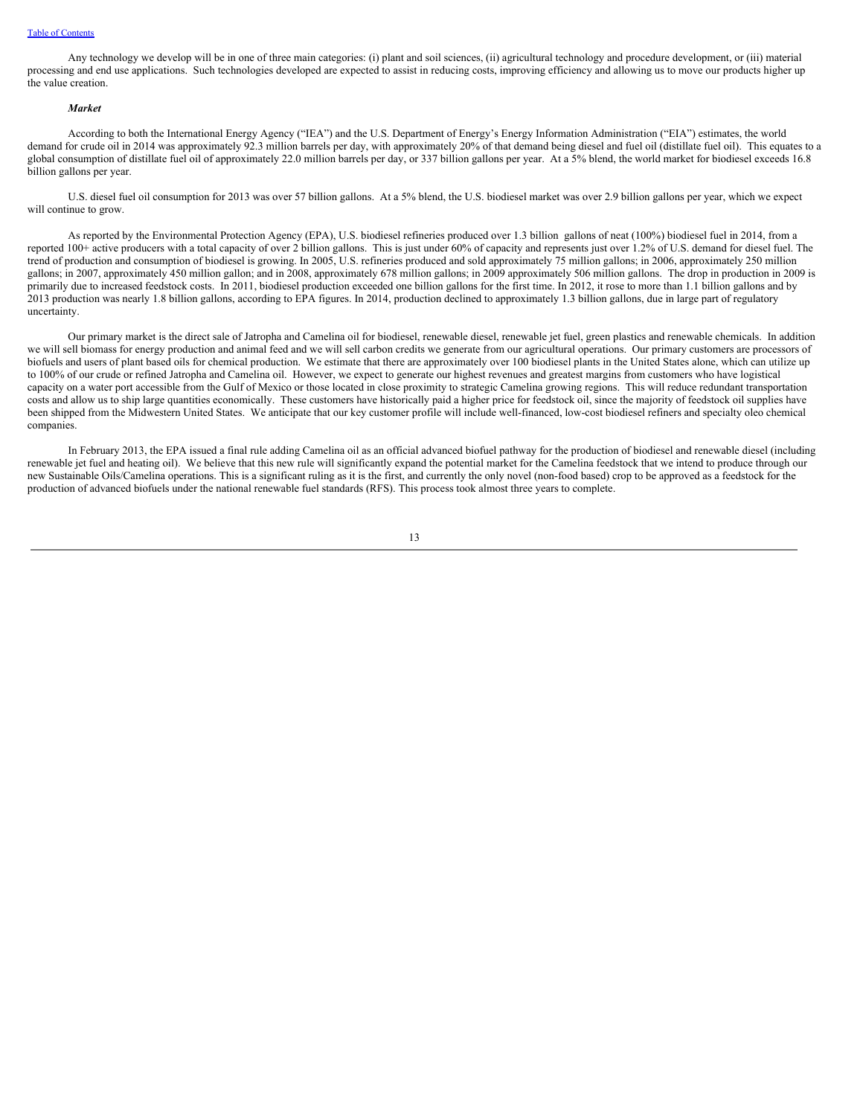### Table of [Contents](#page-2-0)

Any technology we develop will be in one of three main categories: (i) plant and soil sciences, (ii) agricultural technology and procedure development, or (iii) material processing and end use applications. Such technologies developed are expected to assist in reducing costs, improving efficiency and allowing us to move our products higher up the value creation.

## *Market*

According to both the International Energy Agency ("IEA") and the U.S. Department of Energy's Energy Information Administration ("EIA") estimates, the world demand for crude oil in 2014 was approximately 92.3 million barrels per day, with approximately 20% of that demand being diesel and fuel oil (distillate fuel oil). This equates to a global consumption of distillate fuel oil of approximately 22.0 million barrels per day, or 337 billion gallons per year. At a 5% blend, the world market for biodiesel exceeds 16.8 billion gallons per year.

U.S. diesel fuel oil consumption for 2013 was over 57 billion gallons. At a 5% blend, the U.S. biodiesel market was over 2.9 billion gallons per year, which we expect will continue to grow.

As reported by the Environmental Protection Agency (EPA), U.S. biodiesel refineries produced over 1.3 billion gallons of neat (100%) biodiesel fuel in 2014, from a reported 100+ active producers with a total capacity of over 2 billion gallons. This is just under 60% of capacity and represents just over 1.2% of U.S. demand for diesel fuel. The trend of production and consumption of biodiesel is growing. In 2005, U.S. refineries produced and sold approximately 75 million gallons; in 2006, approximately 250 million gallons; in 2007, approximately 450 million gallon; and in 2008, approximately 678 million gallons; in 2009 approximately 506 million gallons. The drop in production in 2009 is primarily due to increased feedstock costs. In 2011, biodiesel production exceeded one billion gallons for the first time. In 2012, it rose to more than 1.1 billion gallons and by 2013 production was nearly 1.8 billion gallons, according to EPA figures. In 2014, production declined to approximately 1.3 billion gallons, due in large part of regulatory uncertainty.

Our primary market is the direct sale of Jatropha and Camelina oil for biodiesel, renewable diesel, renewable jet fuel, green plastics and renewable chemicals. In addition we will sell biomass for energy production and animal feed and we will sell carbon credits we generate from our agricultural operations. Our primary customers are processors of biofuels and users of plant based oils for chemical production. We estimate that there are approximately over 100 biodiesel plants in the United States alone, which can utilize up to 100% of our crude or refined Jatropha and Camelina oil. However, we expect to generate our highest revenues and greatest margins from customers who have logistical capacity on a water port accessible from the Gulf of Mexico or those located in close proximity to strategic Camelina growing regions. This will reduce redundant transportation costs and allow us to ship large quantities economically. These customers have historically paid a higher price for feedstock oil, since the majority of feedstock oil supplies have been shipped from the Midwestern United States. We anticipate that our key customer profile will include well-financed, low-cost biodiesel refiners and specialty oleo chemical companies.

In February 2013, the EPA issued a final rule adding Camelina oil as an official advanced biofuel pathway for the production of biodiesel and renewable diesel (including renewable jet fuel and heating oil). We believe that this new rule will significantly expand the potential market for the Camelina feedstock that we intend to produce through our new Sustainable Oils/Camelina operations. This is a significant ruling as it is the first, and currently the only novel (non-food based) crop to be approved as a feedstock for the production of advanced biofuels under the national renewable fuel standards (RFS). This process took almost three years to complete.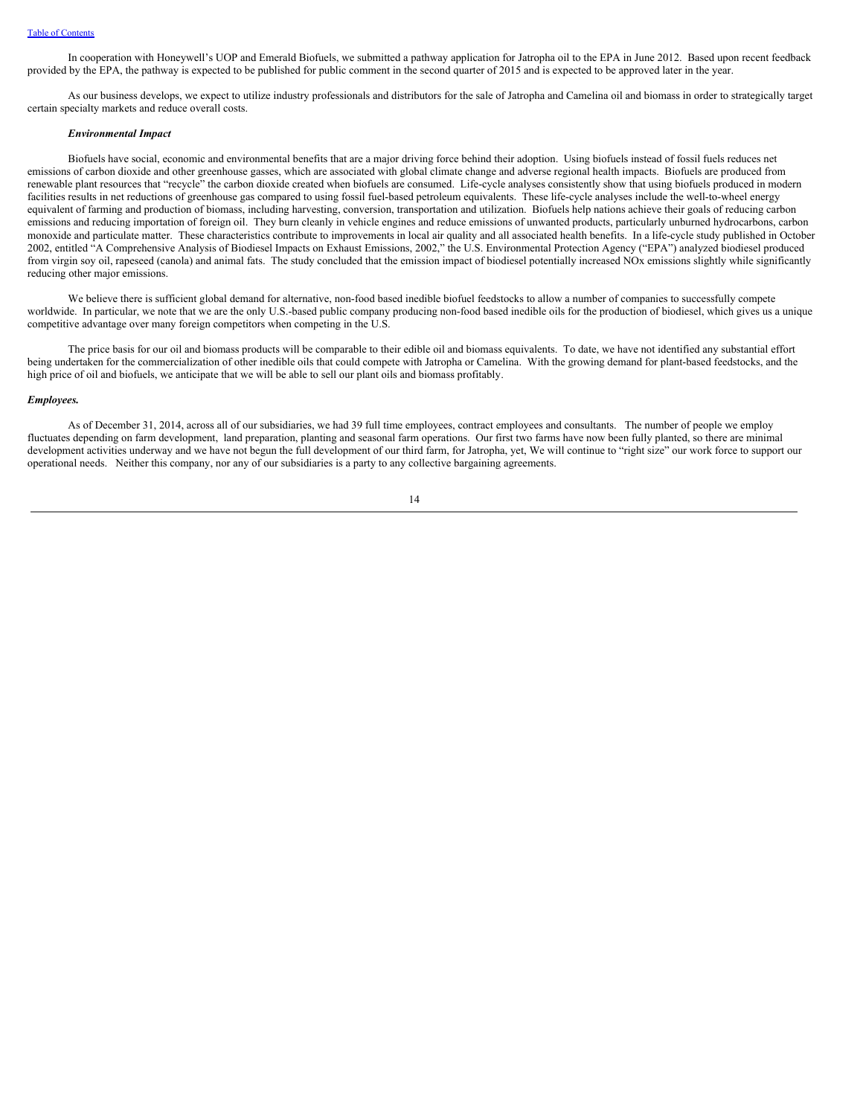In cooperation with Honeywell's UOP and Emerald Biofuels, we submitted a pathway application for Jatropha oil to the EPA in June 2012. Based upon recent feedback provided by the EPA, the pathway is expected to be published for public comment in the second quarter of 2015 and is expected to be approved later in the year.

As our business develops, we expect to utilize industry professionals and distributors for the sale of Jatropha and Camelina oil and biomass in order to strategically target certain specialty markets and reduce overall costs.

## *Environmental Impact*

Biofuels have social, economic and environmental benefits that are a major driving force behind their adoption. Using biofuels instead of fossil fuels reduces net emissions of carbon dioxide and other greenhouse gasses, which are associated with global climate change and adverse regional health impacts. Biofuels are produced from renewable plant resources that "recycle" the carbon dioxide created when biofuels are consumed. Life-cycle analyses consistently show that using biofuels produced in modern facilities results in net reductions of greenhouse gas compared to using fossil fuel-based petroleum equivalents. These life-cycle analyses include the well-to-wheel energy equivalent of farming and production of biomass, including harvesting, conversion, transportation and utilization. Biofuels help nations achieve their goals of reducing carbon emissions and reducing importation of foreign oil. They burn cleanly in vehicle engines and reduce emissions of unwanted products, particularly unburned hydrocarbons, carbon monoxide and particulate matter. These characteristics contribute to improvements in local air quality and all associated health benefits. In a life-cycle study published in October 2002, entitled "A Comprehensive Analysis of Biodiesel Impacts on Exhaust Emissions, 2002," the U.S. Environmental Protection Agency ("EPA") analyzed biodiesel produced from virgin soy oil, rapeseed (canola) and animal fats. The study concluded that the emission impact of biodiesel potentially increased NOx emissions slightly while significantly reducing other major emissions.

We believe there is sufficient global demand for alternative, non-food based inedible biofuel feedstocks to allow a number of companies to successfully compete worldwide. In particular, we note that we are the only U.S.-based public company producing non-food based inedible oils for the production of biodiesel, which gives us a unique competitive advantage over many foreign competitors when competing in the U.S.

The price basis for our oil and biomass products will be comparable to their edible oil and biomass equivalents. To date, we have not identified any substantial effort being undertaken for the commercialization of other inedible oils that could compete with Jatropha or Camelina. With the growing demand for plant-based feedstocks, and the high price of oil and biofuels, we anticipate that we will be able to sell our plant oils and biomass profitably.

#### *Employees.*

As of December 31, 2014, across all of our subsidiaries, we had 39 full time employees, contract employees and consultants. The number of people we employ fluctuates depending on farm development, land preparation, planting and seasonal farm operations. Our first two farms have now been fully planted, so there are minimal development activities underway and we have not begun the full development of our third farm, for Jatropha, yet, We will continue to "right size" our work force to support our operational needs. Neither this company, nor any of our subsidiaries is a party to any collective bargaining agreements.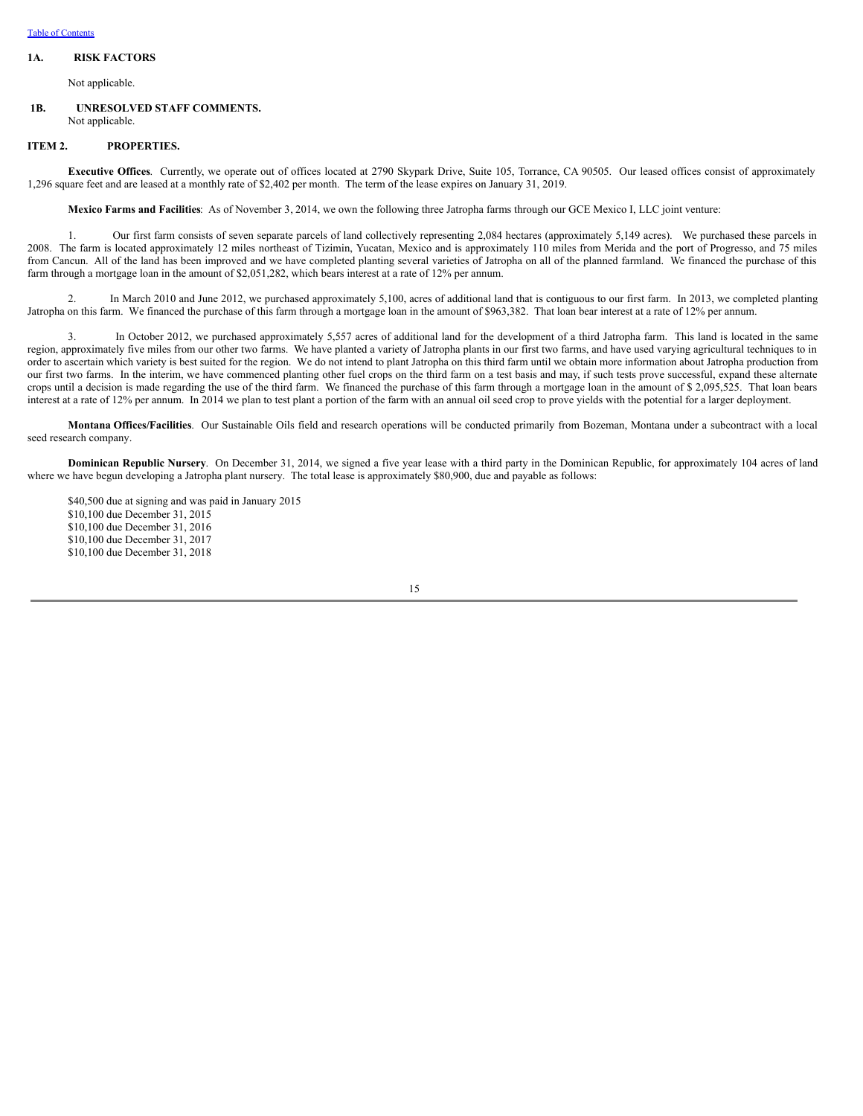# <span id="page-18-0"></span>**1A. RISK FACTORS**

Not applicable.

## <span id="page-18-1"></span>**1B. UNRESOLVED STAFF COMMENTS.** Not applicable.

## <span id="page-18-2"></span>**ITEM 2. PROPERTIES.**

**Executive Offices**. Currently, we operate out of offices located at 2790 Skypark Drive, Suite 105, Torrance, CA 90505. Our leased offices consist of approximately 1,296 square feet and are leased at a monthly rate of \$2,402 per month. The term of the lease expires on January 31, 2019.

**Mexico Farms and Facilities**: As of November 3, 2014, we own the following three Jatropha farms through our GCE Mexico I, LLC joint venture:

1. Our first farm consists of seven separate parcels of land collectively representing 2,084 hectares (approximately 5,149 acres). We purchased these parcels in 2008. The farm is located approximately 12 miles northeast of Tizimin, Yucatan, Mexico and is approximately 110 miles from Merida and the port of Progresso, and 75 miles from Cancun. All of the land has been improved and we have completed planting several varieties of Jatropha on all of the planned farmland. We financed the purchase of this farm through a mortgage loan in the amount of \$2,051,282, which bears interest at a rate of 12% per annum.

2. In March 2010 and June 2012, we purchased approximately 5,100, acres of additional land that is contiguous to our first farm. In 2013, we completed planting Jatropha on this farm. We financed the purchase of this farm through a mortgage loan in the amount of \$963,382. That loan bear interest at a rate of 12% per annum.

3. In October 2012, we purchased approximately 5,557 acres of additional land for the development of a third Jatropha farm. This land is located in the same region, approximately five miles from our other two farms. We have planted a variety of Jatropha plants in our first two farms, and have used varying agricultural techniques to in order to ascertain which variety is best suited for the region. We do not intend to plant Jatropha on this third farm until we obtain more information about Jatropha production from our first two farms. In the interim, we have commenced planting other fuel crops on the third farm on a test basis and may, if such tests prove successful, expand these alternate crops until a decision is made regarding the use of the third farm. We financed the purchase of this farm through a mortgage loan in the amount of \$ 2,095,525. That loan bears interest at a rate of 12% per annum. In 2014 we plan to test plant a portion of the farm with an annual oil seed crop to prove yields with the potential for a larger deployment.

**Montana Offices/Facilities**. Our Sustainable Oils field and research operations will be conducted primarily from Bozeman, Montana under a subcontract with a local seed research company.

**Dominican Republic Nursery**. On December 31, 2014, we signed a five year lease with a third party in the Dominican Republic, for approximately 104 acres of land where we have begun developing a Jatropha plant nursery. The total lease is approximately \$80,900, due and payable as follows:

\$40,500 due at signing and was paid in January 2015 \$10,100 due December 31, 2015 \$10,100 due December 31, 2016 \$10,100 due December 31, 2017 \$10,100 due December 31, 2018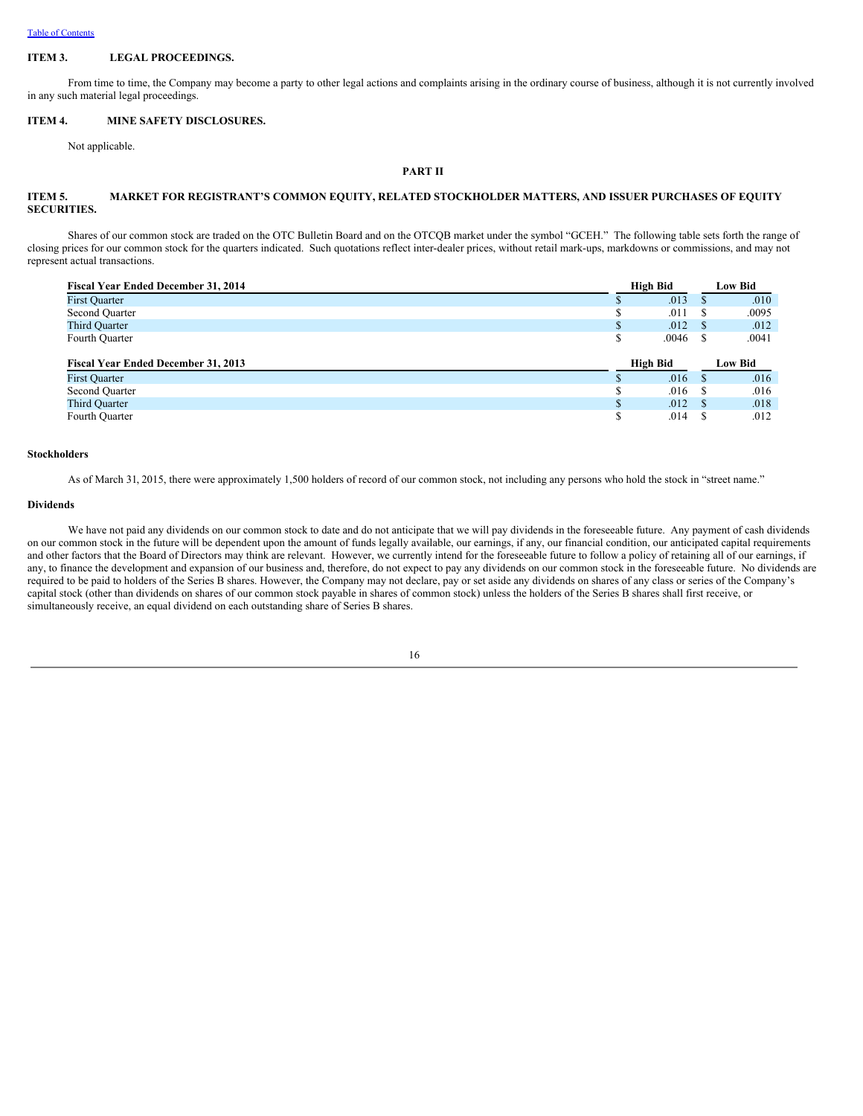### <span id="page-19-0"></span>**ITEM 3. LEGAL PROCEEDINGS.**

From time to time, the Company may become a party to other legal actions and complaints arising in the ordinary course of business, although it is not currently involved in any such material legal proceedings.

### <span id="page-19-1"></span>**ITEM 4. MINE SAFETY DISCLOSURES.**

Not applicable.

## <span id="page-19-2"></span>**PART II**

### <span id="page-19-3"></span>**ITEM 5. MARKET FOR REGISTRANT'S COMMON EQUITY, RELATED STOCKHOLDER MATTERS, AND ISSUER PURCHASES OF EQUITY SECURITIES.**

Shares of our common stock are traded on the OTC Bulletin Board and on the OTCQB market under the symbol "GCEH." The following table sets forth the range of closing prices for our common stock for the quarters indicated. Such quotations reflect inter-dealer prices, without retail mark-ups, markdowns or commissions, and may not represent actual transactions.

| Fiscal Year Ended December 31, 2014        |              | High Bid | <b>Low Bid</b> |         |  |
|--------------------------------------------|--------------|----------|----------------|---------|--|
| <b>First Ouarter</b>                       |              | .013     |                | .010    |  |
| Second Quarter                             | \$           | .011     | -S             | .0095   |  |
| <b>Third Quarter</b>                       | $\mathbb{S}$ | .012     | - \$           | .012    |  |
| Fourth Quarter                             | \$           | .0046    |                | .0041   |  |
|                                            |              |          |                |         |  |
|                                            |              |          |                |         |  |
| <b>Fiscal Year Ended December 31, 2013</b> |              | High Bid |                | Low Bid |  |
| <b>First Quarter</b>                       |              | .016     | $\mathbf{s}$   | .016    |  |
| Second Quarter                             | S            | .016     | -S             | .016    |  |
| <b>Third Quarter</b>                       | $\mathbb{S}$ | .012     | - \$           | .018    |  |

### **Stockholders**

As of March 31, 2015, there were approximately 1,500 holders of record of our common stock, not including any persons who hold the stock in "street name."

#### **Dividends**

We have not paid any dividends on our common stock to date and do not anticipate that we will pay dividends in the foreseeable future. Any payment of cash dividends on our common stock in the future will be dependent upon the amount of funds legally available, our earnings, if any, our financial condition, our anticipated capital requirements and other factors that the Board of Directors may think are relevant. However, we currently intend for the foreseeable future to follow a policy of retaining all of our earnings, if any, to finance the development and expansion of our business and, therefore, do not expect to pay any dividends on our common stock in the foreseeable future. No dividends are required to be paid to holders of the Series B shares. However, the Company may not declare, pay or set aside any dividends on shares of any class or series of the Company's capital stock (other than dividends on shares of our common stock payable in shares of common stock) unless the holders of the Series B shares shall first receive, or simultaneously receive, an equal dividend on each outstanding share of Series B shares.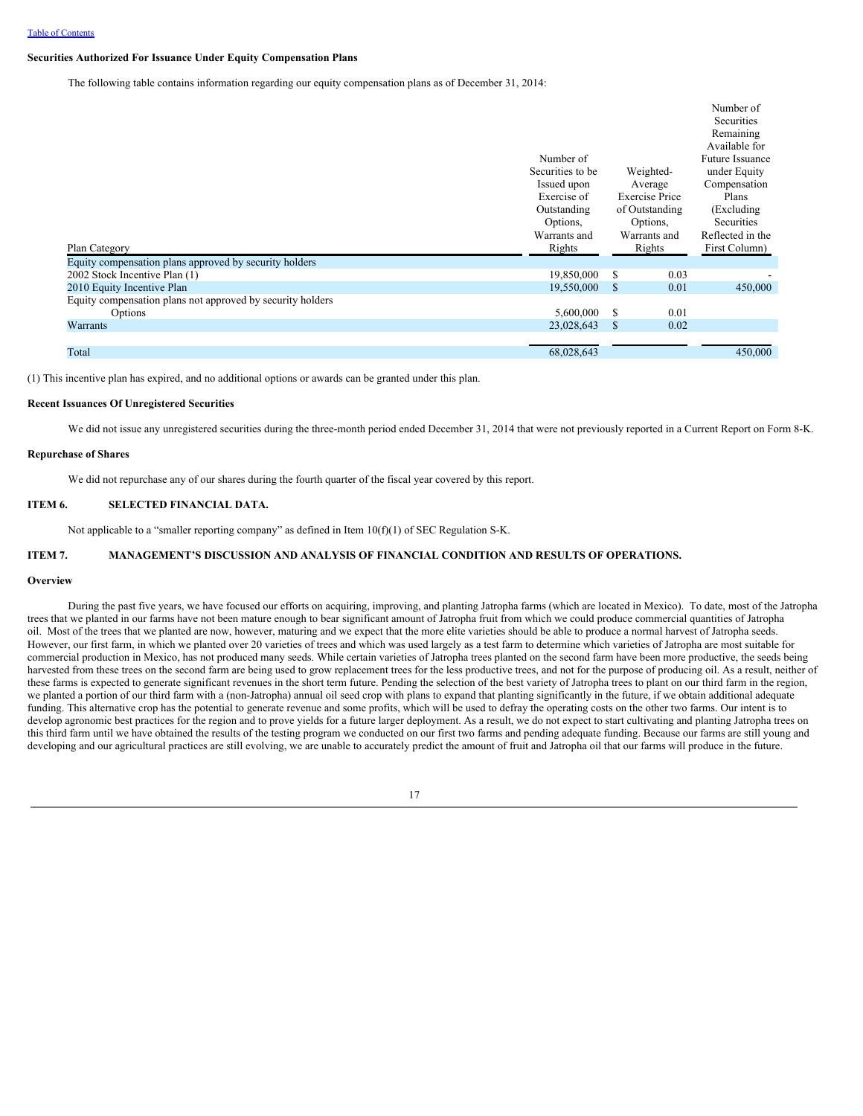### **Securities Authorized For Issuance Under Equity Compensation Plans**

The following table contains information regarding our equity compensation plans as of December 31, 2014:

|                                                            |                  |                       | Number of              |
|------------------------------------------------------------|------------------|-----------------------|------------------------|
|                                                            |                  |                       | Securities             |
|                                                            |                  |                       | Remaining              |
|                                                            |                  |                       | Available for          |
|                                                            | Number of        |                       | <b>Future Issuance</b> |
|                                                            | Securities to be | Weighted-             | under Equity           |
|                                                            | Issued upon      | Average               | Compensation           |
|                                                            | Exercise of      | <b>Exercise Price</b> | Plans                  |
|                                                            | Outstanding      | of Outstanding        | (Excluding)            |
|                                                            | Options.         | Options,              | Securities             |
|                                                            | Warrants and     | Warrants and          | Reflected in the       |
| Plan Category                                              | Rights           | Rights                | First Column)          |
| Equity compensation plans approved by security holders     |                  |                       |                        |
| 2002 Stock Incentive Plan (1)                              | 19,850,000       | 0.03<br>S             |                        |
| 2010 Equity Incentive Plan                                 | 19,550,000       | 0.01<br>- \$          | 450,000                |
| Equity compensation plans not approved by security holders |                  |                       |                        |
| Options                                                    | 5,600,000        | 0.01<br>S             |                        |
| Warrants                                                   | 23,028,643       | 0.02<br>-S            |                        |
|                                                            |                  |                       |                        |
| Total                                                      | 68,028,643       |                       | 450,000                |

(1) This incentive plan has expired, and no additional options or awards can be granted under this plan.

## **Recent Issuances Of Unregistered Securities**

We did not issue any unregistered securities during the three-month period ended December 31, 2014 that were not previously reported in a Current Report on Form 8-K.

#### **Repurchase of Shares**

We did not repurchase any of our shares during the fourth quarter of the fiscal year covered by this report.

# <span id="page-20-0"></span>**ITEM 6. SELECTED FINANCIAL DATA.**

Not applicable to a "smaller reporting company" as defined in Item  $10(f)(1)$  of SEC Regulation S-K.

# <span id="page-20-1"></span>**ITEM 7. MANAGEMENT'S DISCUSSION AND ANALYSIS OF FINANCIAL CONDITION AND RESULTS OF OPERATIONS.**

### **Overview**

During the past five years, we have focused our efforts on acquiring, improving, and planting Jatropha farms (which are located in Mexico). To date, most of the Jatropha trees that we planted in our farms have not been mature enough to bear significant amount of Jatropha fruit from which we could produce commercial quantities of Jatropha oil. Most of the trees that we planted are now, however, maturing and we expect that the more elite varieties should be able to produce a normal harvest of Jatropha seeds. However, our first farm, in which we planted over 20 varieties of trees and which was used largely as a test farm to determine which varieties of Jatropha are most suitable for commercial production in Mexico, has not produced many seeds. While certain varieties of Jatropha trees planted on the second farm have been more productive, the seeds being harvested from these trees on the second farm are being used to grow replacement trees for the less productive trees, and not for the purpose of producing oil. As a result, neither of these farms is expected to generate significant revenues in the short term future. Pending the selection of the best variety of Jatropha trees to plant on our third farm in the region, we planted a portion of our third farm with a (non-Jatropha) annual oil seed crop with plans to expand that planting significantly in the future, if we obtain additional adequate funding. This alternative crop has the potential to generate revenue and some profits, which will be used to defray the operating costs on the other two farms. Our intent is to develop agronomic best practices for the region and to prove yields for a future larger deployment. As a result, we do not expect to start cultivating and planting Jatropha trees on this third farm until we have obtained the results of the testing program we conducted on our first two farms and pending adequate funding. Because our farms are still young and developing and our agricultural practices are still evolving, we are unable to accurately predict the amount of fruit and Jatropha oil that our farms will produce in the future.

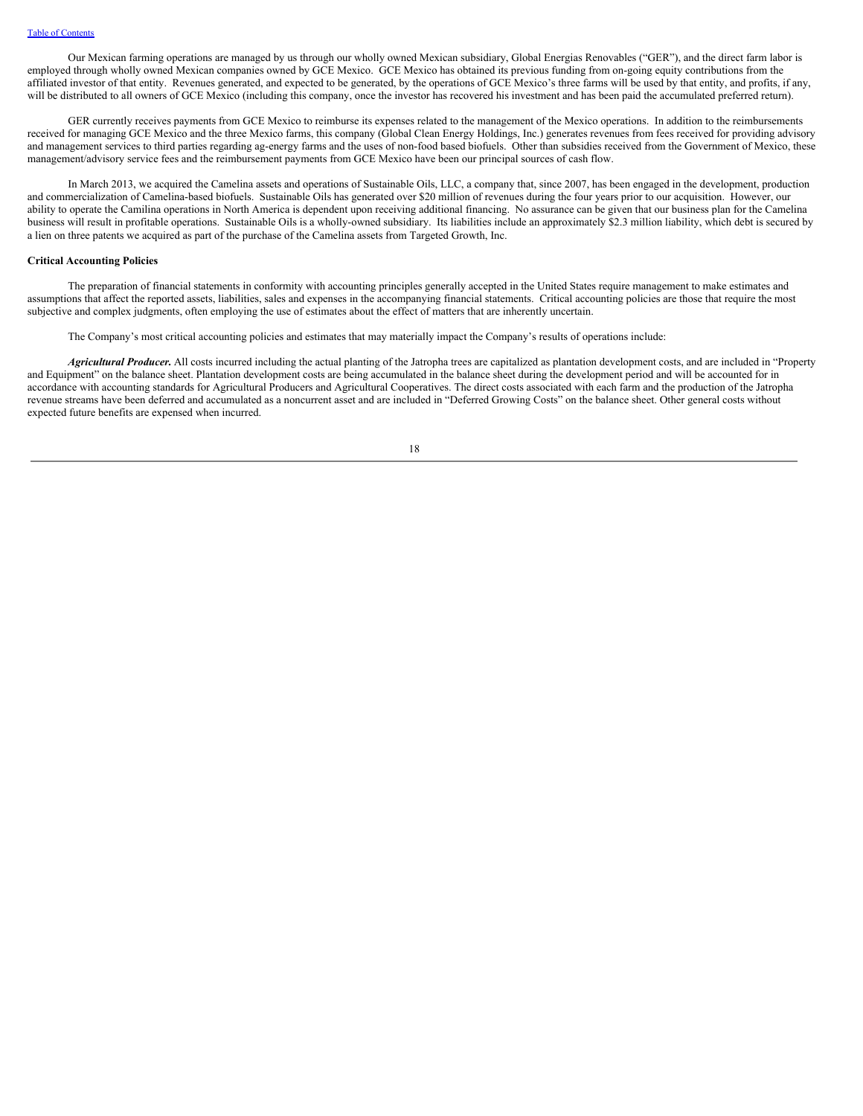Our Mexican farming operations are managed by us through our wholly owned Mexican subsidiary, Global Energias Renovables ("GER"), and the direct farm labor is employed through wholly owned Mexican companies owned by GCE Mexico. GCE Mexico has obtained its previous funding from on-going equity contributions from the affiliated investor of that entity. Revenues generated, and expected to be generated, by the operations of GCE Mexico's three farms will be used by that entity, and profits, if any, will be distributed to all owners of GCE Mexico (including this company, once the investor has recovered his investment and has been paid the accumulated preferred return).

GER currently receives payments from GCE Mexico to reimburse its expenses related to the management of the Mexico operations. In addition to the reimbursements received for managing GCE Mexico and the three Mexico farms, this company (Global Clean Energy Holdings, Inc.) generates revenues from fees received for providing advisory and management services to third parties regarding ag-energy farms and the uses of non-food based biofuels. Other than subsidies received from the Government of Mexico, these management/advisory service fees and the reimbursement payments from GCE Mexico have been our principal sources of cash flow.

In March 2013, we acquired the Camelina assets and operations of Sustainable Oils, LLC, a company that, since 2007, has been engaged in the development, production and commercialization of Camelina-based biofuels. Sustainable Oils has generated over \$20 million of revenues during the four years prior to our acquisition. However, our ability to operate the Camilina operations in North America is dependent upon receiving additional financing. No assurance can be given that our business plan for the Camelina business will result in profitable operations. Sustainable Oils is a wholly-owned subsidiary. Its liabilities include an approximately \$2.3 million liability, which debt is secured by a lien on three patents we acquired as part of the purchase of the Camelina assets from Targeted Growth, Inc.

## **Critical Accounting Policies**

The preparation of financial statements in conformity with accounting principles generally accepted in the United States require management to make estimates and assumptions that affect the reported assets, liabilities, sales and expenses in the accompanying financial statements. Critical accounting policies are those that require the most subjective and complex judgments, often employing the use of estimates about the effect of matters that are inherently uncertain.

The Company's most critical accounting policies and estimates that may materially impact the Company's results of operations include:

*Agricultural Producer.* All costs incurred including the actual planting of the Jatropha trees are capitalized as plantation development costs, and are included in "Property and Equipment" on the balance sheet. Plantation development costs are being accumulated in the balance sheet during the development period and will be accounted for in accordance with accounting standards for Agricultural Producers and Agricultural Cooperatives. The direct costs associated with each farm and the production of the Jatropha revenue streams have been deferred and accumulated as a noncurrent asset and are included in "Deferred Growing Costs" on the balance sheet. Other general costs without expected future benefits are expensed when incurred.

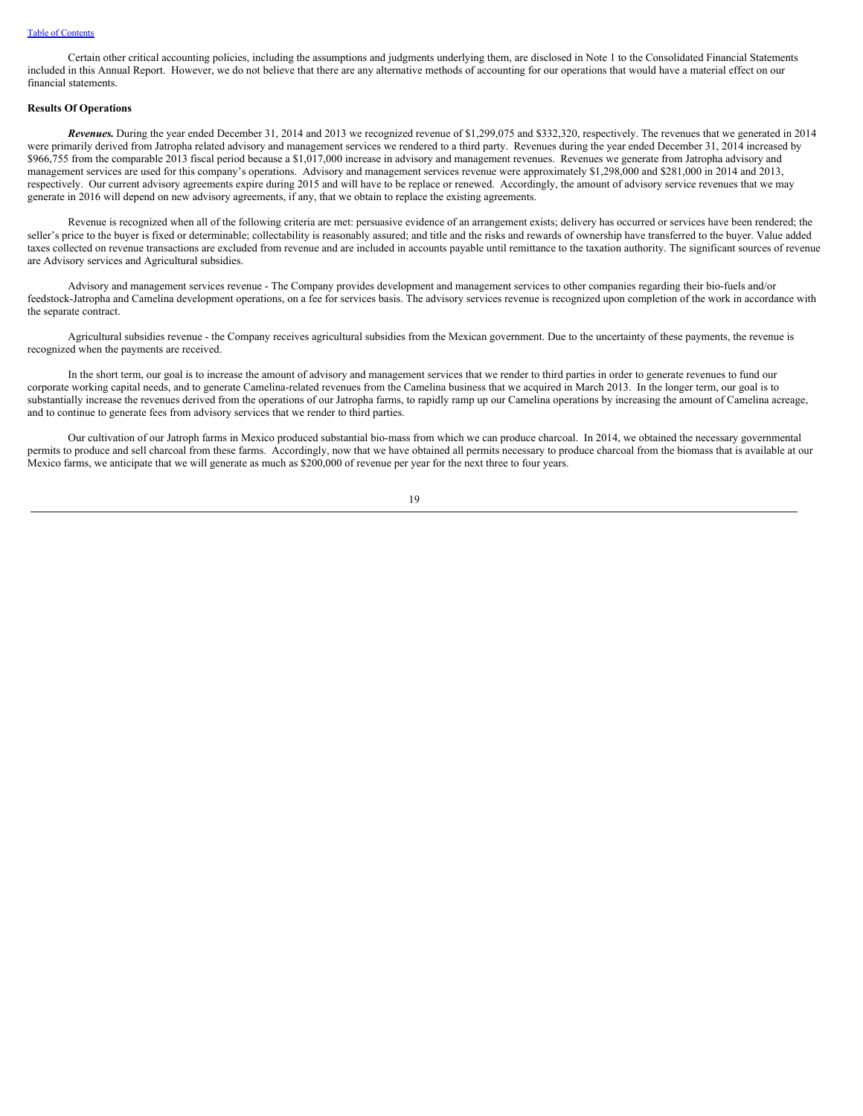Certain other critical accounting policies, including the assumptions and judgments underlying them, are disclosed in Note 1 to the Consolidated Financial Statements included in this Annual Report. However, we do not believe that there are any alternative methods of accounting for our operations that would have a material effect on our financial statements.

## **Results Of Operations**

*Revenues.* During the year ended December 31, 2014 and 2013 we recognized revenue of \$1,299,075 and \$332,320, respectively. The revenues that we generated in 2014 were primarily derived from Jatropha related advisory and management services we rendered to a third party. Revenues during the year ended December 31, 2014 increased by \$966,755 from the comparable 2013 fiscal period because a \$1,017,000 increase in advisory and management revenues. Revenues we generate from Jatropha advisory and management services are used for this company's operations. Advisory and management services revenue were approximately \$1,298,000 and \$281,000 in 2014 and 2013, respectively. Our current advisory agreements expire during 2015 and will have to be replace or renewed. Accordingly, the amount of advisory service revenues that we may generate in 2016 will depend on new advisory agreements, if any, that we obtain to replace the existing agreements.

Revenue is recognized when all of the following criteria are met: persuasive evidence of an arrangement exists; delivery has occurred or services have been rendered; the seller's price to the buyer is fixed or determinable; collectability is reasonably assured; and title and the risks and rewards of ownership have transferred to the buyer. Value added taxes collected on revenue transactions are excluded from revenue and are included in accounts payable until remittance to the taxation authority. The significant sources of revenue are Advisory services and Agricultural subsidies.

Advisory and management services revenue - The Company provides development and management services to other companies regarding their bio-fuels and/or feedstock-Jatropha and Camelina development operations, on a fee for services basis. The advisory services revenue is recognized upon completion of the work in accordance with the separate contract.

Agricultural subsidies revenue - the Company receives agricultural subsidies from the Mexican government. Due to the uncertainty of these payments, the revenue is recognized when the payments are received.

In the short term, our goal is to increase the amount of advisory and management services that we render to third parties in order to generate revenues to fund our corporate working capital needs, and to generate Camelina-related revenues from the Camelina business that we acquired in March 2013. In the longer term, our goal is to substantially increase the revenues derived from the operations of our Jatropha farms, to rapidly ramp up our Camelina operations by increasing the amount of Camelina acreage, and to continue to generate fees from advisory services that we render to third parties.

Our cultivation of our Jatroph farms in Mexico produced substantial bio-mass from which we can produce charcoal. In 2014, we obtained the necessary governmental permits to produce and sell charcoal from these farms. Accordingly, now that we have obtained all permits necessary to produce charcoal from the biomass that is available at our Mexico farms, we anticipate that we will generate as much as \$200,000 of revenue per year for the next three to four years.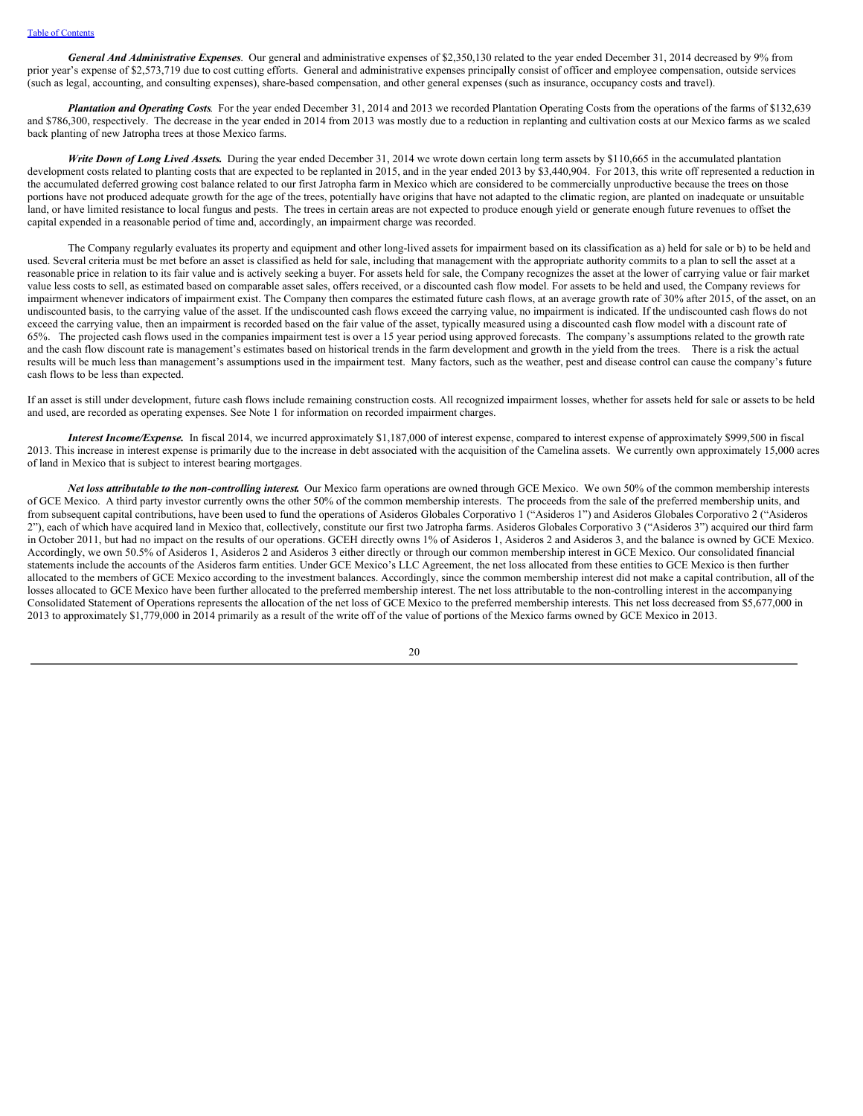*General And Administrative Expenses*. Our general and administrative expenses of \$2,350,130 related to the year ended December 31, 2014 decreased by 9% from prior year's expense of \$2,573,719 due to cost cutting efforts. General and administrative expenses principally consist of officer and employee compensation, outside services (such as legal, accounting, and consulting expenses), share-based compensation, and other general expenses (such as insurance, occupancy costs and travel).

*Plantation and Operating Costs*. For the year ended December 31, 2014 and 2013 we recorded Plantation Operating Costs from the operations of the farms of \$132,639 and \$786,300, respectively. The decrease in the year ended in 2014 from 2013 was mostly due to a reduction in replanting and cultivation costs at our Mexico farms as we scaled back planting of new Jatropha trees at those Mexico farms.

*Write Down of Long Lived Assets.* During the year ended December 31, 2014 we wrote down certain long term assets by \$110,665 in the accumulated plantation development costs related to planting costs that are expected to be replanted in 2015, and in the year ended 2013 by \$3,440,904. For 2013, this write off represented a reduction in the accumulated deferred growing cost balance related to our first Jatropha farm in Mexico which are considered to be commercially unproductive because the trees on those portions have not produced adequate growth for the age of the trees, potentially have origins that have not adapted to the climatic region, are planted on inadequate or unsuitable land, or have limited resistance to local fungus and pests. The trees in certain areas are not expected to produce enough yield or generate enough future revenues to offset the capital expended in a reasonable period of time and, accordingly, an impairment charge was recorded.

The Company regularly evaluates its property and equipment and other long-lived assets for impairment based on its classification as a) held for sale or b) to be held and used. Several criteria must be met before an asset is classified as held for sale, including that management with the appropriate authority commits to a plan to sell the asset at a reasonable price in relation to its fair value and is actively seeking a buyer. For assets held for sale, the Company recognizes the asset at the lower of carrying value or fair market value less costs to sell, as estimated based on comparable asset sales, offers received, or a discounted cash flow model. For assets to be held and used, the Company reviews for impairment whenever indicators of impairment exist. The Company then compares the estimated future cash flows, at an average growth rate of 30% after 2015, of the asset, on an undiscounted basis, to the carrying value of the asset. If the undiscounted cash flows exceed the carrying value, no impairment is indicated. If the undiscounted cash flows do not exceed the carrying value, then an impairment is recorded based on the fair value of the asset, typically measured using a discounted cash flow model with a discount rate of 65%. The projected cash flows used in the companies impairment test is over a 15 year period using approved forecasts. The company's assumptions related to the growth rate and the cash flow discount rate is management's estimates based on historical trends in the farm development and growth in the yield from the trees. There is a risk the actual results will be much less than management's assumptions used in the impairment test. Many factors, such as the weather, pest and disease control can cause the company's future cash flows to be less than expected.

If an asset is still under development, future cash flows include remaining construction costs. All recognized impairment losses, whether for assets held for sale or assets to be held and used, are recorded as operating expenses. See Note 1 for information on recorded impairment charges.

*Interest Income/Expense.* In fiscal 2014, we incurred approximately \$1,187,000 of interest expense, compared to interest expense of approximately \$999,500 in fiscal 2013. This increase in interest expense is primarily due to the increase in debt associated with the acquisition of the Camelina assets. We currently own approximately 15,000 acres of land in Mexico that is subject to interest bearing mortgages.

*Net loss attributable to the non-controlling interest***.** Our Mexico farm operations are owned through GCE Mexico. We own 50% of the common membership interests of GCE Mexico. A third party investor currently owns the other 50% of the common membership interests. The proceeds from the sale of the preferred membership units, and from subsequent capital contributions, have been used to fund the operations of Asideros Globales Corporativo 1 ("Asideros 1") and Asideros Globales Corporativo 2 ("Asideros 2"), each of which have acquired land in Mexico that, collectively, constitute our first two Jatropha farms. Asideros Globales Corporativo 3 ("Asideros 3") acquired our third farm in October 2011, but had no impact on the results of our operations. GCEH directly owns 1% of Asideros 1, Asideros 2 and Asideros 3, and the balance is owned by GCE Mexico. Accordingly, we own 50.5% of Asideros 1, Asideros 2 and Asideros 3 either directly or through our common membership interest in GCE Mexico. Our consolidated financial statements include the accounts of the Asideros farm entities. Under GCE Mexico's LLC Agreement, the net loss allocated from these entities to GCE Mexico is then further allocated to the members of GCE Mexico according to the investment balances. Accordingly, since the common membership interest did not make a capital contribution, all of the losses allocated to GCE Mexico have been further allocated to the preferred membership interest. The net loss attributable to the non-controlling interest in the accompanying Consolidated Statement of Operations represents the allocation of the net loss of GCE Mexico to the preferred membership interests. This net loss decreased from \$5,677,000 in 2013 to approximately \$1,779,000 in 2014 primarily as a result of the write off of the value of portions of the Mexico farms owned by GCE Mexico in 2013.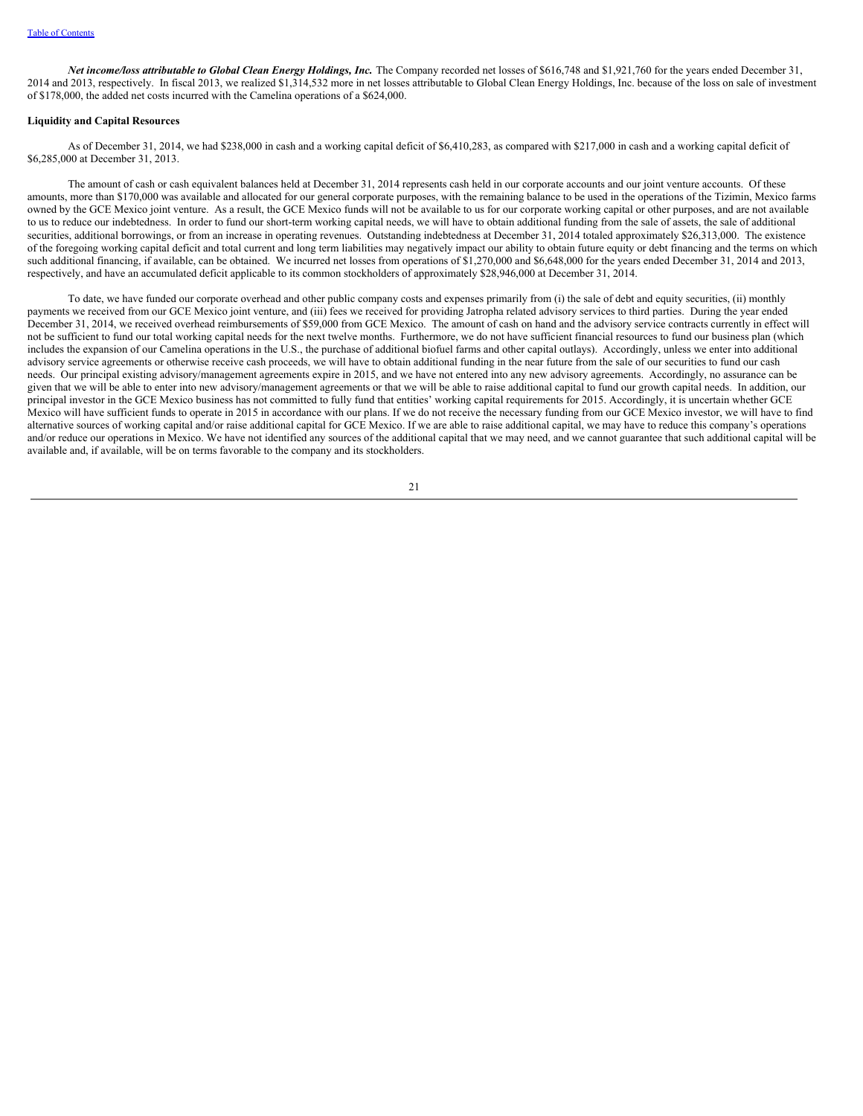*Net income/loss attributable to Global Clean Energy Holdings, Inc.* The Company recorded net losses of \$616,748 and \$1,921,760 for the years ended December 31, 2014 and 2013, respectively. In fiscal 2013, we realized \$1,314,532 more in net losses attributable to Global Clean Energy Holdings, Inc. because of the loss on sale of investment of \$178,000, the added net costs incurred with the Camelina operations of a \$624,000.

### **Liquidity and Capital Resources**

As of December 31, 2014, we had \$238,000 in cash and a working capital deficit of \$6,410,283, as compared with \$217,000 in cash and a working capital deficit of \$6,285,000 at December 31, 2013.

The amount of cash or cash equivalent balances held at December 31, 2014 represents cash held in our corporate accounts and our joint venture accounts. Of these amounts, more than \$170,000 was available and allocated for our general corporate purposes, with the remaining balance to be used in the operations of the Tizimin, Mexico farms owned by the GCE Mexico joint venture. As a result, the GCE Mexico funds will not be available to us for our corporate working capital or other purposes, and are not available to us to reduce our indebtedness. In order to fund our short-term working capital needs, we will have to obtain additional funding from the sale of assets, the sale of additional securities, additional borrowings, or from an increase in operating revenues. Outstanding indebtedness at December 31, 2014 totaled approximately \$26,313,000. The existence of the foregoing working capital deficit and total current and long term liabilities may negatively impact our ability to obtain future equity or debt financing and the terms on which such additional financing, if available, can be obtained. We incurred net losses from operations of \$1,270,000 and \$6,648,000 for the years ended December 31, 2014 and 2013, respectively, and have an accumulated deficit applicable to its common stockholders of approximately \$28,946,000 at December 31, 2014.

To date, we have funded our corporate overhead and other public company costs and expenses primarily from (i) the sale of debt and equity securities, (ii) monthly payments we received from our GCE Mexico joint venture, and (iii) fees we received for providing Jatropha related advisory services to third parties. During the year ended December 31, 2014, we received overhead reimbursements of \$59,000 from GCE Mexico. The amount of cash on hand and the advisory service contracts currently in effect will not be sufficient to fund our total working capital needs for the next twelve months. Furthermore, we do not have sufficient financial resources to fund our business plan (which includes the expansion of our Camelina operations in the U.S., the purchase of additional biofuel farms and other capital outlays). Accordingly, unless we enter into additional advisory service agreements or otherwise receive cash proceeds, we will have to obtain additional funding in the near future from the sale of our securities to fund our cash needs. Our principal existing advisory/management agreements expire in 2015, and we have not entered into any new advisory agreements. Accordingly, no assurance can be given that we will be able to enter into new advisory/management agreements or that we will be able to raise additional capital to fund our growth capital needs. In addition, our principal investor in the GCE Mexico business has not committed to fully fund that entities' working capital requirements for 2015. Accordingly, it is uncertain whether GCE Mexico will have sufficient funds to operate in 2015 in accordance with our plans. If we do not receive the necessary funding from our GCE Mexico investor, we will have to find alternative sources of working capital and/or raise additional capital for GCE Mexico. If we are able to raise additional capital, we may have to reduce this company's operations and/or reduce our operations in Mexico. We have not identified any sources of the additional capital that we may need, and we cannot guarantee that such additional capital will be available and, if available, will be on terms favorable to the company and its stockholders.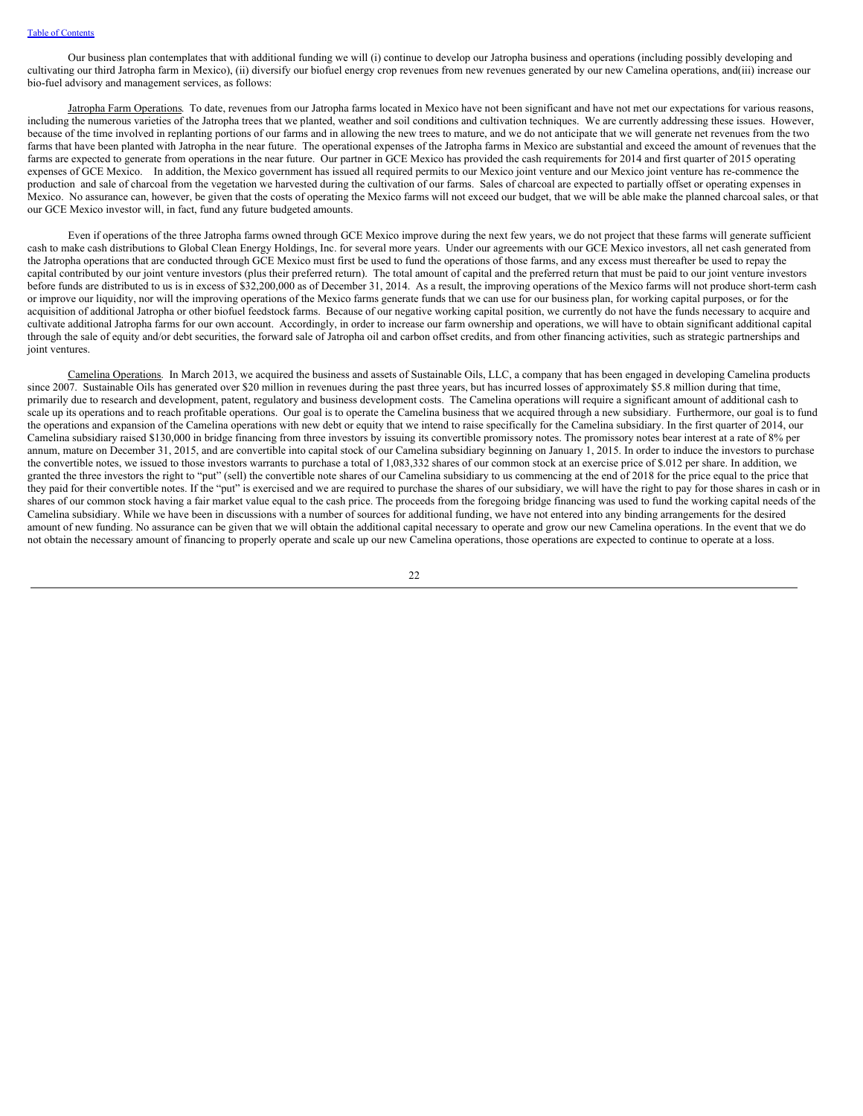Our business plan contemplates that with additional funding we will (i) continue to develop our Jatropha business and operations (including possibly developing and cultivating our third Jatropha farm in Mexico), (ii) diversify our biofuel energy crop revenues from new revenues generated by our new Camelina operations, and(iii) increase our bio-fuel advisory and management services, as follows:

Jatropha Farm Operations. To date, revenues from our Jatropha farms located in Mexico have not been significant and have not met our expectations for various reasons, including the numerous varieties of the Jatropha trees that we planted, weather and soil conditions and cultivation techniques. We are currently addressing these issues. However, because of the time involved in replanting portions of our farms and in allowing the new trees to mature, and we do not anticipate that we will generate net revenues from the two farms that have been planted with Jatropha in the near future. The operational expenses of the Jatropha farms in Mexico are substantial and exceed the amount of revenues that the farms are expected to generate from operations in the near future. Our partner in GCE Mexico has provided the cash requirements for 2014 and first quarter of 2015 operating expenses of GCE Mexico. In addition, the Mexico government has issued all required permits to our Mexico joint venture and our Mexico joint venture has re-commence the production and sale of charcoal from the vegetation we harvested during the cultivation of our farms. Sales of charcoal are expected to partially offset or operating expenses in Mexico. No assurance can, however, be given that the costs of operating the Mexico farms will not exceed our budget, that we will be able make the planned charcoal sales, or that our GCE Mexico investor will, in fact, fund any future budgeted amounts.

Even if operations of the three Jatropha farms owned through GCE Mexico improve during the next few years, we do not project that these farms will generate sufficient cash to make cash distributions to Global Clean Energy Holdings, Inc. for several more years. Under our agreements with our GCE Mexico investors, all net cash generated from the Jatropha operations that are conducted through GCE Mexico must first be used to fund the operations of those farms, and any excess must thereafter be used to repay the capital contributed by our joint venture investors (plus their preferred return). The total amount of capital and the preferred return that must be paid to our joint venture investors before funds are distributed to us is in excess of \$32,200,000 as of December 31, 2014. As a result, the improving operations of the Mexico farms will not produce short-term cash or improve our liquidity, nor will the improving operations of the Mexico farms generate funds that we can use for our business plan, for working capital purposes, or for the acquisition of additional Jatropha or other biofuel feedstock farms. Because of our negative working capital position, we currently do not have the funds necessary to acquire and cultivate additional Jatropha farms for our own account. Accordingly, in order to increase our farm ownership and operations, we will have to obtain significant additional capital through the sale of equity and/or debt securities, the forward sale of Jatropha oil and carbon offset credits, and from other financing activities, such as strategic partnerships and joint ventures.

Camelina Operations. In March 2013, we acquired the business and assets of Sustainable Oils, LLC, a company that has been engaged in developing Camelina products since 2007. Sustainable Oils has generated over \$20 million in revenues during the past three years, but has incurred losses of approximately \$5.8 million during that time, primarily due to research and development, patent, regulatory and business development costs. The Camelina operations will require a significant amount of additional cash to scale up its operations and to reach profitable operations. Our goal is to operate the Camelina business that we acquired through a new subsidiary. Furthermore, our goal is to fund the operations and expansion of the Camelina operations with new debt or equity that we intend to raise specifically for the Camelina subsidiary. In the first quarter of 2014, our Camelina subsidiary raised \$130,000 in bridge financing from three investors by issuing its convertible promissory notes. The promissory notes bear interest at a rate of 8% per annum, mature on December 31, 2015, and are convertible into capital stock of our Camelina subsidiary beginning on January 1, 2015. In order to induce the investors to purchase the convertible notes, we issued to those investors warrants to purchase a total of 1,083,332 shares of our common stock at an exercise price of \$.012 per share. In addition, we granted the three investors the right to "put" (sell) the convertible note shares of our Camelina subsidiary to us commencing at the end of 2018 for the price equal to the price that they paid for their convertible notes. If the "put" is exercised and we are required to purchase the shares of our subsidiary, we will have the right to pay for those shares in cash or in shares of our common stock having a fair market value equal to the cash price. The proceeds from the foregoing bridge financing was used to fund the working capital needs of the Camelina subsidiary. While we have been in discussions with a number of sources for additional funding, we have not entered into any binding arrangements for the desired amount of new funding. No assurance can be given that we will obtain the additional capital necessary to operate and grow our new Camelina operations. In the event that we do not obtain the necessary amount of financing to properly operate and scale up our new Camelina operations, those operations are expected to continue to operate at a loss.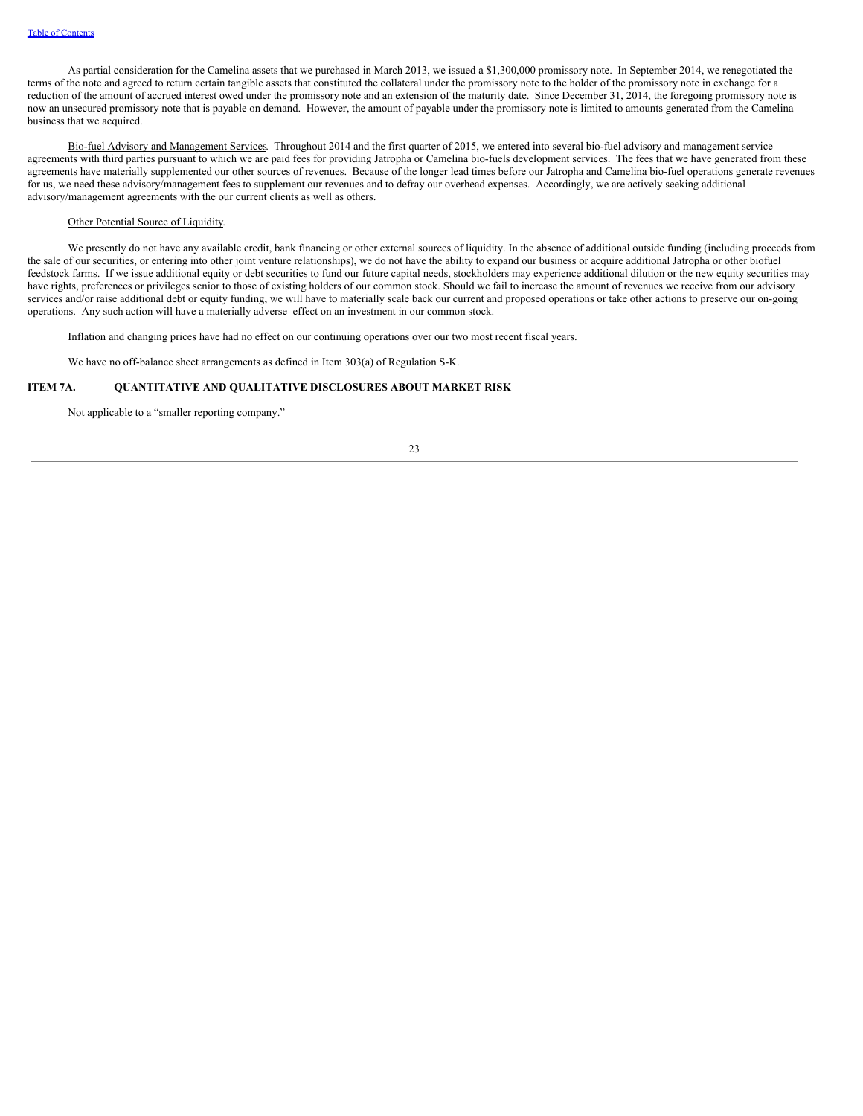As partial consideration for the Camelina assets that we purchased in March 2013, we issued a \$1,300,000 promissory note. In September 2014, we renegotiated the terms of the note and agreed to return certain tangible assets that constituted the collateral under the promissory note to the holder of the promissory note in exchange for a reduction of the amount of accrued interest owed under the promissory note and an extension of the maturity date. Since December 31, 2014, the foregoing promissory note is now an unsecured promissory note that is payable on demand. However, the amount of payable under the promissory note is limited to amounts generated from the Camelina business that we acquired.

Bio-fuel Advisory and Management Services. Throughout 2014 and the first quarter of 2015, we entered into several bio-fuel advisory and management service agreements with third parties pursuant to which we are paid fees for providing Jatropha or Camelina bio-fuels development services. The fees that we have generated from these agreements have materially supplemented our other sources of revenues. Because of the longer lead times before our Jatropha and Camelina bio-fuel operations generate revenues for us, we need these advisory/management fees to supplement our revenues and to defray our overhead expenses. Accordingly, we are actively seeking additional advisory/management agreements with the our current clients as well as others.

## Other Potential Source of Liquidity.

We presently do not have any available credit, bank financing or other external sources of liquidity. In the absence of additional outside funding (including proceeds from the sale of our securities, or entering into other joint venture relationships), we do not have the ability to expand our business or acquire additional Jatropha or other biofuel feedstock farms. If we issue additional equity or debt securities to fund our future capital needs, stockholders may experience additional dilution or the new equity securities may have rights, preferences or privileges senior to those of existing holders of our common stock. Should we fail to increase the amount of revenues we receive from our advisory services and/or raise additional debt or equity funding, we will have to materially scale back our current and proposed operations or take other actions to preserve our on-going operations. Any such action will have a materially adverse effect on an investment in our common stock.

Inflation and changing prices have had no effect on our continuing operations over our two most recent fiscal years.

We have no off-balance sheet arrangements as defined in Item 303(a) of Regulation S-K.

## **ITEM 7A. QUANTITATIVE AND QUALITATIVE DISCLOSURES ABOUT MARKET RISK**

Not applicable to a "smaller reporting company."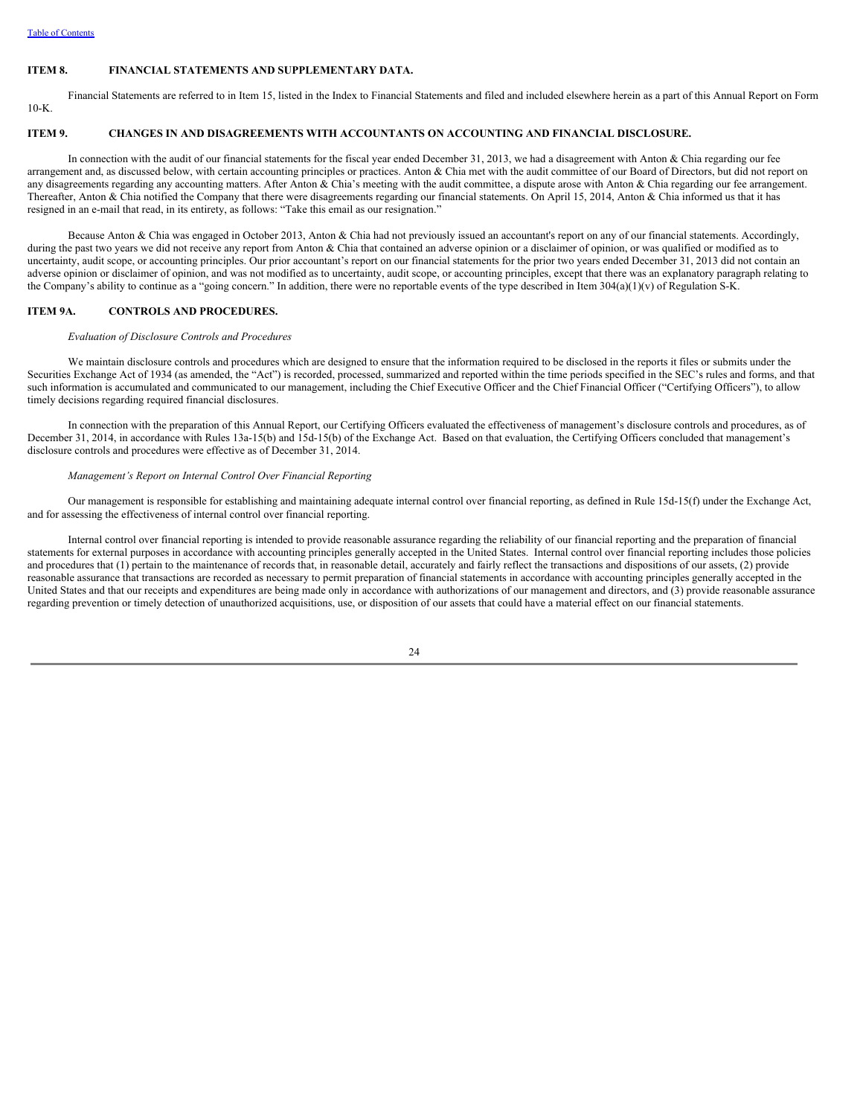### <span id="page-27-0"></span>**ITEM 8. FINANCIAL STATEMENTS AND SUPPLEMENTARY DATA.**

Financial Statements are referred to in Item 15, listed in the Index to Financial Statements and filed and included elsewhere herein as a part of this Annual Report on Form  $10-K$ 

## <span id="page-27-1"></span>**ITEM 9. CHANGES IN AND DISAGREEMENTS WITH ACCOUNTANTS ON ACCOUNTING AND FINANCIAL DISCLOSURE.**

In connection with the audit of our financial statements for the fiscal year ended December 31, 2013, we had a disagreement with Anton & Chia regarding our fee arrangement and, as discussed below, with certain accounting principles or practices. Anton & Chia met with the audit committee of our Board of Directors, but did not report on any disagreements regarding any accounting matters. After Anton & Chia's meeting with the audit committee, a dispute arose with Anton & Chia regarding our fee arrangement. Thereafter, Anton & Chia notified the Company that there were disagreements regarding our financial statements. On April 15, 2014, Anton & Chia informed us that it has resigned in an e-mail that read, in its entirety, as follows: "Take this email as our resignation."

Because Anton & Chia was engaged in October 2013, Anton & Chia had not previously issued an accountant's report on any of our financial statements. Accordingly, during the past two years we did not receive any report from Anton & Chia that contained an adverse opinion or a disclaimer of opinion, or was qualified or modified as to uncertainty, audit scope, or accounting principles. Our prior accountant's report on our financial statements for the prior two years ended December 31, 2013 did not contain an adverse opinion or disclaimer of opinion, and was not modified as to uncertainty, audit scope, or accounting principles, except that there was an explanatory paragraph relating to the Company's ability to continue as a "going concern." In addition, there were no reportable events of the type described in Item 304(a)(1)(v) of Regulation S-K.

### <span id="page-27-2"></span>**ITEM 9A. CONTROLS AND PROCEDURES.**

#### *Evaluation of Disclosure Controls and Procedures*

We maintain disclosure controls and procedures which are designed to ensure that the information required to be disclosed in the reports it files or submits under the Securities Exchange Act of 1934 (as amended, the "Act") is recorded, processed, summarized and reported within the time periods specified in the SEC's rules and forms, and that such information is accumulated and communicated to our management, including the Chief Executive Officer and the Chief Financial Officer ("Certifying Officers"), to allow timely decisions regarding required financial disclosures.

In connection with the preparation of this Annual Report, our Certifying Officers evaluated the effectiveness of management's disclosure controls and procedures, as of December 31, 2014, in accordance with Rules 13a-15(b) and 15d-15(b) of the Exchange Act. Based on that evaluation, the Certifying Officers concluded that management's disclosure controls and procedures were effective as of December 31, 2014.

#### *Management's Report on Internal Control Over Financial Reporting*

Our management is responsible for establishing and maintaining adequate internal control over financial reporting, as defined in Rule 15d-15(f) under the Exchange Act, and for assessing the effectiveness of internal control over financial reporting.

Internal control over financial reporting is intended to provide reasonable assurance regarding the reliability of our financial reporting and the preparation of financial statements for external purposes in accordance with accounting principles generally accepted in the United States. Internal control over financial reporting includes those policies and procedures that (1) pertain to the maintenance of records that, in reasonable detail, accurately and fairly reflect the transactions and dispositions of our assets, (2) provide reasonable assurance that transactions are recorded as necessary to permit preparation of financial statements in accordance with accounting principles generally accepted in the United States and that our receipts and expenditures are being made only in accordance with authorizations of our management and directors, and (3) provide reasonable assurance regarding prevention or timely detection of unauthorized acquisitions, use, or disposition of our assets that could have a material effect on our financial statements.

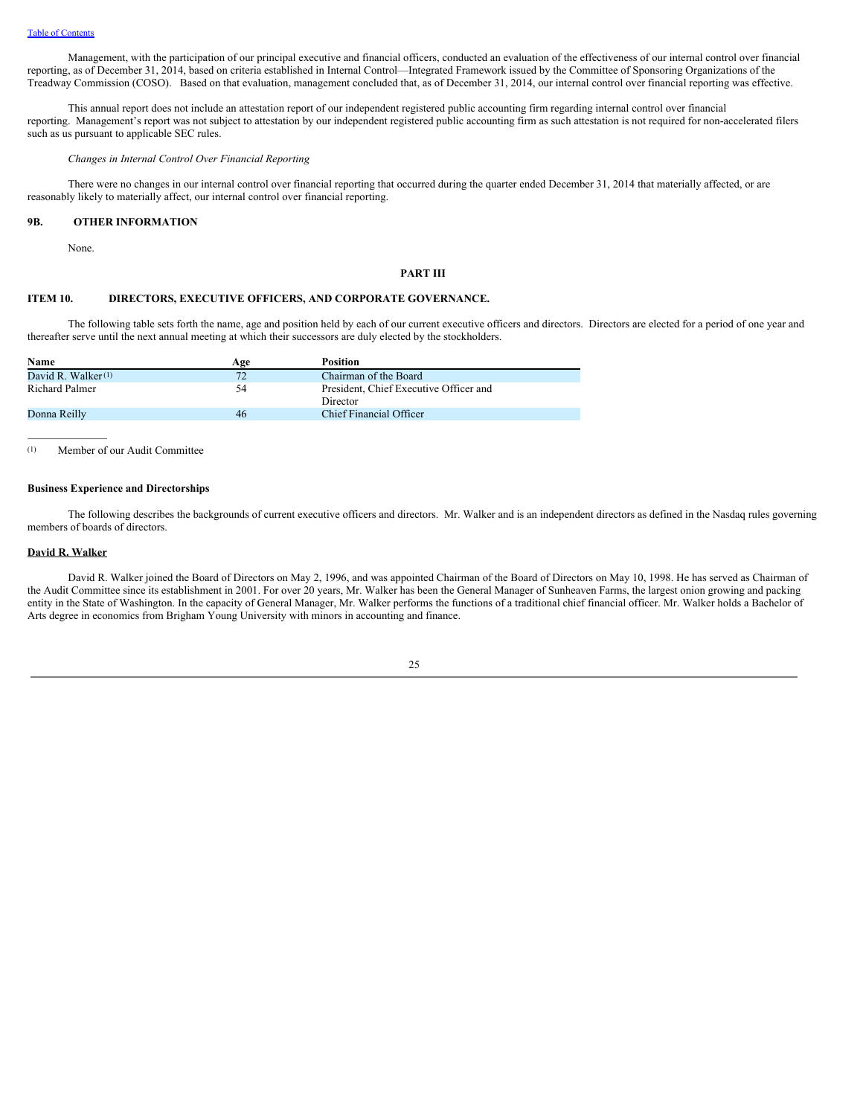Management, with the participation of our principal executive and financial officers, conducted an evaluation of the effectiveness of our internal control over financial reporting, as of December 31, 2014, based on criteria established in Internal Control—Integrated Framework issued by the Committee of Sponsoring Organizations of the Treadway Commission (COSO). Based on that evaluation, management concluded that, as of December 31, 2014, our internal control over financial reporting was effective.

This annual report does not include an attestation report of our independent registered public accounting firm regarding internal control over financial reporting. Management's report was not subject to attestation by our independent registered public accounting firm as such attestation is not required for non-accelerated filers such as us pursuant to applicable SEC rules.

#### *Changes in Internal Control Over Financial Reporting*

There were no changes in our internal control over financial reporting that occurred during the quarter ended December 31, 2014 that materially affected, or are reasonably likely to materially affect, our internal control over financial reporting.

### <span id="page-28-0"></span>**9B. OTHER INFORMATION**

None.

## <span id="page-28-1"></span>**PART III**

### <span id="page-28-2"></span>**ITEM 10. DIRECTORS, EXECUTIVE OFFICERS, AND CORPORATE GOVERNANCE.**

The following table sets forth the name, age and position held by each of our current executive officers and directors. Directors are elected for a period of one year and thereafter serve until the next annual meeting at which their successors are duly elected by the stockholders.

| Name                  | Age | <b>Position</b>                                    |
|-----------------------|-----|----------------------------------------------------|
| David R. Walker $(1)$ | 72  | Chairman of the Board                              |
| Richard Palmer        | 54  | President, Chief Executive Officer and<br>Director |
| Donna Reilly          | 46  | Chief Financial Officer                            |

(1) Member of our Audit Committee

### **Business Experience and Directorships**

The following describes the backgrounds of current executive officers and directors. Mr. Walker and is an independent directors as defined in the Nasdaq rules governing members of boards of directors.

## **David R. Walker**

David R. Walker joined the Board of Directors on May 2, 1996, and was appointed Chairman of the Board of Directors on May 10, 1998. He has served as Chairman of the Audit Committee since its establishment in 2001. For over 20 years, Mr. Walker has been the General Manager of Sunheaven Farms, the largest onion growing and packing entity in the State of Washington. In the capacity of General Manager, Mr. Walker performs the functions of a traditional chief financial officer. Mr. Walker holds a Bachelor of Arts degree in economics from Brigham Young University with minors in accounting and finance.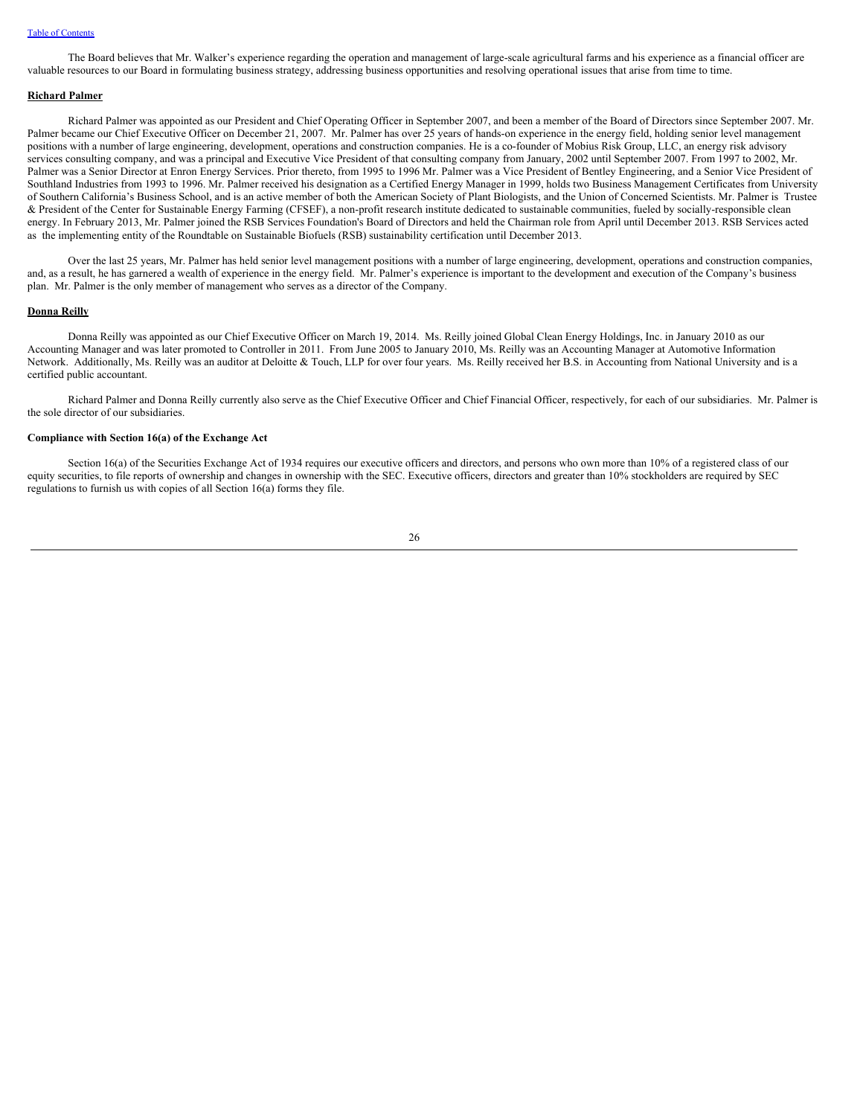The Board believes that Mr. Walker's experience regarding the operation and management of large-scale agricultural farms and his experience as a financial officer are valuable resources to our Board in formulating business strategy, addressing business opportunities and resolving operational issues that arise from time to time.

### **Richard Palmer**

Richard Palmer was appointed as our President and Chief Operating Officer in September 2007, and been a member of the Board of Directors since September 2007. Mr. Palmer became our Chief Executive Officer on December 21, 2007. Mr. Palmer has over 25 years of hands-on experience in the energy field, holding senior level management positions with a number of large engineering, development, operations and construction companies. He is a co-founder of Mobius Risk Group, LLC, an energy risk advisory services consulting company, and was a principal and Executive Vice President of that consulting company from January, 2002 until September 2007. From 1997 to 2002, Mr. Palmer was a Senior Director at Enron Energy Services. Prior thereto, from 1995 to 1996 Mr. Palmer was a Vice President of Bentley Engineering, and a Senior Vice President of Southland Industries from 1993 to 1996. Mr. Palmer received his designation as a Certified Energy Manager in 1999, holds two Business Management Certificates from University of Southern California's Business School, and is an active member of both the American Society of Plant Biologists, and the Union of Concerned Scientists. Mr. Palmer is Trustee & President of the Center for Sustainable Energy Farming (CFSEF), a non-profit research institute dedicated to sustainable communities, fueled by socially-responsible clean energy. In February 2013, Mr. Palmer joined the RSB Services Foundation's Board of Directors and held the Chairman role from April until December 2013. RSB Services acted as the implementing entity of the Roundtable on Sustainable Biofuels (RSB) sustainability certification until December 2013.

Over the last 25 years, Mr. Palmer has held senior level management positions with a number of large engineering, development, operations and construction companies, and, as a result, he has garnered a wealth of experience in the energy field. Mr. Palmer's experience is important to the development and execution of the Company's business plan. Mr. Palmer is the only member of management who serves as a director of the Company.

### **Donna Reilly**

Donna Reilly was appointed as our Chief Executive Officer on March 19, 2014. Ms. Reilly joined Global Clean Energy Holdings, Inc. in January 2010 as our Accounting Manager and was later promoted to Controller in 2011. From June 2005 to January 2010, Ms. Reilly was an Accounting Manager at Automotive Information Network. Additionally, Ms. Reilly was an auditor at Deloitte & Touch, LLP for over four years. Ms. Reilly received her B.S. in Accounting from National University and is a certified public accountant.

Richard Palmer and Donna Reilly currently also serve as the Chief Executive Officer and Chief Financial Officer, respectively, for each of our subsidiaries. Mr. Palmer is the sole director of our subsidiaries.

### **Compliance with Section 16(a) of the Exchange Act**

Section 16(a) of the Securities Exchange Act of 1934 requires our executive officers and directors, and persons who own more than 10% of a registered class of our equity securities, to file reports of ownership and changes in ownership with the SEC. Executive officers, directors and greater than 10% stockholders are required by SEC regulations to furnish us with copies of all Section 16(a) forms they file.

$$
\overline{26}
$$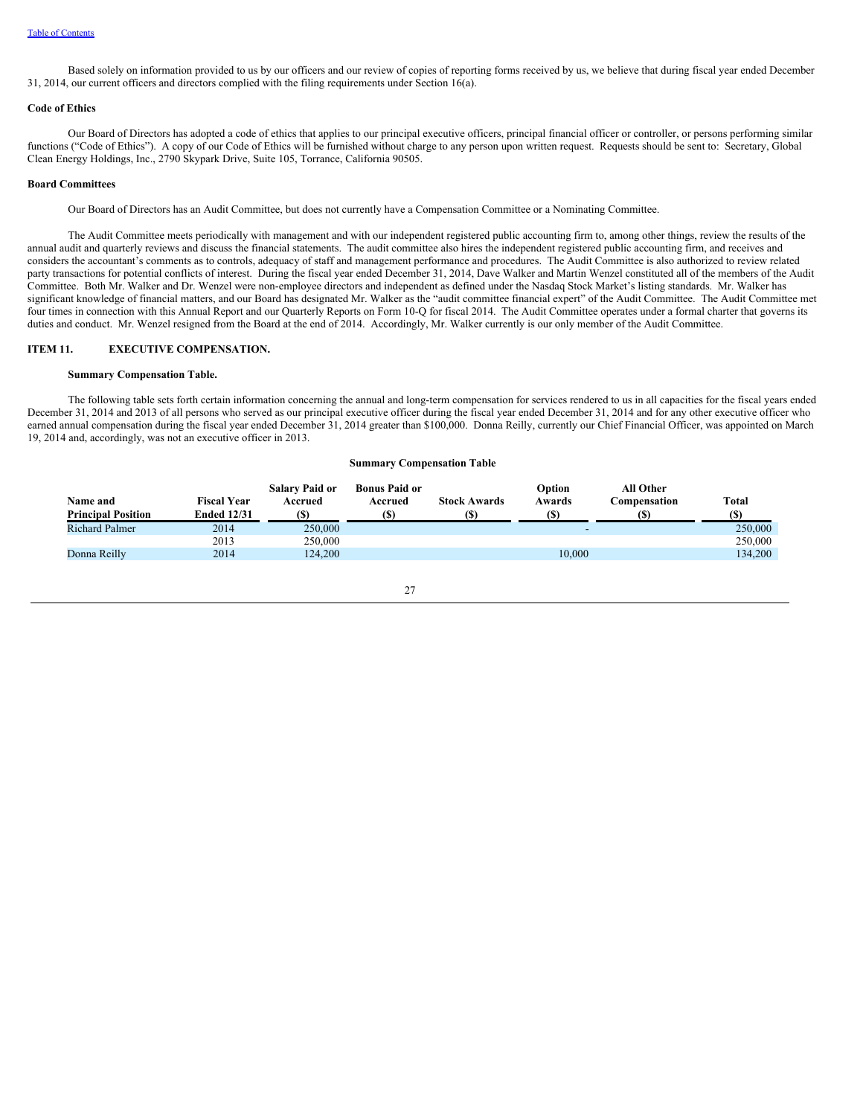Based solely on information provided to us by our officers and our review of copies of reporting forms received by us, we believe that during fiscal year ended December 31, 2014, our current officers and directors complied with the filing requirements under Section 16(a).

## **Code of Ethics**

Our Board of Directors has adopted a code of ethics that applies to our principal executive officers, principal financial officer or controller, or persons performing similar functions ("Code of Ethics"). A copy of our Code of Ethics will be furnished without charge to any person upon written request. Requests should be sent to: Secretary, Global Clean Energy Holdings, Inc., 2790 Skypark Drive, Suite 105, Torrance, California 90505.

### **Board Committees**

Our Board of Directors has an Audit Committee, but does not currently have a Compensation Committee or a Nominating Committee.

The Audit Committee meets periodically with management and with our independent registered public accounting firm to, among other things, review the results of the annual audit and quarterly reviews and discuss the financial statements. The audit committee also hires the independent registered public accounting firm, and receives and considers the accountant's comments as to controls, adequacy of staff and management performance and procedures. The Audit Committee is also authorized to review related party transactions for potential conflicts of interest. During the fiscal year ended December 31, 2014, Dave Walker and Martin Wenzel constituted all of the members of the Audit Committee. Both Mr. Walker and Dr. Wenzel were non-employee directors and independent as defined under the Nasdaq Stock Market's listing standards. Mr. Walker has significant knowledge of financial matters, and our Board has designated Mr. Walker as the "audit committee financial expert" of the Audit Committee. The Audit Committee met four times in connection with this Annual Report and our Quarterly Reports on Form 10-Q for fiscal 2014. The Audit Committee operates under a formal charter that governs its duties and conduct. Mr. Wenzel resigned from the Board at the end of 2014. Accordingly, Mr. Walker currently is our only member of the Audit Committee.

## <span id="page-30-0"></span>**ITEM 11. EXECUTIVE COMPENSATION.**

#### **Summary Compensation Table.**

The following table sets forth certain information concerning the annual and long-term compensation for services rendered to us in all capacities for the fiscal years ended December 31, 2014 and 2013 of all persons who served as our principal executive officer during the fiscal year ended December 31, 2014 and for any other executive officer who earned annual compensation during the fiscal year ended December 31, 2014 greater than \$100,000. Donna Reilly, currently our Chief Financial Officer, was appointed on March 19, 2014 and, accordingly, was not an executive officer in 2013.

## **Summary Compensation Table**

| Name and<br><b>Principal Position</b> | <b>Fiscal Year</b><br><b>Ended 12/31</b> | <b>Salary Paid or</b><br>Accrued<br>(S) | <b>Bonus Paid or</b><br>Accrued | <b>Stock Awards</b> | Option<br>Awards | <b>All Other</b><br>Compensation | <b>Total</b><br><b>(S)</b> |
|---------------------------------------|------------------------------------------|-----------------------------------------|---------------------------------|---------------------|------------------|----------------------------------|----------------------------|
| <b>Richard Palmer</b>                 | 2014                                     | 250,000                                 |                                 |                     |                  |                                  | 250,000                    |
|                                       | 2013                                     | 250,000                                 |                                 |                     |                  |                                  | 250,000                    |
| Donna Reilly                          | 2014                                     | 124,200                                 |                                 |                     | 10.000           |                                  | 134.200                    |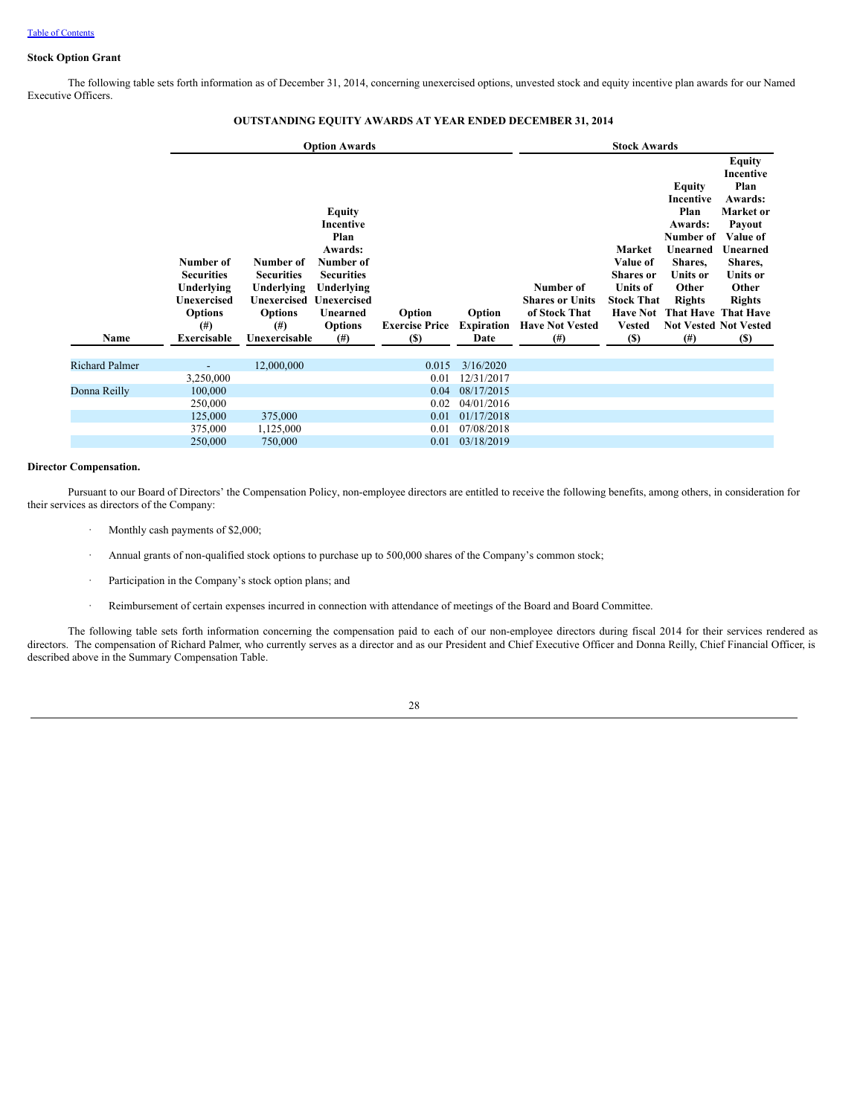## **Stock Option Grant**

The following table sets forth information as of December 31, 2014, concerning unexercised options, unvested stock and equity incentive plan awards for our Named Executive Officers.

|                       |                                                                                                                 |                                                                                                            | <b>Option Awards</b>                                                                                                                            |                                                |                                     | <b>Stock Awards</b>                                                                        |                                                                                                                                   |                                                                                                                              |                                                                                                                                                                                                               |  |  |  |
|-----------------------|-----------------------------------------------------------------------------------------------------------------|------------------------------------------------------------------------------------------------------------|-------------------------------------------------------------------------------------------------------------------------------------------------|------------------------------------------------|-------------------------------------|--------------------------------------------------------------------------------------------|-----------------------------------------------------------------------------------------------------------------------------------|------------------------------------------------------------------------------------------------------------------------------|---------------------------------------------------------------------------------------------------------------------------------------------------------------------------------------------------------------|--|--|--|
| Name                  | Number of<br><b>Securities</b><br>Underlying<br><b>Unexercised</b><br><b>Options</b><br>$^{(#)}$<br>Exercisable | Number of<br><b>Securities</b><br>Underlying<br>Unexercised<br><b>Options</b><br>$^{(#)}$<br>Unexercisable | Equity<br>Incentive<br>Plan<br>Awards:<br>Number of<br><b>Securities</b><br>Underlying<br>Unexercised<br>Unearned<br><b>Options</b><br>$^{(#)}$ | Option<br><b>Exercise Price</b><br><b>(\$)</b> | Option<br><b>Expiration</b><br>Date | Number of<br><b>Shares or Units</b><br>of Stock That<br><b>Have Not Vested</b><br>$^{(#)}$ | Market<br>Value of<br><b>Shares</b> or<br><b>Units of</b><br><b>Stock That</b><br><b>Have Not</b><br><b>Vested</b><br><b>(\$)</b> | Equity<br>Incentive<br>Plan<br>Awards:<br>Number of<br>Unearned<br>Shares,<br>Units or<br>Other<br><b>Rights</b><br>$^{(#)}$ | Equity<br>Incentive<br>Plan<br>Awards:<br>Market or<br>Payout<br>Value of<br>Unearned<br>Shares,<br><b>Units or</b><br>Other<br><b>Rights</b><br>That Have That Have<br><b>Not Vested Not Vested</b><br>$(S)$ |  |  |  |
| <b>Richard Palmer</b> | $\overline{\phantom{0}}$                                                                                        | 12,000,000                                                                                                 |                                                                                                                                                 | 0.015                                          | 3/16/2020                           |                                                                                            |                                                                                                                                   |                                                                                                                              |                                                                                                                                                                                                               |  |  |  |
|                       | 3,250,000                                                                                                       |                                                                                                            |                                                                                                                                                 | 0.01                                           | 12/31/2017                          |                                                                                            |                                                                                                                                   |                                                                                                                              |                                                                                                                                                                                                               |  |  |  |
| Donna Reilly          | 100,000                                                                                                         |                                                                                                            |                                                                                                                                                 | 0.04                                           | 08/17/2015                          |                                                                                            |                                                                                                                                   |                                                                                                                              |                                                                                                                                                                                                               |  |  |  |
|                       | 250,000                                                                                                         |                                                                                                            |                                                                                                                                                 | 0.02                                           | 04/01/2016                          |                                                                                            |                                                                                                                                   |                                                                                                                              |                                                                                                                                                                                                               |  |  |  |
|                       | 125,000                                                                                                         | 375,000                                                                                                    |                                                                                                                                                 | 0.01                                           | 01/17/2018                          |                                                                                            |                                                                                                                                   |                                                                                                                              |                                                                                                                                                                                                               |  |  |  |
|                       | 375,000                                                                                                         | 1,125,000                                                                                                  |                                                                                                                                                 | 0.01                                           | 07/08/2018                          |                                                                                            |                                                                                                                                   |                                                                                                                              |                                                                                                                                                                                                               |  |  |  |
|                       | 250,000                                                                                                         | 750,000                                                                                                    |                                                                                                                                                 | 0.01                                           | 03/18/2019                          |                                                                                            |                                                                                                                                   |                                                                                                                              |                                                                                                                                                                                                               |  |  |  |

# **OUTSTANDING EQUITY AWARDS AT YEAR ENDED DECEMBER 31, 2014**

### **Director Compensation.**

Pursuant to our Board of Directors' the Compensation Policy, non-employee directors are entitled to receive the following benefits, among others, in consideration for their services as directors of the Company:

- Monthly cash payments of \$2,000;
- · Annual grants of non-qualified stock options to purchase up to 500,000 shares of the Company's common stock;
- Participation in the Company's stock option plans; and
- · Reimbursement of certain expenses incurred in connection with attendance of meetings of the Board and Board Committee.

The following table sets forth information concerning the compensation paid to each of our non-employee directors during fiscal 2014 for their services rendered as directors. The compensation of Richard Palmer, who currently serves as a director and as our President and Chief Executive Officer and Donna Reilly, Chief Financial Officer, is described above in the Summary Compensation Table.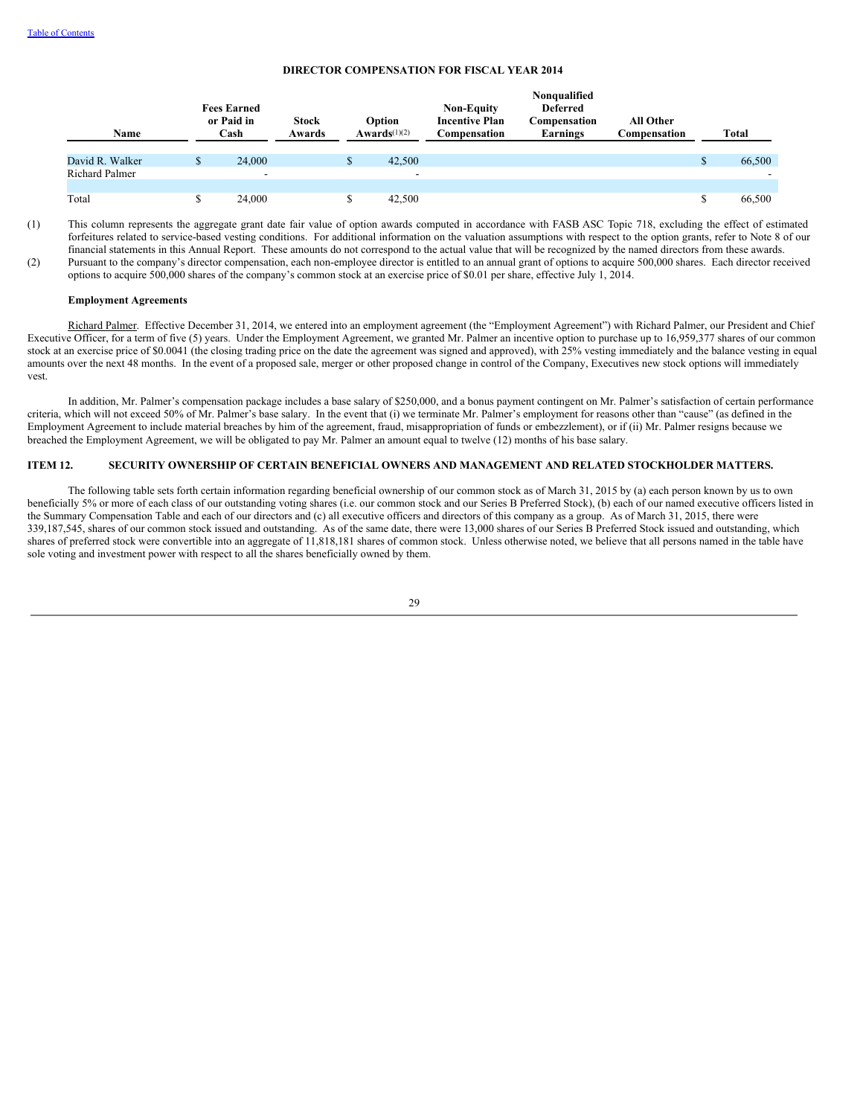## **DIRECTOR COMPENSATION FOR FISCAL YEAR 2014**

| Name            | <b>Fees Earned</b><br>or Paid in<br><b>Stock</b><br>Cash |                          | Awards | Option<br>Awards $(1)(2)$ |        | <b>Non-Equity</b><br><b>Incentive Plan</b><br>Compensation | Nonqualified<br><b>Deferred</b><br>Compensation<br>Earnings | <b>All Other</b><br>Compensation | Total |        |  |
|-----------------|----------------------------------------------------------|--------------------------|--------|---------------------------|--------|------------------------------------------------------------|-------------------------------------------------------------|----------------------------------|-------|--------|--|
| David R. Walker | S                                                        | 24,000                   |        | D.                        | 42,500 |                                                            |                                                             |                                  |       | 66,500 |  |
| Richard Palmer  |                                                          | $\overline{\phantom{0}}$ |        |                           | -      |                                                            |                                                             |                                  |       |        |  |
|                 |                                                          |                          |        |                           |        |                                                            |                                                             |                                  |       |        |  |
| Total           |                                                          | 24,000                   |        |                           | 42,500 |                                                            |                                                             |                                  |       | 66,500 |  |

(1) This column represents the aggregate grant date fair value of option awards computed in accordance with FASB ASC Topic 718, excluding the effect of estimated forfeitures related to service-based vesting conditions. For additional information on the valuation assumptions with respect to the option grants, refer to Note 8 of our financial statements in this Annual Report. These amounts do not correspond to the actual value that will be recognized by the named directors from these awards. (2) Pursuant to the company's director compensation, each non-employee director is entitled to an annual grant of options to acquire 500,000 shares. Each director received options to acquire 500,000 shares of the company's common stock at an exercise price of \$0.01 per share, effective July 1, 2014.

### **Employment Agreements**

Richard Palmer. Effective December 31, 2014, we entered into an employment agreement (the "Employment Agreement") with Richard Palmer, our President and Chief Executive Officer, for a term of five (5) years. Under the Employment Agreement, we granted Mr. Palmer an incentive option to purchase up to 16,959,377 shares of our common stock at an exercise price of \$0.0041 (the closing trading price on the date the agreement was signed and approved), with 25% vesting immediately and the balance vesting in equal amounts over the next 48 months. In the event of a proposed sale, merger or other proposed change in control of the Company, Executives new stock options will immediately vest.

In addition, Mr. Palmer's compensation package includes a base salary of \$250,000, and a bonus payment contingent on Mr. Palmer's satisfaction of certain performance criteria, which will not exceed 50% of Mr. Palmer's base salary. In the event that (i) we terminate Mr. Palmer's employment for reasons other than "cause" (as defined in the Employment Agreement to include material breaches by him of the agreement, fraud, misappropriation of funds or embezzlement), or if (ii) Mr. Palmer resigns because we breached the Employment Agreement, we will be obligated to pay Mr. Palmer an amount equal to twelve (12) months of his base salary.

# <span id="page-32-0"></span>**ITEM 12. SECURITY OWNERSHIP OF CERTAIN BENEFICIAL OWNERS AND MANAGEMENT AND RELATED STOCKHOLDER MATTERS.**

The following table sets forth certain information regarding beneficial ownership of our common stock as of March 31, 2015 by (a) each person known by us to own beneficially 5% or more of each class of our outstanding voting shares (i.e. our common stock and our Series B Preferred Stock), (b) each of our named executive officers listed in the Summary Compensation Table and each of our directors and (c) all executive officers and directors of this company as a group. As of March 31, 2015, there were 339,187,545, shares of our common stock issued and outstanding. As of the same date, there were 13,000 shares of our Series B Preferred Stock issued and outstanding, which shares of preferred stock were convertible into an aggregate of 11,818,181 shares of common stock. Unless otherwise noted, we believe that all persons named in the table have sole voting and investment power with respect to all the shares beneficially owned by them.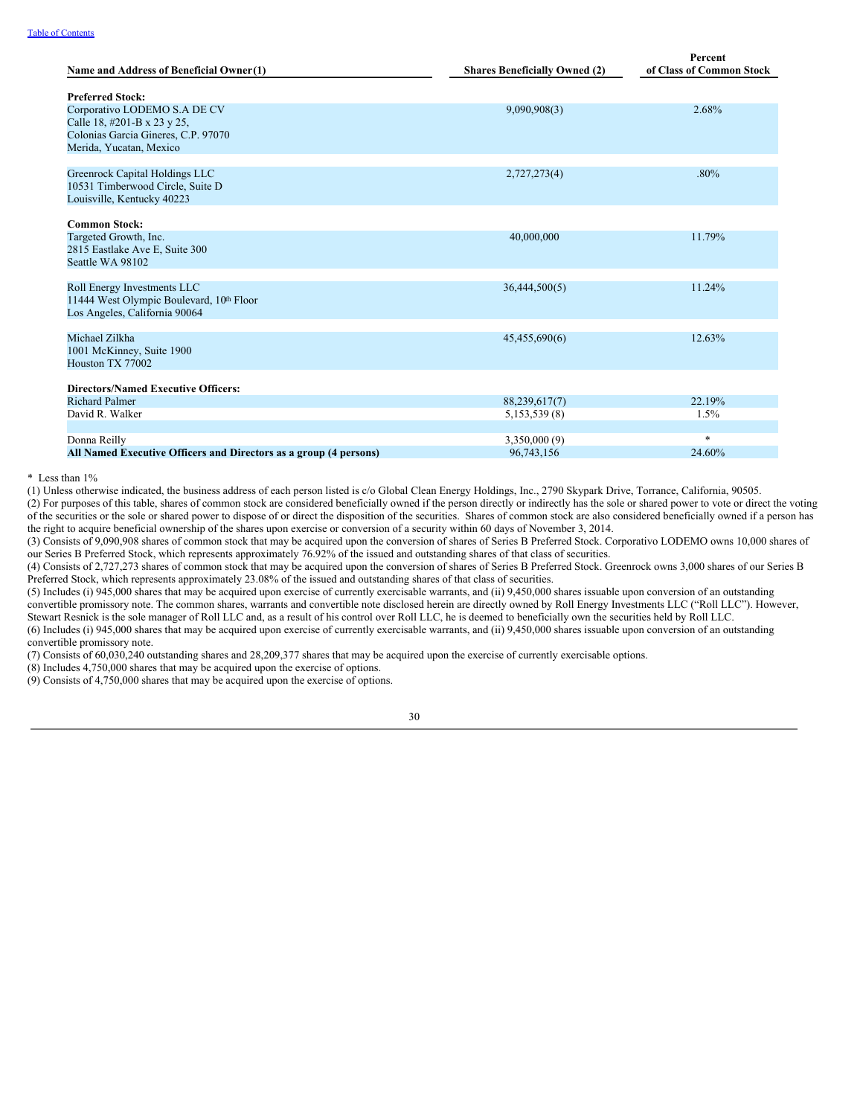| Name and Address of Beneficial Owner(1)                                                                                       | <b>Shares Beneficially Owned (2)</b> | Percent<br>of Class of Common Stock |
|-------------------------------------------------------------------------------------------------------------------------------|--------------------------------------|-------------------------------------|
| <b>Preferred Stock:</b>                                                                                                       |                                      |                                     |
| Corporativo LODEMO S.A DE CV<br>Calle 18, #201-B x 23 y 25,<br>Colonias Garcia Gineres, C.P. 97070<br>Merida, Yucatan, Mexico | 9,090,908(3)                         | 2.68%                               |
| Greenrock Capital Holdings LLC<br>10531 Timberwood Circle, Suite D<br>Louisville, Kentucky 40223                              | 2,727,273(4)                         | $.80\%$                             |
| <b>Common Stock:</b>                                                                                                          |                                      |                                     |
| Targeted Growth, Inc.<br>2815 Eastlake Ave E, Suite 300<br>Seattle WA 98102                                                   | 40,000,000                           | 11.79%                              |
| Roll Energy Investments LLC<br>11444 West Olympic Boulevard, 10th Floor<br>Los Angeles, California 90064                      | 36,444,500(5)                        | 11.24%                              |
| Michael Zilkha<br>1001 McKinney, Suite 1900<br>Houston TX 77002                                                               | 45,455,690(6)                        | 12.63%                              |
| <b>Directors/Named Executive Officers:</b>                                                                                    |                                      |                                     |
| <b>Richard Palmer</b>                                                                                                         | 88,239,617(7)                        | 22.19%                              |
| David R. Walker                                                                                                               | 5,153,539 (8)                        | 1.5%                                |
| Donna Reilly                                                                                                                  | 3,350,000 (9)                        | $\ast$                              |
| All Named Executive Officers and Directors as a group (4 persons)                                                             | 96,743,156                           | 24.60%                              |

\* Less than 1%

(1) Unless otherwise indicated, the business address of each person listed is c/o Global Clean Energy Holdings, Inc., 2790 Skypark Drive, Torrance, California, 90505.

(2) For purposes of this table, shares of common stock are considered beneficially owned if the person directly or indirectly has the sole or shared power to vote or direct the voting of the securities or the sole or shared power to dispose of or direct the disposition of the securities. Shares of common stock are also considered beneficially owned if a person has the right to acquire beneficial ownership of the shares upon exercise or conversion of a security within 60 days of November 3, 2014.

(3) Consists of 9,090,908 shares of common stock that may be acquired upon the conversion of shares of Series B Preferred Stock. Corporativo LODEMO owns 10,000 shares of our Series B Preferred Stock, which represents approximately 76.92% of the issued and outstanding shares of that class of securities.

(4) Consists of 2,727,273 shares of common stock that may be acquired upon the conversion of shares of Series B Preferred Stock. Greenrock owns 3,000 shares of our Series B Preferred Stock, which represents approximately 23.08% of the issued and outstanding shares of that class of securities.

(5) Includes (i) 945,000 shares that may be acquired upon exercise of currently exercisable warrants, and (ii) 9,450,000 shares issuable upon conversion of an outstanding convertible promissory note. The common shares, warrants and convertible note disclosed herein are directly owned by Roll Energy Investments LLC ("Roll LLC"). However, Stewart Resnick is the sole manager of Roll LLC and, as a result of his control over Roll LLC, he is deemed to beneficially own the securities held by Roll LLC. (6) Includes (i) 945,000 shares that may be acquired upon exercise of currently exercisable warrants, and (ii) 9,450,000 shares issuable upon conversion of an outstanding convertible promissory note.

(7) Consists of 60,030,240 outstanding shares and 28,209,377 shares that may be acquired upon the exercise of currently exercisable options.

(8) Includes 4,750,000 shares that may be acquired upon the exercise of options.

(9) Consists of 4,750,000 shares that may be acquired upon the exercise of options.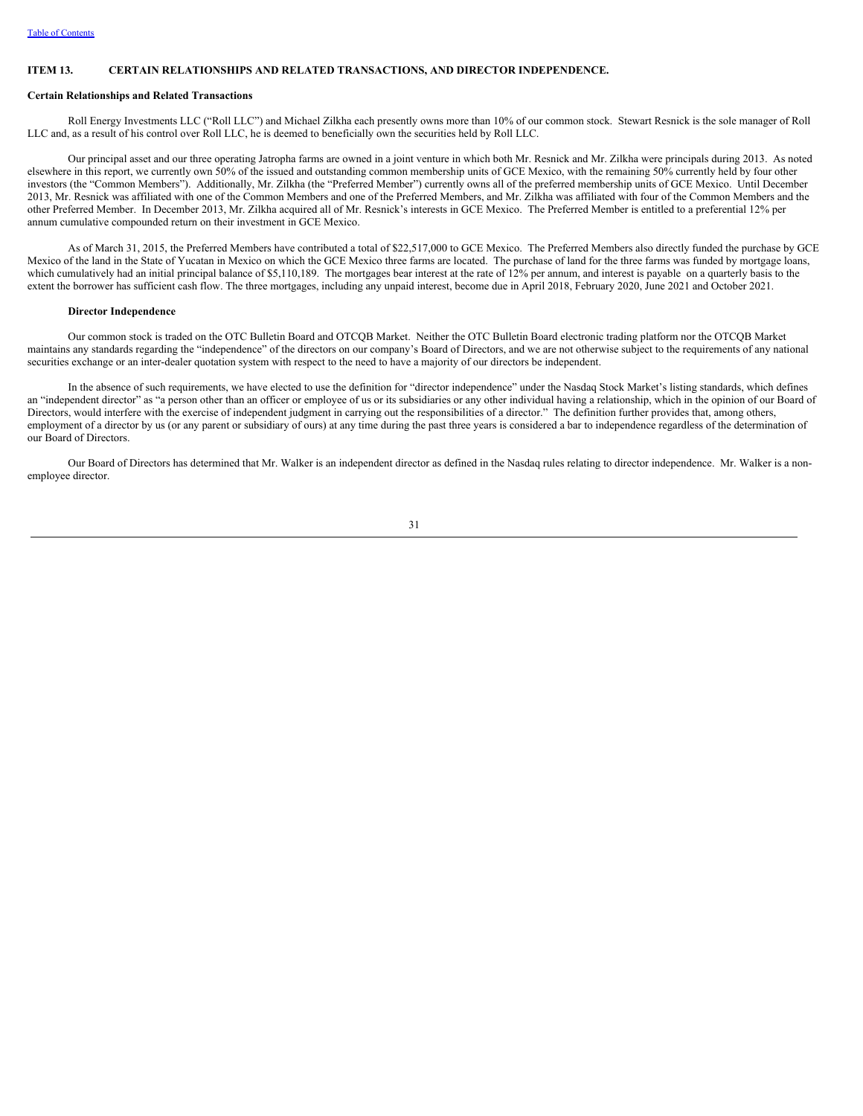### <span id="page-34-0"></span>**ITEM 13. CERTAIN RELATIONSHIPS AND RELATED TRANSACTIONS, AND DIRECTOR INDEPENDENCE.**

### **Certain Relationships and Related Transactions**

Roll Energy Investments LLC ("Roll LLC") and Michael Zilkha each presently owns more than 10% of our common stock. Stewart Resnick is the sole manager of Roll LLC and, as a result of his control over Roll LLC, he is deemed to beneficially own the securities held by Roll LLC.

Our principal asset and our three operating Jatropha farms are owned in a joint venture in which both Mr. Resnick and Mr. Zilkha were principals during 2013. As noted elsewhere in this report, we currently own 50% of the issued and outstanding common membership units of GCE Mexico, with the remaining 50% currently held by four other investors (the "Common Members"). Additionally, Mr. Zilkha (the "Preferred Member") currently owns all of the preferred membership units of GCE Mexico. Until December 2013, Mr. Resnick was affiliated with one of the Common Members and one of the Preferred Members, and Mr. Zilkha was affiliated with four of the Common Members and the other Preferred Member. In December 2013, Mr. Zilkha acquired all of Mr. Resnick's interests in GCE Mexico. The Preferred Member is entitled to a preferential 12% per annum cumulative compounded return on their investment in GCE Mexico.

As of March 31, 2015, the Preferred Members have contributed a total of \$22,517,000 to GCE Mexico. The Preferred Members also directly funded the purchase by GCE Mexico of the land in the State of Yucatan in Mexico on which the GCE Mexico three farms are located. The purchase of land for the three farms was funded by mortgage loans, which cumulatively had an initial principal balance of \$5,110,189. The mortgages bear interest at the rate of 12% per annum, and interest is payable on a quarterly basis to the extent the borrower has sufficient cash flow. The three mortgages, including any unpaid interest, become due in April 2018, February 2020, June 2021 and October 2021.

#### **Director Independence**

Our common stock is traded on the OTC Bulletin Board and OTCQB Market. Neither the OTC Bulletin Board electronic trading platform nor the OTCQB Market maintains any standards regarding the "independence" of the directors on our company's Board of Directors, and we are not otherwise subject to the requirements of any national securities exchange or an inter-dealer quotation system with respect to the need to have a majority of our directors be independent.

In the absence of such requirements, we have elected to use the definition for "director independence" under the Nasdaq Stock Market's listing standards, which defines an "independent director" as "a person other than an officer or employee of us or its subsidiaries or any other individual having a relationship, which in the opinion of our Board of Directors, would interfere with the exercise of independent judgment in carrying out the responsibilities of a director." The definition further provides that, among others, employment of a director by us (or any parent or subsidiary of ours) at any time during the past three years is considered a bar to independence regardless of the determination of our Board of Directors.

Our Board of Directors has determined that Mr. Walker is an independent director as defined in the Nasdaq rules relating to director independence. Mr. Walker is a nonemployee director.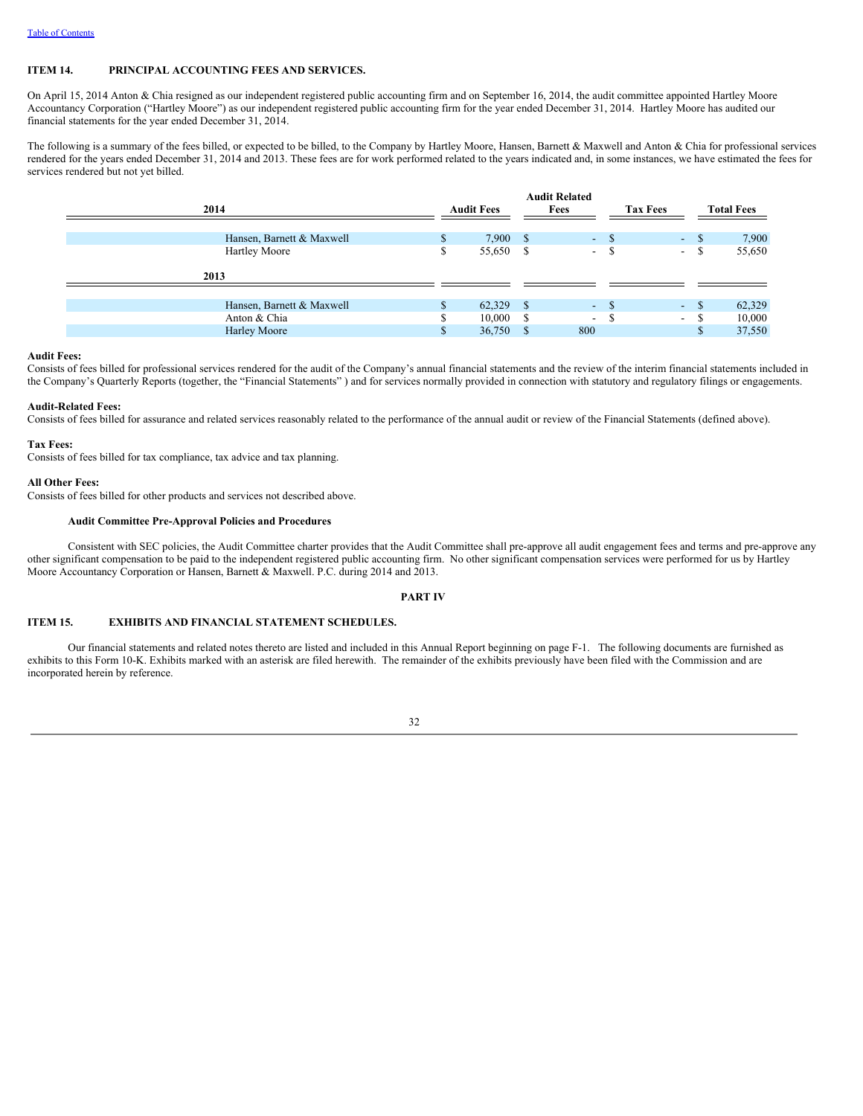## <span id="page-35-0"></span>**ITEM 14. PRINCIPAL ACCOUNTING FEES AND SERVICES.**

On April 15, 2014 Anton & Chia resigned as our independent registered public accounting firm and on September 16, 2014, the audit committee appointed Hartley Moore Accountancy Corporation ("Hartley Moore") as our independent registered public accounting firm for the year ended December 31, 2014. Hartley Moore has audited our financial statements for the year ended December 31, 2014.

The following is a summary of the fees billed, or expected to be billed, to the Company by Hartley Moore, Hansen, Barnett & Maxwell and Anton & Chia for professional services rendered for the years ended December 31, 2014 and 2013. These fees are for work performed related to the years indicated and, in some instances, we have estimated the fees for services rendered but not yet billed.

| 2014                      | <b>Audit Fees</b> |           |     | <b>Audit Related</b><br>Fees |        | <b>Tax Fees</b>          |      | <b>Total Fees</b> |  |
|---------------------------|-------------------|-----------|-----|------------------------------|--------|--------------------------|------|-------------------|--|
| Hansen, Barnett & Maxwell | S.                | 7,900 S   |     |                              | $-$ \$ | $\blacksquare$           | - \$ | 7,900             |  |
| <b>Hartley Moore</b>      | ъ                 | 55,650 \$ |     | $\mathcal{L}_{\mathcal{A}}$  | -S     | $\overline{\phantom{a}}$ | -S   | 55,650            |  |
| 2013                      |                   |           |     |                              |        |                          |      |                   |  |
| Hansen, Barnett & Maxwell | \$                | 62,329    | - S |                              | $-$ \$ |                          | - \$ | 62,329            |  |
|                           |                   |           |     |                              |        | $\sim$                   |      |                   |  |
| Anton & Chia              |                   | 10,000    |     | $\overline{\phantom{0}}$     |        | $\overline{\phantom{a}}$ |      | 10,000            |  |
| Harley Moore              | \$                | 36,750    |     | 800                          |        |                          | \$   | 37,550            |  |

#### **Audit Fees:**

Consists of fees billed for professional services rendered for the audit of the Company's annual financial statements and the review of the interim financial statements included in the Company's Quarterly Reports (together, the "Financial Statements" ) and for services normally provided in connection with statutory and regulatory filings or engagements.

### **Audit-Related Fees:**

Consists of fees billed for assurance and related services reasonably related to the performance of the annual audit or review of the Financial Statements (defined above).

### **Tax Fees:**

Consists of fees billed for tax compliance, tax advice and tax planning.

### **All Other Fees:**

Consists of fees billed for other products and services not described above.

## **Audit Committee Pre-Approval Policies and Procedures**

Consistent with SEC policies, the Audit Committee charter provides that the Audit Committee shall pre-approve all audit engagement fees and terms and pre-approve any other significant compensation to be paid to the independent registered public accounting firm. No other significant compensation services were performed for us by Hartley Moore Accountancy Corporation or Hansen, Barnett & Maxwell. P.C. during 2014 and 2013.

## <span id="page-35-1"></span>**PART IV**

## <span id="page-35-2"></span>**ITEM 15. EXHIBITS AND FINANCIAL STATEMENT SCHEDULES.**

Our financial statements and related notes thereto are listed and included in this Annual Report beginning on page F-1. The following documents are furnished as exhibits to this Form 10-K. Exhibits marked with an asterisk are filed herewith. The remainder of the exhibits previously have been filed with the Commission and are incorporated herein by reference.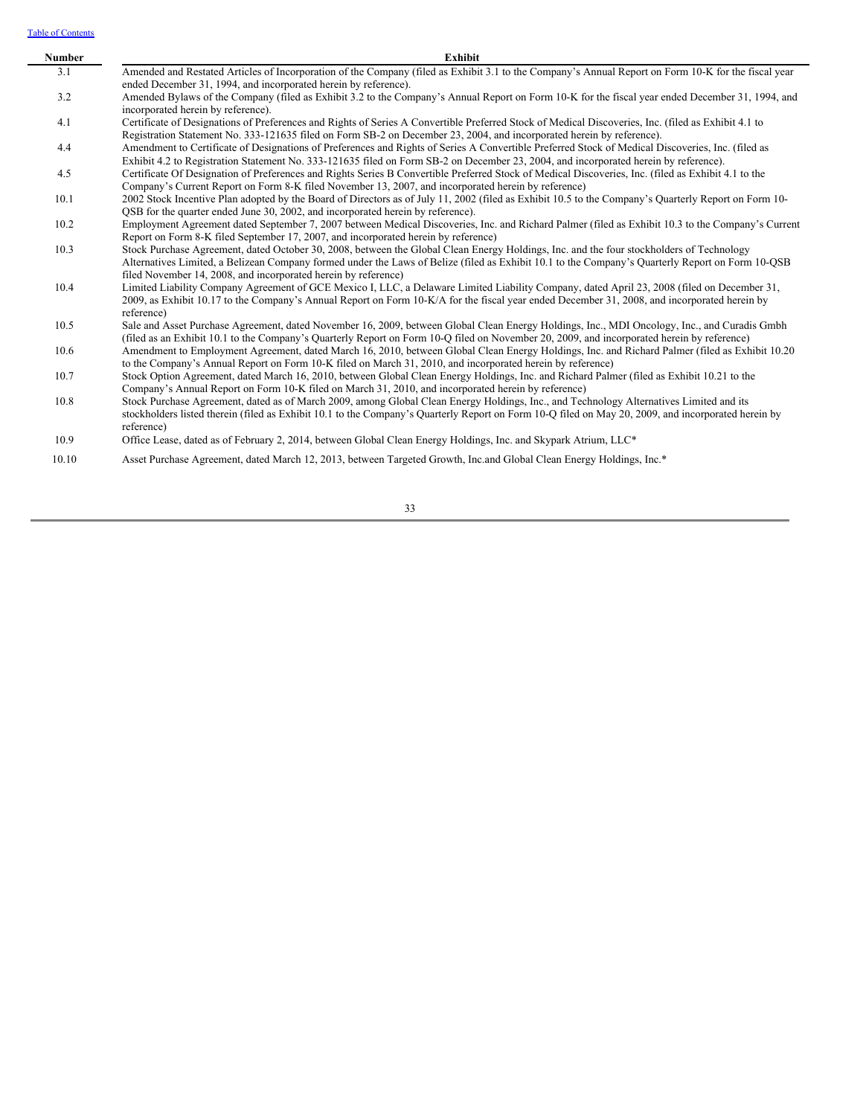Table of [Contents](#page-2-0)

| Number | Exhibit                                                                                                                                              |
|--------|------------------------------------------------------------------------------------------------------------------------------------------------------|
| 3.1    | Amended and Restated Articles of Incorporation of the Company (filed as Exhibit 3.1 to the Company's Annual Report on Form 10-K for the fiscal year  |
|        | ended December 31, 1994, and incorporated herein by reference).                                                                                      |
| 3.2    | Amended Bylaws of the Company (filed as Exhibit 3.2 to the Company's Annual Report on Form 10-K for the fiscal year ended December 31, 1994, and     |
|        | incorporated herein by reference).                                                                                                                   |
| 4.1    | Certificate of Designations of Preferences and Rights of Series A Convertible Preferred Stock of Medical Discoveries, Inc. (filed as Exhibit 4.1 to  |
|        | Registration Statement No. 333-121635 filed on Form SB-2 on December 23, 2004, and incorporated herein by reference).                                |
| 4.4    | Amendment to Certificate of Designations of Preferences and Rights of Series A Convertible Preferred Stock of Medical Discoveries, Inc. (filed as    |
|        | Exhibit 4.2 to Registration Statement No. 333-121635 filed on Form SB-2 on December 23, 2004, and incorporated herein by reference).                 |
| 4.5    | Certificate Of Designation of Preferences and Rights Series B Convertible Preferred Stock of Medical Discoveries, Inc. (filed as Exhibit 4.1 to the  |
|        | Company's Current Report on Form 8-K filed November 13, 2007, and incorporated herein by reference)                                                  |
| 10.1   | 2002 Stock Incentive Plan adopted by the Board of Directors as of July 11, 2002 (filed as Exhibit 10.5 to the Company's Quarterly Report on Form 10- |
|        | QSB for the quarter ended June 30, 2002, and incorporated herein by reference).                                                                      |
| 10.2   | Employment Agreement dated September 7, 2007 between Medical Discoveries, Inc. and Richard Palmer (filed as Exhibit 10.3 to the Company's Current    |
|        | Report on Form 8-K filed September 17, 2007, and incorporated herein by reference)                                                                   |
| 10.3   | Stock Purchase Agreement, dated October 30, 2008, between the Global Clean Energy Holdings, Inc. and the four stockholders of Technology             |
|        | Alternatives Limited, a Belizean Company formed under the Laws of Belize (filed as Exhibit 10.1 to the Company's Quarterly Report on Form 10-QSB     |
|        | filed November 14, 2008, and incorporated herein by reference)                                                                                       |
| 10.4   | Limited Liability Company Agreement of GCE Mexico I, LLC, a Delaware Limited Liability Company, dated April 23, 2008 (filed on December 31,          |
|        | 2009, as Exhibit 10.17 to the Company's Annual Report on Form 10-K/A for the fiscal year ended December 31, 2008, and incorporated herein by         |
|        | reference)                                                                                                                                           |
| 10.5   | Sale and Asset Purchase Agreement, dated November 16, 2009, between Global Clean Energy Holdings, Inc., MDI Oncology, Inc., and Curadis Gmbh         |
|        | (filed as an Exhibit 10.1 to the Company's Quarterly Report on Form 10-Q filed on November 20, 2009, and incorporated herein by reference)           |
| 10.6   | Amendment to Employment Agreement, dated March 16, 2010, between Global Clean Energy Holdings, Inc. and Richard Palmer (filed as Exhibit 10.20)      |
|        | to the Company's Annual Report on Form 10-K filed on March 31, 2010, and incorporated herein by reference)                                           |
| 10.7   | Stock Option Agreement, dated March 16, 2010, between Global Clean Energy Holdings, Inc. and Richard Palmer (filed as Exhibit 10.21 to the           |
|        | Company's Annual Report on Form 10-K filed on March 31, 2010, and incorporated herein by reference)                                                  |
| 10.8   | Stock Purchase Agreement, dated as of March 2009, among Global Clean Energy Holdings, Inc., and Technology Alternatives Limited and its              |
|        | stockholders listed therein (filed as Exhibit 10.1 to the Company's Quarterly Report on Form 10-Q filed on May 20, 2009, and incorporated herein by  |
|        | reference)                                                                                                                                           |
| 10.9   | Office Lease, dated as of February 2, 2014, between Global Clean Energy Holdings, Inc. and Skypark Atrium, LLC*                                      |
| 10.10  | Asset Purchase Agreement, dated March 12, 2013, between Targeted Growth, Inc.and Global Clean Energy Holdings, Inc.*                                 |
|        |                                                                                                                                                      |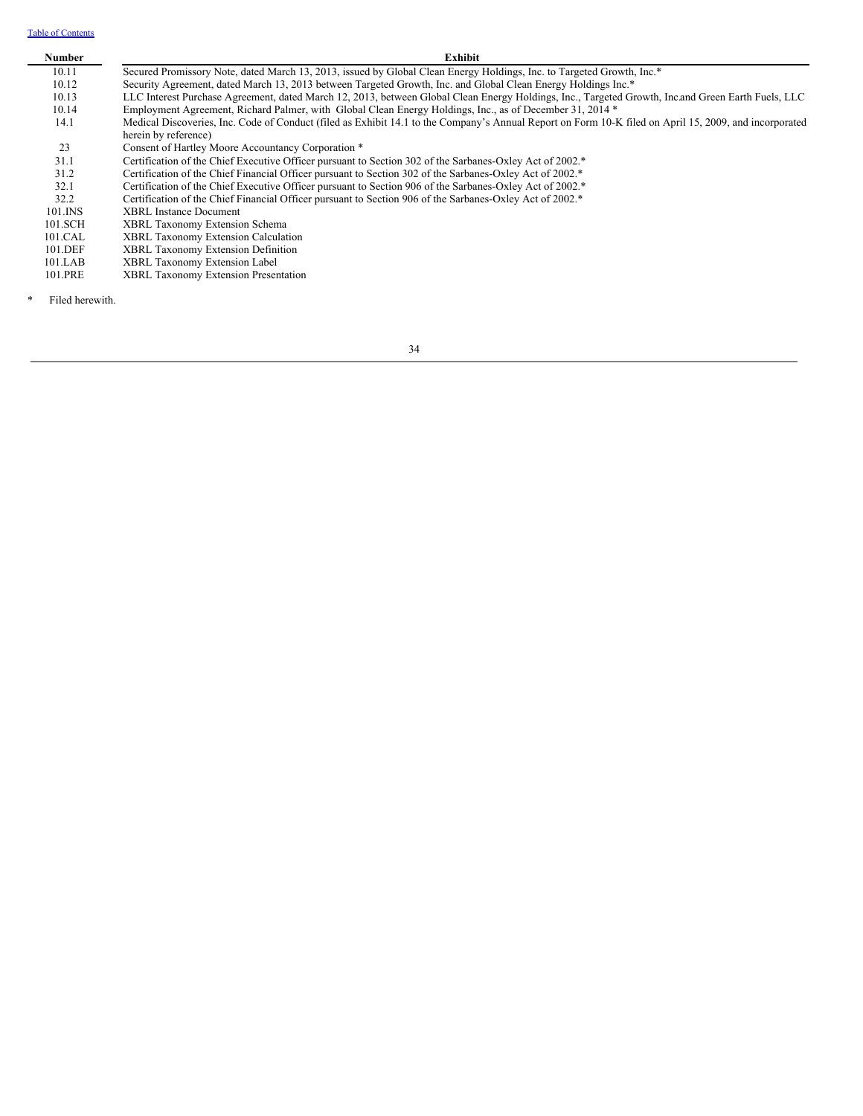Table of [Contents](#page-2-0)

# **Number Exhibit**

| 10.11 |  |  | Secured Promissory Note, dated March 13, 2013, issued by Global Clean Energy Holdings, Inc. to Targeted Growth, Inc.* |
|-------|--|--|-----------------------------------------------------------------------------------------------------------------------|
|       |  |  |                                                                                                                       |

10.12 Security Agreement, dated March 13, 2013 between Targeted Growth, Inc. and Global Clean Energy Holdings Inc.\*

10.13 LLC Interest Purchase Agreement, dated March 12, 2013, between Global Clean Energy Holdings, Inc., Targeted Growth, Inc.and Green Earth Fuels, LLC 10.14 Employment Agreement, Richard Palmer, with Global Clean Energy Holdings, Inc., as of December 31, 2014 \*

14.1 Medical Discoveries, Inc. Code of Conduct (filed as Exhibit 14.1 to the Company's Annual Report on Form 10-K filed on April 15, 2009, and incorporated herein by reference)

23 Consent of Hartley Moore Accountancy Corporation \*<br>
21.1 Certification of the Chief Executive Officer pursuant to

Certification of the Chief Executive Officer pursuant to Section 302 of the Sarbanes-Oxley Act of 2002.\*

31.2 Certification of the Chief Financial Officer pursuant to Section 302 of the Sarbanes-Oxley Act of 2002.\*

32.1 Certification of the Chief Executive Officer pursuant to Section 906 of the Sarbanes-Oxley Act of 2002.\*

32.2 Certification of the Chief Financial Officer pursuant to Section 906 of the Sarbanes-Oxley Act of 2002.\*

101.INS 101.SCH XBRL Instance Document

XBRL Taxonomy Extension Schema

101.CAL 101.DEF XBRL Taxonomy Extension Calculation XBRL Taxonomy Extension Definition

101.LAB

- 101.PRE XBRL Taxonomy Extension Label XBRL Taxonomy Extension Presentation
- Filed herewith.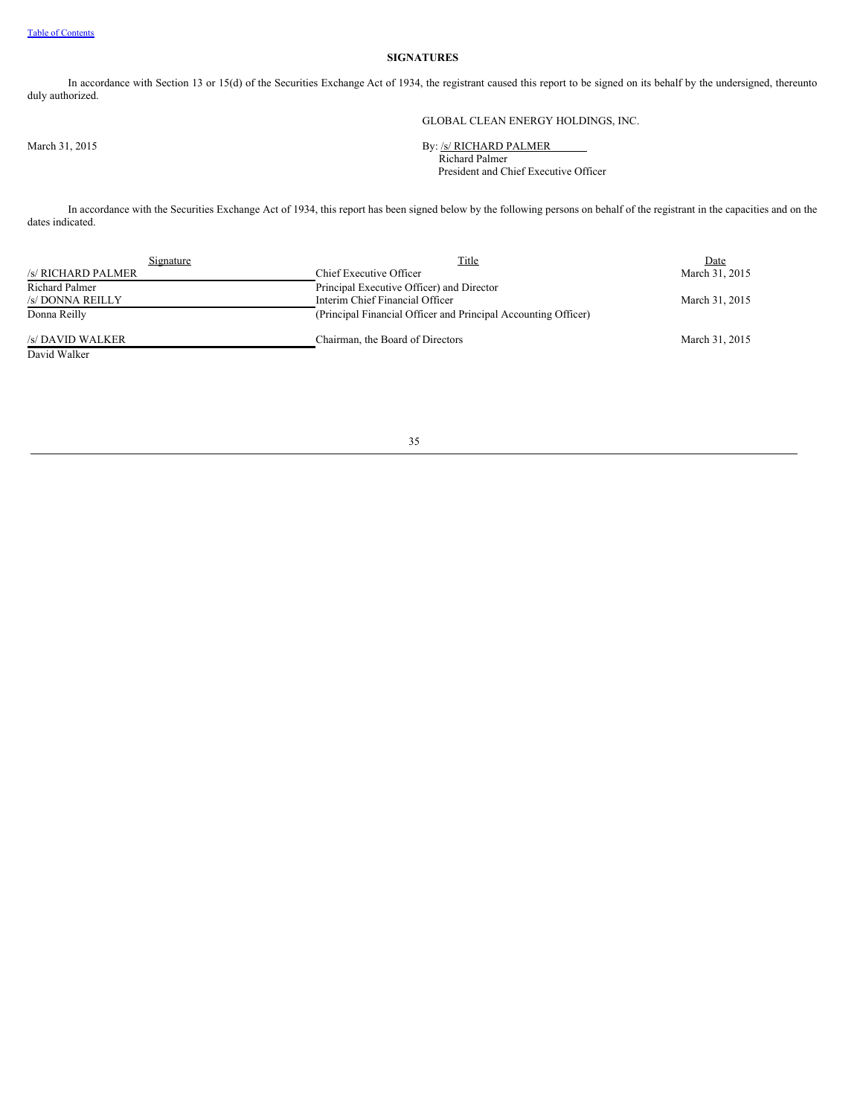# **SIGNATURES**

In accordance with Section 13 or 15(d) of the Securities Exchange Act of 1934, the registrant caused this report to be signed on its behalf by the undersigned, thereunto duly authorized.

GLOBAL CLEAN ENERGY HOLDINGS, INC.

March 31, 2015 By: /s/ RICHARD PALMER Richard Palmer President and Chief Executive Officer

In accordance with the Securities Exchange Act of 1934, this report has been signed below by the following persons on behalf of the registrant in the capacities and on the dates indicated.

| Signature          | Title                                                          | Date           |
|--------------------|----------------------------------------------------------------|----------------|
| /s/ RICHARD PALMER | Chief Executive Officer                                        | March 31, 2015 |
| Richard Palmer     | Principal Executive Officer) and Director                      |                |
| /s/ DONNA REILLY   | Interim Chief Financial Officer                                | March 31, 2015 |
| Donna Reilly       | (Principal Financial Officer and Principal Accounting Officer) |                |
| /s/ DAVID WALKER   | Chairman, the Board of Directors                               | March 31, 2015 |
| David Walker       |                                                                |                |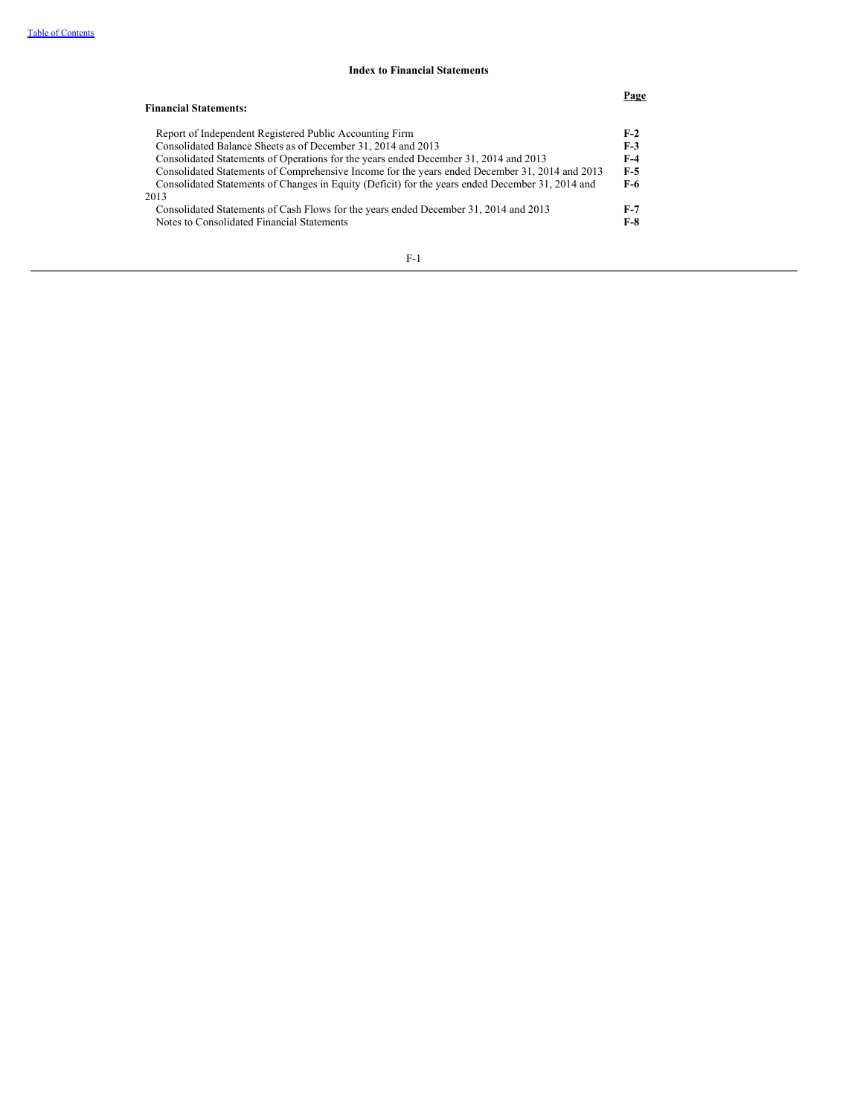#### **Index to Financial Statements**

### **Page Financial Statements:** Report of Independent Registered Public Accounting Firm **F-2**<br>Consolidated Balance Sheets as of December 31, 2014 and 2013 **F-3** Consolidated Balance Sheets as of December 31, 2014 and 2013 **F-3** Consolidated Statements of Operations for the years ended December 31, 2014 and 2013 **F-4** Consolidated Statements of Comprehensive Income for the years ended December 31, 2014 and 2013 **F-5** Consolidated Statements of Changes in Equity (Deficit) for the years ended December 31, 2014 and 2013 **F-6** Consolidated Statements of Cash Flows for the years ended December 31, 2014 and 2013 **F-7** Notes to Consolidated Financial Statements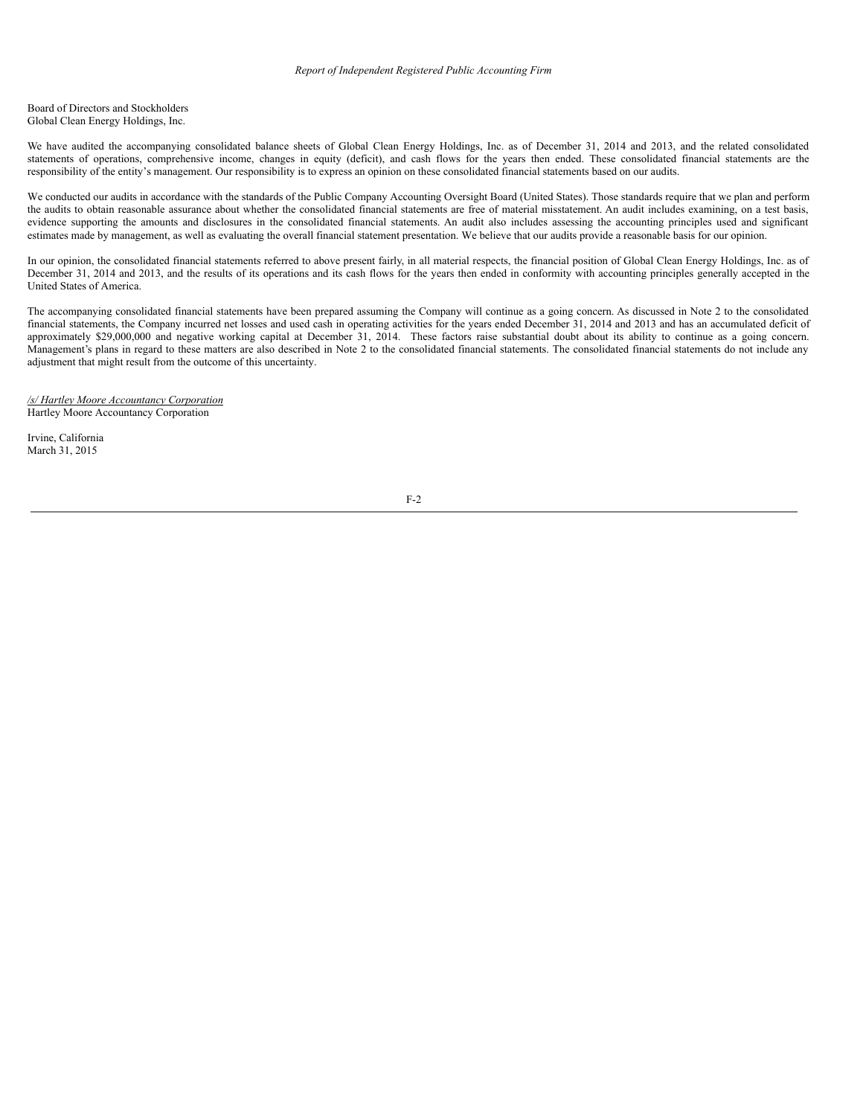Board of Directors and Stockholders Global Clean Energy Holdings, Inc.

We have audited the accompanying consolidated balance sheets of Global Clean Energy Holdings, Inc. as of December 31, 2014 and 2013, and the related consolidated statements of operations, comprehensive income, changes in equity (deficit), and cash flows for the years then ended. These consolidated financial statements are the responsibility of the entity's management. Our responsibility is to express an opinion on these consolidated financial statements based on our audits.

We conducted our audits in accordance with the standards of the Public Company Accounting Oversight Board (United States). Those standards require that we plan and perform the audits to obtain reasonable assurance about whether the consolidated financial statements are free of material misstatement. An audit includes examining, on a test basis, evidence supporting the amounts and disclosures in the consolidated financial statements. An audit also includes assessing the accounting principles used and significant estimates made by management, as well as evaluating the overall financial statement presentation. We believe that our audits provide a reasonable basis for our opinion.

In our opinion, the consolidated financial statements referred to above present fairly, in all material respects, the financial position of Global Clean Energy Holdings, Inc. as of December 31, 2014 and 2013, and the results of its operations and its cash flows for the years then ended in conformity with accounting principles generally accepted in the United States of America.

The accompanying consolidated financial statements have been prepared assuming the Company will continue as a going concern. As discussed in Note 2 to the consolidated financial statements, the Company incurred net losses and used cash in operating activities for the years ended December 31, 2014 and 2013 and has an accumulated deficit of approximately \$29,000,000 and negative working capital at December 31, 2014. These factors raise substantial doubt about its ability to continue as a going concern. Management's plans in regard to these matters are also described in Note 2 to the consolidated financial statements. The consolidated financial statements do not include any adjustment that might result from the outcome of this uncertainty.

*/s/ Hartley Moore Accountancy Corporation* Hartley Moore Accountancy Corporation

Irvine, California March 31, 2015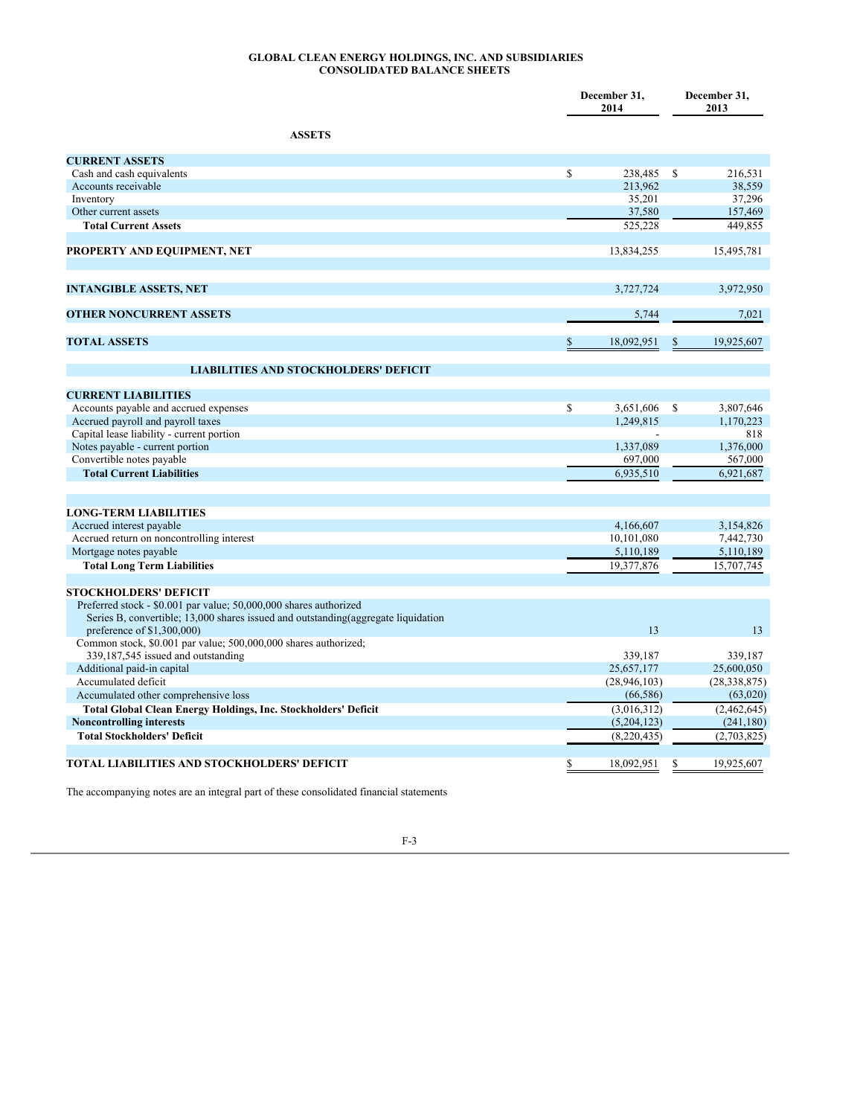#### **GLOBAL CLEAN ENERGY HOLDINGS, INC. AND SUBSIDIARIES CONSOLIDATED BALANCE SHEETS**

|                                                                                                                  |             | December 31,<br>2014 | December 31,<br>2013 |                |  |
|------------------------------------------------------------------------------------------------------------------|-------------|----------------------|----------------------|----------------|--|
| <b>ASSETS</b>                                                                                                    |             |                      |                      |                |  |
| <b>CURRENT ASSETS</b>                                                                                            |             |                      |                      |                |  |
| Cash and cash equivalents                                                                                        | \$          | 238,485              | <sup>\$</sup>        | 216,531        |  |
| Accounts receivable                                                                                              |             | 213,962              |                      | 38,559         |  |
| Inventory                                                                                                        |             | 35,201               |                      | 37,296         |  |
| Other current assets                                                                                             |             | 37,580               |                      | 157,469        |  |
| <b>Total Current Assets</b>                                                                                      |             | 525,228              |                      | 449,855        |  |
| PROPERTY AND EQUIPMENT, NET                                                                                      |             | 13,834,255           |                      | 15,495,781     |  |
| <b>INTANGIBLE ASSETS, NET</b>                                                                                    |             | 3,727,724            |                      | 3,972,950      |  |
| <b>OTHER NONCURRENT ASSETS</b>                                                                                   |             | 5,744                |                      | 7,021          |  |
| <b>TOTAL ASSETS</b>                                                                                              | \$          | 18,092,951           | \$                   | 19,925,607     |  |
| <b>LIABILITIES AND STOCKHOLDERS' DEFICIT</b>                                                                     |             |                      |                      |                |  |
| <b>CURRENT LIABILITIES</b>                                                                                       |             |                      |                      |                |  |
| Accounts payable and accrued expenses                                                                            | $\mathbf S$ | 3,651,606            | <sup>\$</sup>        | 3,807,646      |  |
| Accrued payroll and payroll taxes                                                                                |             | 1,249,815            |                      | 1,170,223      |  |
| Capital lease liability - current portion                                                                        |             |                      |                      | 818            |  |
| Notes payable - current portion                                                                                  |             | 1,337,089            |                      | 1,376,000      |  |
| Convertible notes payable                                                                                        |             | 697,000              |                      | 567,000        |  |
| <b>Total Current Liabilities</b>                                                                                 |             | 6,935,510            |                      | 6,921,687      |  |
| <b>LONG-TERM LIABILITIES</b>                                                                                     |             |                      |                      |                |  |
| Accrued interest payable                                                                                         |             | 4,166,607            |                      | 3,154,826      |  |
| Accrued return on noncontrolling interest                                                                        |             | 10,101,080           |                      | 7,442,730      |  |
| Mortgage notes payable                                                                                           |             | 5,110,189            |                      | 5,110,189      |  |
| <b>Total Long Term Liabilities</b>                                                                               |             | 19,377,876           |                      | 15,707,745     |  |
|                                                                                                                  |             |                      |                      |                |  |
| <b>STOCKHOLDERS' DEFICIT</b><br>Preferred stock - \$0.001 par value; 50,000,000 shares authorized                |             |                      |                      |                |  |
| Series B, convertible; 13,000 shares issued and outstanding (aggregate liquidation<br>preference of \$1,300,000) |             | 13                   |                      | 13             |  |
| Common stock, \$0.001 par value; 500,000,000 shares authorized;                                                  |             |                      |                      |                |  |
| 339,187,545 issued and outstanding                                                                               |             | 339.187              |                      | 339.187        |  |
| Additional paid-in capital                                                                                       |             | 25,657,177           |                      | 25,600,050     |  |
| Accumulated deficit                                                                                              |             | (28, 946, 103)       |                      | (28, 338, 875) |  |
| Accumulated other comprehensive loss                                                                             |             | (66, 586)            |                      | (63,020)       |  |
| Total Global Clean Energy Holdings, Inc. Stockholders' Deficit                                                   |             | (3,016,312)          |                      | (2,462,645)    |  |
| <b>Noncontrolling interests</b>                                                                                  |             | (5,204,123)          |                      | (241, 180)     |  |
| <b>Total Stockholders' Deficit</b>                                                                               |             | (8,220,435)          |                      | (2,703,825)    |  |
| <b>TOTAL LIABILITIES AND STOCKHOLDERS' DEFICIT</b>                                                               | \$          | 18,092,951           | \$                   | 19,925,607     |  |

The accompanying notes are an integral part of these consolidated financial statements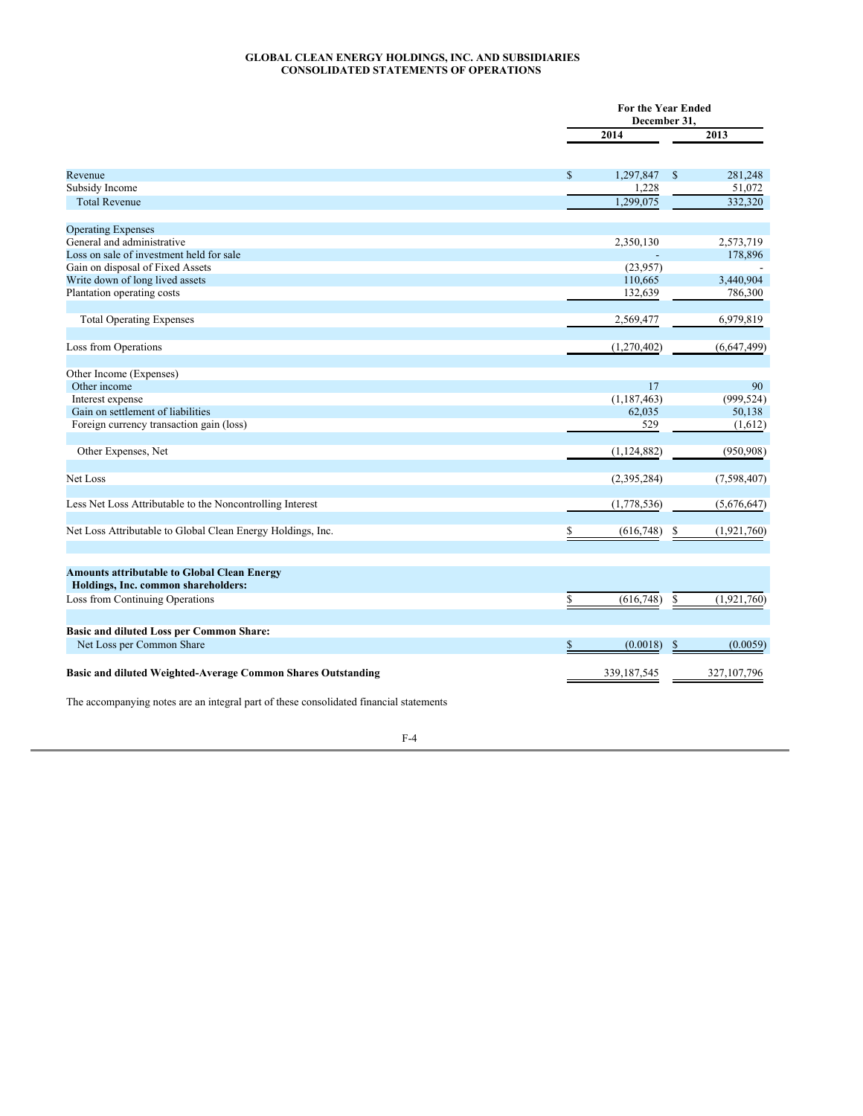### **GLOBAL CLEAN ENERGY HOLDINGS, INC. AND SUBSIDIARIES CONSOLIDATED STATEMENTS OF OPERATIONS**

|                                                                                           |                 | <b>For the Year Ended</b><br>December 31, |
|-------------------------------------------------------------------------------------------|-----------------|-------------------------------------------|
|                                                                                           | 2014            | 2013                                      |
| Revenue                                                                                   | \$<br>1,297,847 | $\mathcal{S}$<br>281,248                  |
| Subsidy Income                                                                            |                 | 1,228<br>51,072                           |
| <b>Total Revenue</b>                                                                      | 1,299,075       | 332,320                                   |
| <b>Operating Expenses</b>                                                                 |                 |                                           |
| General and administrative                                                                | 2,350,130       | 2,573,719                                 |
| Loss on sale of investment held for sale                                                  |                 | 178,896                                   |
| Gain on disposal of Fixed Assets                                                          | (23,957)        |                                           |
| Write down of long lived assets                                                           | 110,665         | 3,440,904                                 |
| Plantation operating costs                                                                | 132,639         | 786,300                                   |
| <b>Total Operating Expenses</b>                                                           | 2,569,477       | 6,979,819                                 |
| Loss from Operations                                                                      | (1,270,402)     | (6,647,499)                               |
| Other Income (Expenses)                                                                   |                 |                                           |
| Other income                                                                              |                 | 17<br>90                                  |
| Interest expense                                                                          | (1, 187, 463)   | (999, 524)                                |
| Gain on settlement of liabilities                                                         | 62,035          | 50,138                                    |
| Foreign currency transaction gain (loss)                                                  |                 | 529<br>(1,612)                            |
| Other Expenses, Net                                                                       | (1,124,882)     | (950, 908)                                |
| Net Loss                                                                                  | (2, 395, 284)   | (7,598,407)                               |
| Less Net Loss Attributable to the Noncontrolling Interest                                 | (1,778,536)     | (5,676,647)                               |
| Net Loss Attributable to Global Clean Energy Holdings, Inc.                               | (616,748)<br>\$ | (1,921,760)                               |
| <b>Amounts attributable to Global Clean Energy</b><br>Holdings, Inc. common shareholders: |                 |                                           |
| Loss from Continuing Operations                                                           | \$<br>(616,748) | \$<br>(1,921,760)                         |
| <b>Basic and diluted Loss per Common Share:</b>                                           |                 |                                           |
| Net Loss per Common Share                                                                 | (0.0018)<br>\$  | (0.0059)<br>\$                            |
| Basic and diluted Weighted-Average Common Shares Outstanding                              | 339, 187, 545   | 327,107,796                               |

The accompanying notes are an integral part of these consolidated financial statements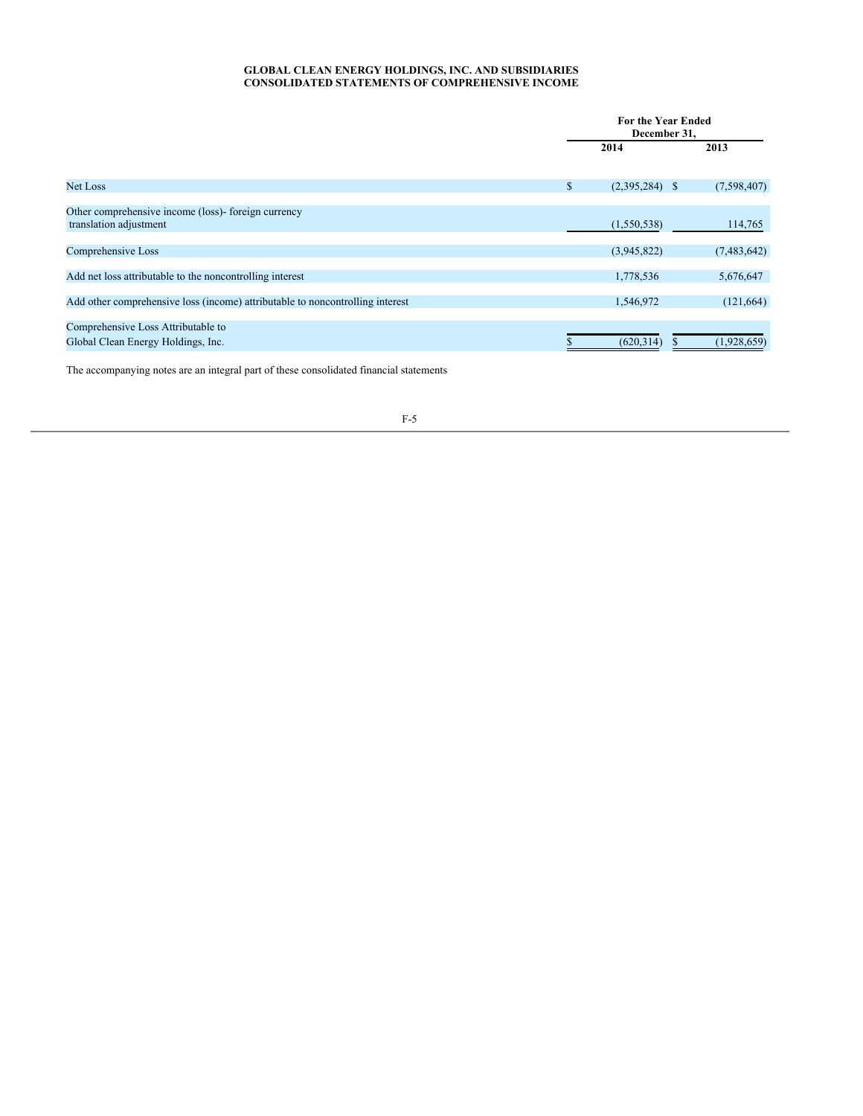### **GLOBAL CLEAN ENERGY HOLDINGS, INC. AND SUBSIDIARIES CONSOLIDATED STATEMENTS OF COMPREHENSIVE INCOME**

|                                                                               | <b>For the Year Ended</b><br>December 31, |             |  |  |
|-------------------------------------------------------------------------------|-------------------------------------------|-------------|--|--|
|                                                                               | 2014                                      | 2013        |  |  |
|                                                                               |                                           |             |  |  |
| <b>Net Loss</b>                                                               | \$<br>$(2,395,284)$ \$                    | (7,598,407) |  |  |
| Other comprehensive income (loss)- foreign currency                           |                                           |             |  |  |
| translation adjustment                                                        | (1,550,538)                               | 114,765     |  |  |
| Comprehensive Loss                                                            | (3,945,822)                               | (7,483,642) |  |  |
| Add net loss attributable to the noncontrolling interest                      | 1,778,536                                 | 5,676,647   |  |  |
| Add other comprehensive loss (income) attributable to noncontrolling interest | 1,546,972                                 | (121, 664)  |  |  |
| Comprehensive Loss Attributable to                                            |                                           |             |  |  |
| Global Clean Energy Holdings, Inc.                                            | (620, 314)                                | (1,928,659) |  |  |

The accompanying notes are an integral part of these consolidated financial statements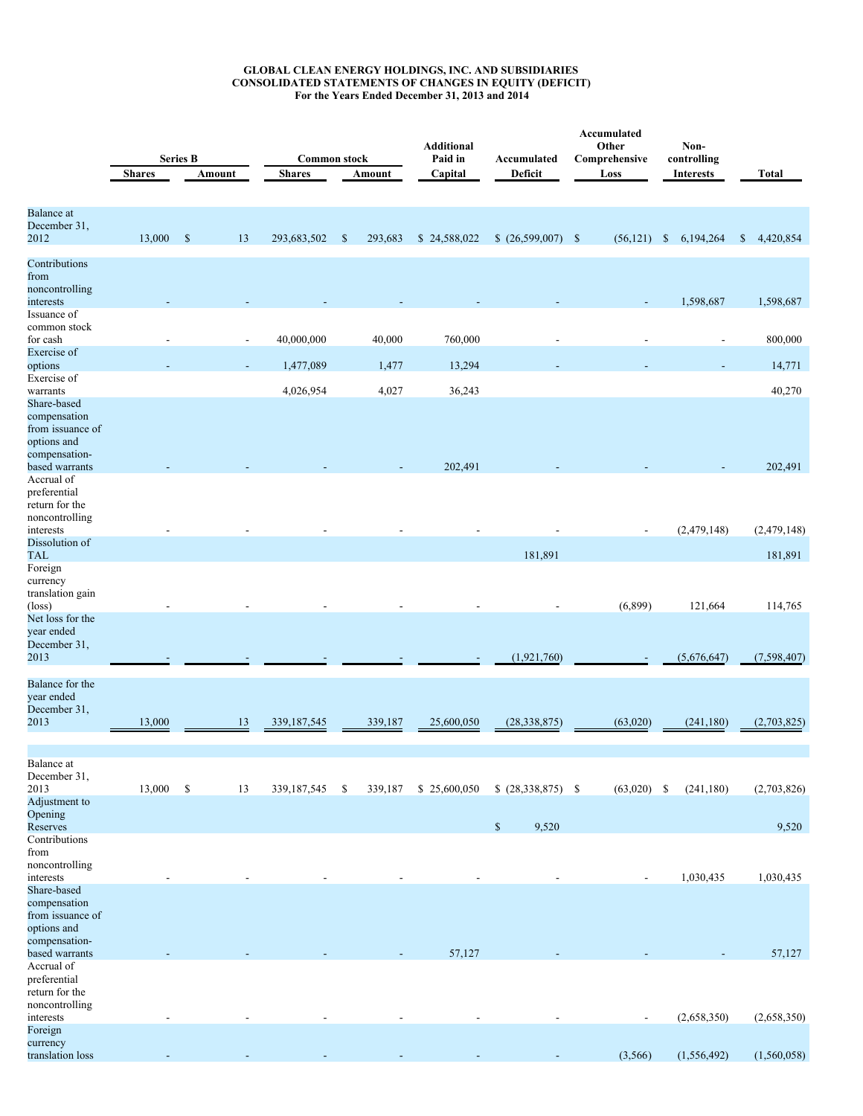#### **GLOBAL CLEAN ENERGY HOLDINGS, INC. AND SUBSIDIARIES CONSOLIDATED STATEMENTS OF CHANGES IN EQUITY (DEFICIT) For the Years Ended December 31, 2013 and 2014**

|                                                                                                   | <b>Shares</b> | <b>Series B</b> | Amount                   | <b>Common stock</b><br><b>Shares</b> |              | Amount  | <b>Additional</b><br>Paid in<br>Capital | Accumulated<br>Deficit | Accumulated<br>Other<br>Comprehensive<br>Loss | Non-<br>controlling<br>Interests | <b>Total</b>              |
|---------------------------------------------------------------------------------------------------|---------------|-----------------|--------------------------|--------------------------------------|--------------|---------|-----------------------------------------|------------------------|-----------------------------------------------|----------------------------------|---------------------------|
| <b>Balance</b> at<br>December 31,<br>2012                                                         | 13,000        | $\mathbb{S}$    | 13                       | 293,683,502                          | $\mathbb{S}$ | 293,683 | \$24,588,022                            | (26,599,007)           | $\mathbb{S}$<br>(56, 121)                     | $\mathbb{S}$<br>6,194,264        | $\mathbb{S}$<br>4,420,854 |
| Contributions<br>from                                                                             |               |                 |                          |                                      |              |         |                                         |                        |                                               |                                  |                           |
| noncontrolling<br>interests<br>Issuance of                                                        |               |                 |                          |                                      |              |         |                                         |                        |                                               | 1,598,687                        | 1,598,687                 |
| common stock<br>for cash<br>Exercise of                                                           |               |                 | $\overline{\phantom{a}}$ | 40,000,000                           |              | 40,000  | 760,000                                 |                        |                                               | $\overline{a}$                   | 800,000                   |
| options                                                                                           |               |                 |                          | 1,477,089                            |              | 1,477   | 13,294                                  |                        |                                               |                                  | 14,771                    |
| Exercise of<br>warrants                                                                           |               |                 |                          | 4,026,954                            |              | 4,027   | 36,243                                  |                        |                                               |                                  | 40,270                    |
| Share-based<br>compensation<br>from issuance of<br>options and<br>compensation-                   |               |                 |                          |                                      |              |         |                                         |                        |                                               |                                  |                           |
| based warrants<br>Accrual of                                                                      |               |                 |                          |                                      |              |         | 202,491                                 |                        |                                               |                                  | 202,491                   |
| preferential<br>return for the<br>noncontrolling<br>interests                                     |               |                 |                          |                                      |              |         |                                         |                        |                                               | (2,479,148)                      | (2,479,148)               |
| Dissolution of<br>TAL                                                                             |               |                 |                          |                                      |              |         |                                         | 181,891                |                                               |                                  | 181,891                   |
| Foreign<br>currency<br>translation gain<br>$(\text{loss})$<br>Net loss for the<br>year ended      |               |                 |                          |                                      |              |         |                                         |                        | (6,899)                                       | 121,664                          | 114,765                   |
| December 31,<br>2013                                                                              |               |                 |                          |                                      |              |         |                                         | (1,921,760)            |                                               | (5,676,647)                      | (7,598,407)               |
| Balance for the<br>year ended<br>December 31,<br>2013                                             | 13,000        |                 | 13                       | 339, 187, 545                        |              | 339,187 | 25,600,050                              | (28, 338, 875)         | (63,020)                                      | (241, 180)                       | (2,703,825)               |
|                                                                                                   |               |                 |                          |                                      |              |         |                                         |                        |                                               |                                  |                           |
| Balance at<br>December 31,<br>2013                                                                | 13,000        | $\mathbb{S}$    | 13                       | 339, 187, 545                        | \$           | 339,187 | \$25,600,050                            | $$ (28,338,875) \$$    | (63,020)                                      | (241, 180)<br>- S                | (2,703,826)               |
| Adjustment to<br>Opening<br>Reserves                                                              |               |                 |                          |                                      |              |         |                                         | $\mathbb{S}$<br>9,520  |                                               |                                  | 9,520                     |
| Contributions<br>from<br>noncontrolling<br>interests                                              |               |                 |                          |                                      |              |         |                                         |                        |                                               | 1,030,435                        | 1,030,435                 |
| Share-based<br>compensation<br>from issuance of<br>options and<br>compensation-<br>based warrants |               |                 |                          |                                      |              |         | 57,127                                  |                        |                                               |                                  | 57,127                    |
| Accrual of<br>preferential<br>return for the<br>noncontrolling<br>interests                       |               |                 |                          |                                      |              |         |                                         |                        |                                               | (2,658,350)                      | (2,658,350)               |
| Foreign<br>currency<br>translation loss                                                           |               |                 |                          |                                      |              |         |                                         |                        | (3, 566)                                      | (1, 556, 492)                    | (1,560,058)               |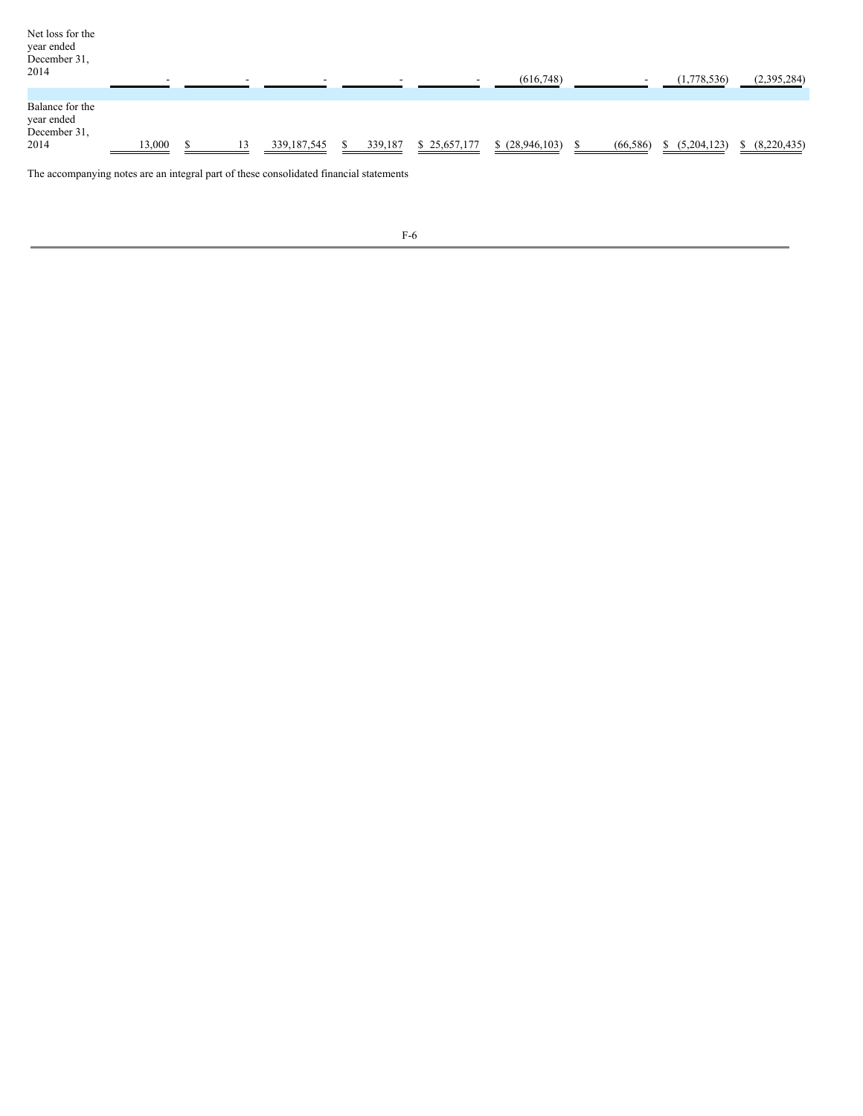| Net loss for the<br>year ended<br>December 31,<br>2014 |        |  |               |         |              | (616,748)      |           | (1,778,536) | (2,395,284) |
|--------------------------------------------------------|--------|--|---------------|---------|--------------|----------------|-----------|-------------|-------------|
| Balance for the<br>year ended<br>December 31,<br>2014  | 13,000 |  | 339, 187, 545 | 339,187 | \$25,657,177 | \$(28,946,103) | (66, 586) | (5,204,123) | (8,220,435) |

The accompanying notes are an integral part of these consolidated financial statements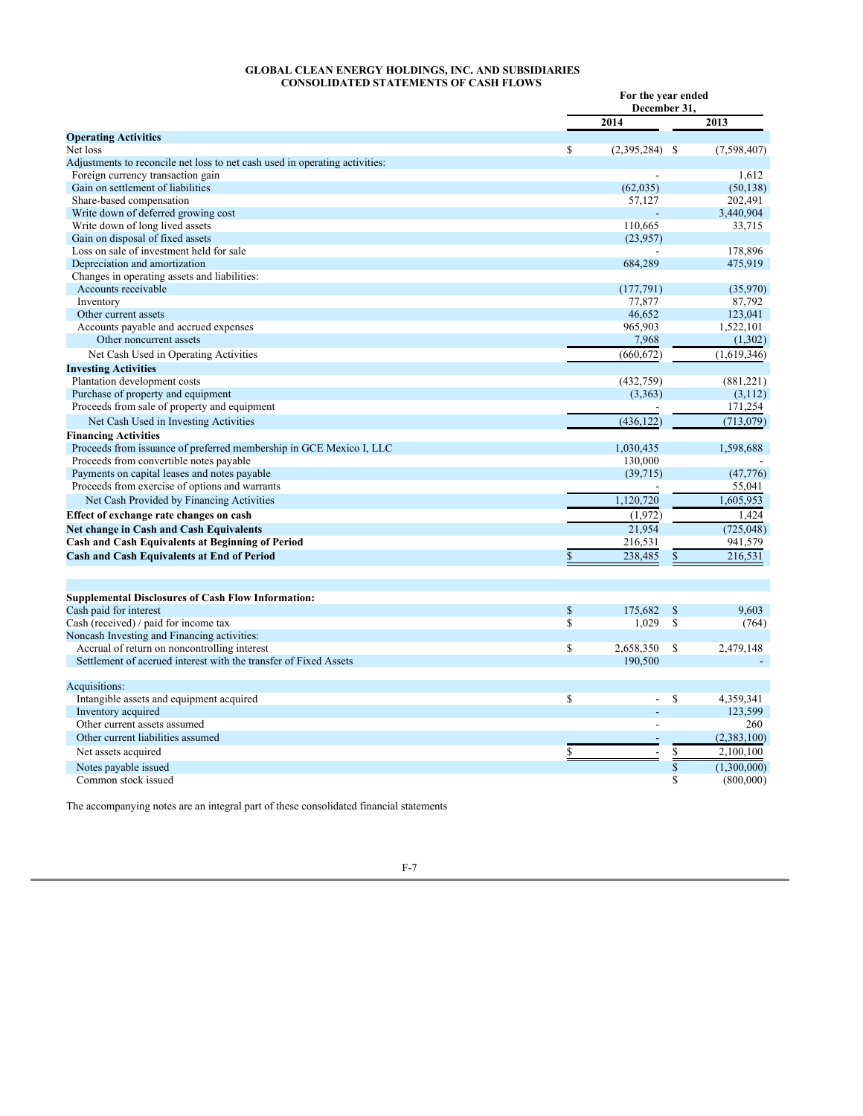### **GLOBAL CLEAN ENERGY HOLDINGS, INC. AND SUBSIDIARIES CONSOLIDATED STATEMENTS OF CASH FLOWS**

| 2014<br>2013<br><b>Operating Activities</b><br>\$<br>$(2,395,284)$ \$<br>(7,598,407)<br>Net loss<br>Adjustments to reconcile net loss to net cash used in operating activities:<br>Foreign currency transaction gain<br>1,612<br>Gain on settlement of liabilities<br>(62, 035)<br>(50, 138)<br>Share-based compensation<br>57,127<br>202,491<br>Write down of deferred growing cost<br>3,440,904<br>Write down of long lived assets<br>110,665<br>33,715<br>Gain on disposal of fixed assets<br>(23,957)<br>Loss on sale of investment held for sale<br>178,896<br>Depreciation and amortization<br>475,919<br>684,289<br>Changes in operating assets and liabilities:<br>Accounts receivable<br>(35,970)<br>(177, 791)<br>87,792<br>Inventory<br>77,877<br>Other current assets<br>46,652<br>123,041<br>Accounts payable and accrued expenses<br>965,903<br>1,522,101<br>Other noncurrent assets<br>7,968<br>(1,302)<br>Net Cash Used in Operating Activities<br>(660, 672)<br>(1,619,346)<br><b>Investing Activities</b><br>Plantation development costs<br>(432,759)<br>(881,221)<br>Purchase of property and equipment<br>(3,363)<br>(3,112)<br>Proceeds from sale of property and equipment<br>171,254<br>(436, 122)<br>Net Cash Used in Investing Activities<br>(713, 079)<br><b>Financing Activities</b><br>1,030,435<br>1,598,688<br>Proceeds from issuance of preferred membership in GCE Mexico I, LLC<br>Proceeds from convertible notes payable<br>130,000<br>Payments on capital leases and notes payable<br>(39,715)<br>(47,776)<br>Proceeds from exercise of options and warrants<br>55,041<br>1,120,720<br>1,605,953<br>Net Cash Provided by Financing Activities<br>(1,972)<br>1,424<br>Effect of exchange rate changes on cash<br>21,954<br>(725, 048)<br>Net change in Cash and Cash Equivalents<br><b>Cash and Cash Equivalents at Beginning of Period</b><br>216,531<br>941,579<br>\$<br>238,485<br>\$<br>216,531<br><b>Cash and Cash Equivalents at End of Period</b><br><b>Supplemental Disclosures of Cash Flow Information:</b><br>Cash paid for interest<br>\$<br>175,682<br>$\mathcal{S}$<br>9.603<br>\$<br>\$<br>Cash (received) / paid for income tax<br>1,029<br>(764)<br>Noncash Investing and Financing activities:<br>Accrual of return on noncontrolling interest<br>\$<br>2,658,350<br>2,479,148<br>\$<br>Settlement of accrued interest with the transfer of Fixed Assets<br>190,500<br>Acquisitions:<br>\$<br>\$<br>Intangible assets and equipment acquired<br>4,359,341<br>Inventory acquired<br>123,599<br>Other current assets assumed<br>260<br>$\overline{\phantom{a}}$<br>Other current liabilities assumed<br>(2,383,100)<br>\$<br>Net assets acquired<br>2,100,100<br>$\frac{1}{3}$<br>(1,300,000)<br>Notes payable issued<br>\$<br>(800,000)<br>Common stock issued |  | For the year ended<br>December 31, |  |  |  |
|---------------------------------------------------------------------------------------------------------------------------------------------------------------------------------------------------------------------------------------------------------------------------------------------------------------------------------------------------------------------------------------------------------------------------------------------------------------------------------------------------------------------------------------------------------------------------------------------------------------------------------------------------------------------------------------------------------------------------------------------------------------------------------------------------------------------------------------------------------------------------------------------------------------------------------------------------------------------------------------------------------------------------------------------------------------------------------------------------------------------------------------------------------------------------------------------------------------------------------------------------------------------------------------------------------------------------------------------------------------------------------------------------------------------------------------------------------------------------------------------------------------------------------------------------------------------------------------------------------------------------------------------------------------------------------------------------------------------------------------------------------------------------------------------------------------------------------------------------------------------------------------------------------------------------------------------------------------------------------------------------------------------------------------------------------------------------------------------------------------------------------------------------------------------------------------------------------------------------------------------------------------------------------------------------------------------------------------------------------------------------------------------------------------------------------------------------------------------------------------------------------------------------------------------------------------------------------------------------------------------------------------------------------------------------------------------------------------------------------------------------------------------------------------------------------------------|--|------------------------------------|--|--|--|
|                                                                                                                                                                                                                                                                                                                                                                                                                                                                                                                                                                                                                                                                                                                                                                                                                                                                                                                                                                                                                                                                                                                                                                                                                                                                                                                                                                                                                                                                                                                                                                                                                                                                                                                                                                                                                                                                                                                                                                                                                                                                                                                                                                                                                                                                                                                                                                                                                                                                                                                                                                                                                                                                                                                                                                                                                     |  |                                    |  |  |  |
|                                                                                                                                                                                                                                                                                                                                                                                                                                                                                                                                                                                                                                                                                                                                                                                                                                                                                                                                                                                                                                                                                                                                                                                                                                                                                                                                                                                                                                                                                                                                                                                                                                                                                                                                                                                                                                                                                                                                                                                                                                                                                                                                                                                                                                                                                                                                                                                                                                                                                                                                                                                                                                                                                                                                                                                                                     |  |                                    |  |  |  |
|                                                                                                                                                                                                                                                                                                                                                                                                                                                                                                                                                                                                                                                                                                                                                                                                                                                                                                                                                                                                                                                                                                                                                                                                                                                                                                                                                                                                                                                                                                                                                                                                                                                                                                                                                                                                                                                                                                                                                                                                                                                                                                                                                                                                                                                                                                                                                                                                                                                                                                                                                                                                                                                                                                                                                                                                                     |  |                                    |  |  |  |
|                                                                                                                                                                                                                                                                                                                                                                                                                                                                                                                                                                                                                                                                                                                                                                                                                                                                                                                                                                                                                                                                                                                                                                                                                                                                                                                                                                                                                                                                                                                                                                                                                                                                                                                                                                                                                                                                                                                                                                                                                                                                                                                                                                                                                                                                                                                                                                                                                                                                                                                                                                                                                                                                                                                                                                                                                     |  |                                    |  |  |  |
|                                                                                                                                                                                                                                                                                                                                                                                                                                                                                                                                                                                                                                                                                                                                                                                                                                                                                                                                                                                                                                                                                                                                                                                                                                                                                                                                                                                                                                                                                                                                                                                                                                                                                                                                                                                                                                                                                                                                                                                                                                                                                                                                                                                                                                                                                                                                                                                                                                                                                                                                                                                                                                                                                                                                                                                                                     |  |                                    |  |  |  |
|                                                                                                                                                                                                                                                                                                                                                                                                                                                                                                                                                                                                                                                                                                                                                                                                                                                                                                                                                                                                                                                                                                                                                                                                                                                                                                                                                                                                                                                                                                                                                                                                                                                                                                                                                                                                                                                                                                                                                                                                                                                                                                                                                                                                                                                                                                                                                                                                                                                                                                                                                                                                                                                                                                                                                                                                                     |  |                                    |  |  |  |
|                                                                                                                                                                                                                                                                                                                                                                                                                                                                                                                                                                                                                                                                                                                                                                                                                                                                                                                                                                                                                                                                                                                                                                                                                                                                                                                                                                                                                                                                                                                                                                                                                                                                                                                                                                                                                                                                                                                                                                                                                                                                                                                                                                                                                                                                                                                                                                                                                                                                                                                                                                                                                                                                                                                                                                                                                     |  |                                    |  |  |  |
|                                                                                                                                                                                                                                                                                                                                                                                                                                                                                                                                                                                                                                                                                                                                                                                                                                                                                                                                                                                                                                                                                                                                                                                                                                                                                                                                                                                                                                                                                                                                                                                                                                                                                                                                                                                                                                                                                                                                                                                                                                                                                                                                                                                                                                                                                                                                                                                                                                                                                                                                                                                                                                                                                                                                                                                                                     |  |                                    |  |  |  |
|                                                                                                                                                                                                                                                                                                                                                                                                                                                                                                                                                                                                                                                                                                                                                                                                                                                                                                                                                                                                                                                                                                                                                                                                                                                                                                                                                                                                                                                                                                                                                                                                                                                                                                                                                                                                                                                                                                                                                                                                                                                                                                                                                                                                                                                                                                                                                                                                                                                                                                                                                                                                                                                                                                                                                                                                                     |  |                                    |  |  |  |
|                                                                                                                                                                                                                                                                                                                                                                                                                                                                                                                                                                                                                                                                                                                                                                                                                                                                                                                                                                                                                                                                                                                                                                                                                                                                                                                                                                                                                                                                                                                                                                                                                                                                                                                                                                                                                                                                                                                                                                                                                                                                                                                                                                                                                                                                                                                                                                                                                                                                                                                                                                                                                                                                                                                                                                                                                     |  |                                    |  |  |  |
|                                                                                                                                                                                                                                                                                                                                                                                                                                                                                                                                                                                                                                                                                                                                                                                                                                                                                                                                                                                                                                                                                                                                                                                                                                                                                                                                                                                                                                                                                                                                                                                                                                                                                                                                                                                                                                                                                                                                                                                                                                                                                                                                                                                                                                                                                                                                                                                                                                                                                                                                                                                                                                                                                                                                                                                                                     |  |                                    |  |  |  |
|                                                                                                                                                                                                                                                                                                                                                                                                                                                                                                                                                                                                                                                                                                                                                                                                                                                                                                                                                                                                                                                                                                                                                                                                                                                                                                                                                                                                                                                                                                                                                                                                                                                                                                                                                                                                                                                                                                                                                                                                                                                                                                                                                                                                                                                                                                                                                                                                                                                                                                                                                                                                                                                                                                                                                                                                                     |  |                                    |  |  |  |
|                                                                                                                                                                                                                                                                                                                                                                                                                                                                                                                                                                                                                                                                                                                                                                                                                                                                                                                                                                                                                                                                                                                                                                                                                                                                                                                                                                                                                                                                                                                                                                                                                                                                                                                                                                                                                                                                                                                                                                                                                                                                                                                                                                                                                                                                                                                                                                                                                                                                                                                                                                                                                                                                                                                                                                                                                     |  |                                    |  |  |  |
|                                                                                                                                                                                                                                                                                                                                                                                                                                                                                                                                                                                                                                                                                                                                                                                                                                                                                                                                                                                                                                                                                                                                                                                                                                                                                                                                                                                                                                                                                                                                                                                                                                                                                                                                                                                                                                                                                                                                                                                                                                                                                                                                                                                                                                                                                                                                                                                                                                                                                                                                                                                                                                                                                                                                                                                                                     |  |                                    |  |  |  |
|                                                                                                                                                                                                                                                                                                                                                                                                                                                                                                                                                                                                                                                                                                                                                                                                                                                                                                                                                                                                                                                                                                                                                                                                                                                                                                                                                                                                                                                                                                                                                                                                                                                                                                                                                                                                                                                                                                                                                                                                                                                                                                                                                                                                                                                                                                                                                                                                                                                                                                                                                                                                                                                                                                                                                                                                                     |  |                                    |  |  |  |
|                                                                                                                                                                                                                                                                                                                                                                                                                                                                                                                                                                                                                                                                                                                                                                                                                                                                                                                                                                                                                                                                                                                                                                                                                                                                                                                                                                                                                                                                                                                                                                                                                                                                                                                                                                                                                                                                                                                                                                                                                                                                                                                                                                                                                                                                                                                                                                                                                                                                                                                                                                                                                                                                                                                                                                                                                     |  |                                    |  |  |  |
|                                                                                                                                                                                                                                                                                                                                                                                                                                                                                                                                                                                                                                                                                                                                                                                                                                                                                                                                                                                                                                                                                                                                                                                                                                                                                                                                                                                                                                                                                                                                                                                                                                                                                                                                                                                                                                                                                                                                                                                                                                                                                                                                                                                                                                                                                                                                                                                                                                                                                                                                                                                                                                                                                                                                                                                                                     |  |                                    |  |  |  |
|                                                                                                                                                                                                                                                                                                                                                                                                                                                                                                                                                                                                                                                                                                                                                                                                                                                                                                                                                                                                                                                                                                                                                                                                                                                                                                                                                                                                                                                                                                                                                                                                                                                                                                                                                                                                                                                                                                                                                                                                                                                                                                                                                                                                                                                                                                                                                                                                                                                                                                                                                                                                                                                                                                                                                                                                                     |  |                                    |  |  |  |
|                                                                                                                                                                                                                                                                                                                                                                                                                                                                                                                                                                                                                                                                                                                                                                                                                                                                                                                                                                                                                                                                                                                                                                                                                                                                                                                                                                                                                                                                                                                                                                                                                                                                                                                                                                                                                                                                                                                                                                                                                                                                                                                                                                                                                                                                                                                                                                                                                                                                                                                                                                                                                                                                                                                                                                                                                     |  |                                    |  |  |  |
|                                                                                                                                                                                                                                                                                                                                                                                                                                                                                                                                                                                                                                                                                                                                                                                                                                                                                                                                                                                                                                                                                                                                                                                                                                                                                                                                                                                                                                                                                                                                                                                                                                                                                                                                                                                                                                                                                                                                                                                                                                                                                                                                                                                                                                                                                                                                                                                                                                                                                                                                                                                                                                                                                                                                                                                                                     |  |                                    |  |  |  |
|                                                                                                                                                                                                                                                                                                                                                                                                                                                                                                                                                                                                                                                                                                                                                                                                                                                                                                                                                                                                                                                                                                                                                                                                                                                                                                                                                                                                                                                                                                                                                                                                                                                                                                                                                                                                                                                                                                                                                                                                                                                                                                                                                                                                                                                                                                                                                                                                                                                                                                                                                                                                                                                                                                                                                                                                                     |  |                                    |  |  |  |
|                                                                                                                                                                                                                                                                                                                                                                                                                                                                                                                                                                                                                                                                                                                                                                                                                                                                                                                                                                                                                                                                                                                                                                                                                                                                                                                                                                                                                                                                                                                                                                                                                                                                                                                                                                                                                                                                                                                                                                                                                                                                                                                                                                                                                                                                                                                                                                                                                                                                                                                                                                                                                                                                                                                                                                                                                     |  |                                    |  |  |  |
|                                                                                                                                                                                                                                                                                                                                                                                                                                                                                                                                                                                                                                                                                                                                                                                                                                                                                                                                                                                                                                                                                                                                                                                                                                                                                                                                                                                                                                                                                                                                                                                                                                                                                                                                                                                                                                                                                                                                                                                                                                                                                                                                                                                                                                                                                                                                                                                                                                                                                                                                                                                                                                                                                                                                                                                                                     |  |                                    |  |  |  |
|                                                                                                                                                                                                                                                                                                                                                                                                                                                                                                                                                                                                                                                                                                                                                                                                                                                                                                                                                                                                                                                                                                                                                                                                                                                                                                                                                                                                                                                                                                                                                                                                                                                                                                                                                                                                                                                                                                                                                                                                                                                                                                                                                                                                                                                                                                                                                                                                                                                                                                                                                                                                                                                                                                                                                                                                                     |  |                                    |  |  |  |
|                                                                                                                                                                                                                                                                                                                                                                                                                                                                                                                                                                                                                                                                                                                                                                                                                                                                                                                                                                                                                                                                                                                                                                                                                                                                                                                                                                                                                                                                                                                                                                                                                                                                                                                                                                                                                                                                                                                                                                                                                                                                                                                                                                                                                                                                                                                                                                                                                                                                                                                                                                                                                                                                                                                                                                                                                     |  |                                    |  |  |  |
|                                                                                                                                                                                                                                                                                                                                                                                                                                                                                                                                                                                                                                                                                                                                                                                                                                                                                                                                                                                                                                                                                                                                                                                                                                                                                                                                                                                                                                                                                                                                                                                                                                                                                                                                                                                                                                                                                                                                                                                                                                                                                                                                                                                                                                                                                                                                                                                                                                                                                                                                                                                                                                                                                                                                                                                                                     |  |                                    |  |  |  |
|                                                                                                                                                                                                                                                                                                                                                                                                                                                                                                                                                                                                                                                                                                                                                                                                                                                                                                                                                                                                                                                                                                                                                                                                                                                                                                                                                                                                                                                                                                                                                                                                                                                                                                                                                                                                                                                                                                                                                                                                                                                                                                                                                                                                                                                                                                                                                                                                                                                                                                                                                                                                                                                                                                                                                                                                                     |  |                                    |  |  |  |
|                                                                                                                                                                                                                                                                                                                                                                                                                                                                                                                                                                                                                                                                                                                                                                                                                                                                                                                                                                                                                                                                                                                                                                                                                                                                                                                                                                                                                                                                                                                                                                                                                                                                                                                                                                                                                                                                                                                                                                                                                                                                                                                                                                                                                                                                                                                                                                                                                                                                                                                                                                                                                                                                                                                                                                                                                     |  |                                    |  |  |  |
|                                                                                                                                                                                                                                                                                                                                                                                                                                                                                                                                                                                                                                                                                                                                                                                                                                                                                                                                                                                                                                                                                                                                                                                                                                                                                                                                                                                                                                                                                                                                                                                                                                                                                                                                                                                                                                                                                                                                                                                                                                                                                                                                                                                                                                                                                                                                                                                                                                                                                                                                                                                                                                                                                                                                                                                                                     |  |                                    |  |  |  |
|                                                                                                                                                                                                                                                                                                                                                                                                                                                                                                                                                                                                                                                                                                                                                                                                                                                                                                                                                                                                                                                                                                                                                                                                                                                                                                                                                                                                                                                                                                                                                                                                                                                                                                                                                                                                                                                                                                                                                                                                                                                                                                                                                                                                                                                                                                                                                                                                                                                                                                                                                                                                                                                                                                                                                                                                                     |  |                                    |  |  |  |
|                                                                                                                                                                                                                                                                                                                                                                                                                                                                                                                                                                                                                                                                                                                                                                                                                                                                                                                                                                                                                                                                                                                                                                                                                                                                                                                                                                                                                                                                                                                                                                                                                                                                                                                                                                                                                                                                                                                                                                                                                                                                                                                                                                                                                                                                                                                                                                                                                                                                                                                                                                                                                                                                                                                                                                                                                     |  |                                    |  |  |  |
|                                                                                                                                                                                                                                                                                                                                                                                                                                                                                                                                                                                                                                                                                                                                                                                                                                                                                                                                                                                                                                                                                                                                                                                                                                                                                                                                                                                                                                                                                                                                                                                                                                                                                                                                                                                                                                                                                                                                                                                                                                                                                                                                                                                                                                                                                                                                                                                                                                                                                                                                                                                                                                                                                                                                                                                                                     |  |                                    |  |  |  |
|                                                                                                                                                                                                                                                                                                                                                                                                                                                                                                                                                                                                                                                                                                                                                                                                                                                                                                                                                                                                                                                                                                                                                                                                                                                                                                                                                                                                                                                                                                                                                                                                                                                                                                                                                                                                                                                                                                                                                                                                                                                                                                                                                                                                                                                                                                                                                                                                                                                                                                                                                                                                                                                                                                                                                                                                                     |  |                                    |  |  |  |
|                                                                                                                                                                                                                                                                                                                                                                                                                                                                                                                                                                                                                                                                                                                                                                                                                                                                                                                                                                                                                                                                                                                                                                                                                                                                                                                                                                                                                                                                                                                                                                                                                                                                                                                                                                                                                                                                                                                                                                                                                                                                                                                                                                                                                                                                                                                                                                                                                                                                                                                                                                                                                                                                                                                                                                                                                     |  |                                    |  |  |  |
|                                                                                                                                                                                                                                                                                                                                                                                                                                                                                                                                                                                                                                                                                                                                                                                                                                                                                                                                                                                                                                                                                                                                                                                                                                                                                                                                                                                                                                                                                                                                                                                                                                                                                                                                                                                                                                                                                                                                                                                                                                                                                                                                                                                                                                                                                                                                                                                                                                                                                                                                                                                                                                                                                                                                                                                                                     |  |                                    |  |  |  |
|                                                                                                                                                                                                                                                                                                                                                                                                                                                                                                                                                                                                                                                                                                                                                                                                                                                                                                                                                                                                                                                                                                                                                                                                                                                                                                                                                                                                                                                                                                                                                                                                                                                                                                                                                                                                                                                                                                                                                                                                                                                                                                                                                                                                                                                                                                                                                                                                                                                                                                                                                                                                                                                                                                                                                                                                                     |  |                                    |  |  |  |
|                                                                                                                                                                                                                                                                                                                                                                                                                                                                                                                                                                                                                                                                                                                                                                                                                                                                                                                                                                                                                                                                                                                                                                                                                                                                                                                                                                                                                                                                                                                                                                                                                                                                                                                                                                                                                                                                                                                                                                                                                                                                                                                                                                                                                                                                                                                                                                                                                                                                                                                                                                                                                                                                                                                                                                                                                     |  |                                    |  |  |  |
|                                                                                                                                                                                                                                                                                                                                                                                                                                                                                                                                                                                                                                                                                                                                                                                                                                                                                                                                                                                                                                                                                                                                                                                                                                                                                                                                                                                                                                                                                                                                                                                                                                                                                                                                                                                                                                                                                                                                                                                                                                                                                                                                                                                                                                                                                                                                                                                                                                                                                                                                                                                                                                                                                                                                                                                                                     |  |                                    |  |  |  |
|                                                                                                                                                                                                                                                                                                                                                                                                                                                                                                                                                                                                                                                                                                                                                                                                                                                                                                                                                                                                                                                                                                                                                                                                                                                                                                                                                                                                                                                                                                                                                                                                                                                                                                                                                                                                                                                                                                                                                                                                                                                                                                                                                                                                                                                                                                                                                                                                                                                                                                                                                                                                                                                                                                                                                                                                                     |  |                                    |  |  |  |
|                                                                                                                                                                                                                                                                                                                                                                                                                                                                                                                                                                                                                                                                                                                                                                                                                                                                                                                                                                                                                                                                                                                                                                                                                                                                                                                                                                                                                                                                                                                                                                                                                                                                                                                                                                                                                                                                                                                                                                                                                                                                                                                                                                                                                                                                                                                                                                                                                                                                                                                                                                                                                                                                                                                                                                                                                     |  |                                    |  |  |  |
|                                                                                                                                                                                                                                                                                                                                                                                                                                                                                                                                                                                                                                                                                                                                                                                                                                                                                                                                                                                                                                                                                                                                                                                                                                                                                                                                                                                                                                                                                                                                                                                                                                                                                                                                                                                                                                                                                                                                                                                                                                                                                                                                                                                                                                                                                                                                                                                                                                                                                                                                                                                                                                                                                                                                                                                                                     |  |                                    |  |  |  |
|                                                                                                                                                                                                                                                                                                                                                                                                                                                                                                                                                                                                                                                                                                                                                                                                                                                                                                                                                                                                                                                                                                                                                                                                                                                                                                                                                                                                                                                                                                                                                                                                                                                                                                                                                                                                                                                                                                                                                                                                                                                                                                                                                                                                                                                                                                                                                                                                                                                                                                                                                                                                                                                                                                                                                                                                                     |  |                                    |  |  |  |
|                                                                                                                                                                                                                                                                                                                                                                                                                                                                                                                                                                                                                                                                                                                                                                                                                                                                                                                                                                                                                                                                                                                                                                                                                                                                                                                                                                                                                                                                                                                                                                                                                                                                                                                                                                                                                                                                                                                                                                                                                                                                                                                                                                                                                                                                                                                                                                                                                                                                                                                                                                                                                                                                                                                                                                                                                     |  |                                    |  |  |  |
|                                                                                                                                                                                                                                                                                                                                                                                                                                                                                                                                                                                                                                                                                                                                                                                                                                                                                                                                                                                                                                                                                                                                                                                                                                                                                                                                                                                                                                                                                                                                                                                                                                                                                                                                                                                                                                                                                                                                                                                                                                                                                                                                                                                                                                                                                                                                                                                                                                                                                                                                                                                                                                                                                                                                                                                                                     |  |                                    |  |  |  |
|                                                                                                                                                                                                                                                                                                                                                                                                                                                                                                                                                                                                                                                                                                                                                                                                                                                                                                                                                                                                                                                                                                                                                                                                                                                                                                                                                                                                                                                                                                                                                                                                                                                                                                                                                                                                                                                                                                                                                                                                                                                                                                                                                                                                                                                                                                                                                                                                                                                                                                                                                                                                                                                                                                                                                                                                                     |  |                                    |  |  |  |
|                                                                                                                                                                                                                                                                                                                                                                                                                                                                                                                                                                                                                                                                                                                                                                                                                                                                                                                                                                                                                                                                                                                                                                                                                                                                                                                                                                                                                                                                                                                                                                                                                                                                                                                                                                                                                                                                                                                                                                                                                                                                                                                                                                                                                                                                                                                                                                                                                                                                                                                                                                                                                                                                                                                                                                                                                     |  |                                    |  |  |  |
|                                                                                                                                                                                                                                                                                                                                                                                                                                                                                                                                                                                                                                                                                                                                                                                                                                                                                                                                                                                                                                                                                                                                                                                                                                                                                                                                                                                                                                                                                                                                                                                                                                                                                                                                                                                                                                                                                                                                                                                                                                                                                                                                                                                                                                                                                                                                                                                                                                                                                                                                                                                                                                                                                                                                                                                                                     |  |                                    |  |  |  |
|                                                                                                                                                                                                                                                                                                                                                                                                                                                                                                                                                                                                                                                                                                                                                                                                                                                                                                                                                                                                                                                                                                                                                                                                                                                                                                                                                                                                                                                                                                                                                                                                                                                                                                                                                                                                                                                                                                                                                                                                                                                                                                                                                                                                                                                                                                                                                                                                                                                                                                                                                                                                                                                                                                                                                                                                                     |  |                                    |  |  |  |
|                                                                                                                                                                                                                                                                                                                                                                                                                                                                                                                                                                                                                                                                                                                                                                                                                                                                                                                                                                                                                                                                                                                                                                                                                                                                                                                                                                                                                                                                                                                                                                                                                                                                                                                                                                                                                                                                                                                                                                                                                                                                                                                                                                                                                                                                                                                                                                                                                                                                                                                                                                                                                                                                                                                                                                                                                     |  |                                    |  |  |  |
|                                                                                                                                                                                                                                                                                                                                                                                                                                                                                                                                                                                                                                                                                                                                                                                                                                                                                                                                                                                                                                                                                                                                                                                                                                                                                                                                                                                                                                                                                                                                                                                                                                                                                                                                                                                                                                                                                                                                                                                                                                                                                                                                                                                                                                                                                                                                                                                                                                                                                                                                                                                                                                                                                                                                                                                                                     |  |                                    |  |  |  |

The accompanying notes are an integral part of these consolidated financial statements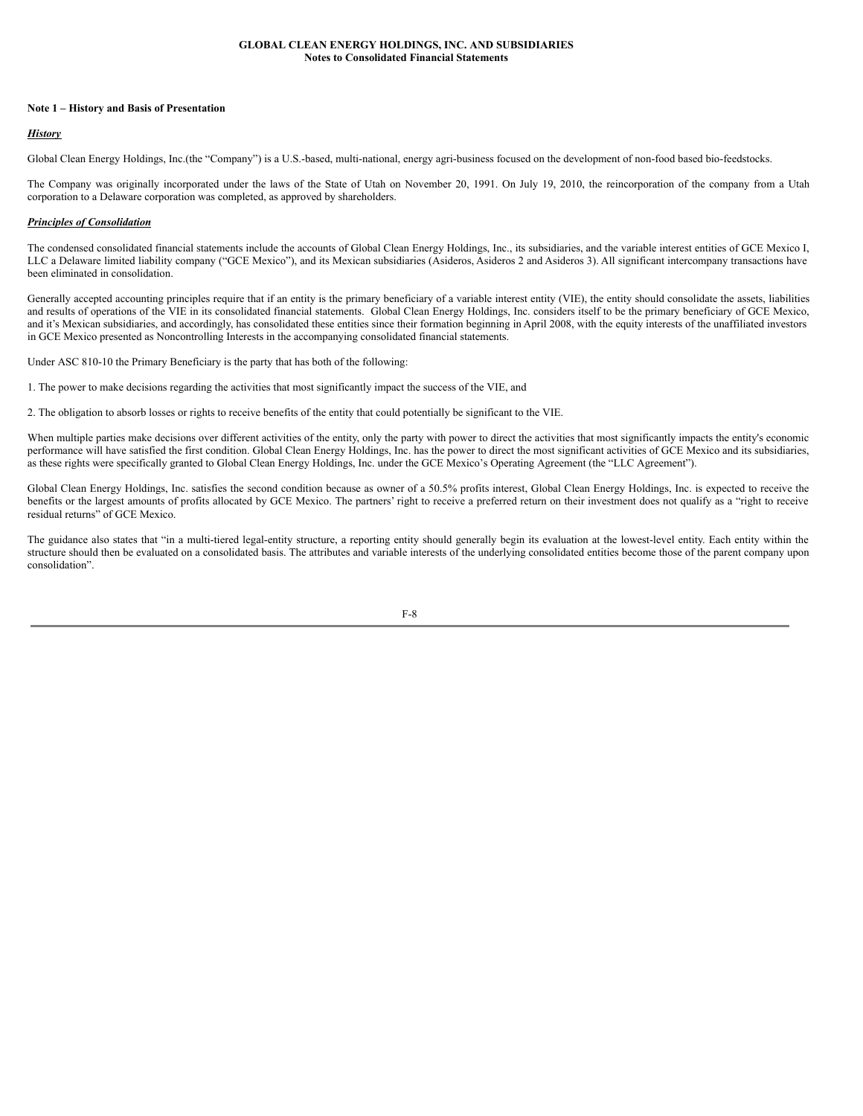### **Note 1 – History and Basis of Presentation**

# *History*

Global Clean Energy Holdings, Inc.(the "Company") is a U.S.-based, multi-national, energy agri-business focused on the development of non-food based bio-feedstocks.

The Company was originally incorporated under the laws of the State of Utah on November 20, 1991. On July 19, 2010, the reincorporation of the company from a Utah corporation to a Delaware corporation was completed, as approved by shareholders.

## *Principles of Consolidation*

The condensed consolidated financial statements include the accounts of Global Clean Energy Holdings, Inc., its subsidiaries, and the variable interest entities of GCE Mexico I, LLC a Delaware limited liability company ("GCE Mexico"), and its Mexican subsidiaries (Asideros, Asideros 2 and Asideros 3). All significant intercompany transactions have been eliminated in consolidation.

Generally accepted accounting principles require that if an entity is the primary beneficiary of a variable interest entity (VIE), the entity should consolidate the assets, liabilities and results of operations of the VIE in its consolidated financial statements. Global Clean Energy Holdings, Inc. considers itself to be the primary beneficiary of GCE Mexico, and it's Mexican subsidiaries, and accordingly, has consolidated these entities since their formation beginning in April 2008, with the equity interests of the unaffiliated investors in GCE Mexico presented as Noncontrolling Interests in the accompanying consolidated financial statements.

Under ASC 810-10 the Primary Beneficiary is the party that has both of the following:

1. The power to make decisions regarding the activities that most significantly impact the success of the VIE, and

2. The obligation to absorb losses or rights to receive benefits of the entity that could potentially be significant to the VIE.

When multiple parties make decisions over different activities of the entity, only the party with power to direct the activities that most significantly impacts the entity's economic performance will have satisfied the first condition. Global Clean Energy Holdings, Inc. has the power to direct the most significant activities of GCE Mexico and its subsidiaries, as these rights were specifically granted to Global Clean Energy Holdings, Inc. under the GCE Mexico's Operating Agreement (the "LLC Agreement").

Global Clean Energy Holdings, Inc. satisfies the second condition because as owner of a 50.5% profits interest, Global Clean Energy Holdings, Inc. is expected to receive the benefits or the largest amounts of profits allocated by GCE Mexico. The partners' right to receive a preferred return on their investment does not qualify as a "right to receive residual returns" of GCE Mexico.

The guidance also states that "in a multi-tiered legal-entity structure, a reporting entity should generally begin its evaluation at the lowest-level entity. Each entity within the structure should then be evaluated on a consolidated basis. The attributes and variable interests of the underlying consolidated entities become those of the parent company upon consolidation".

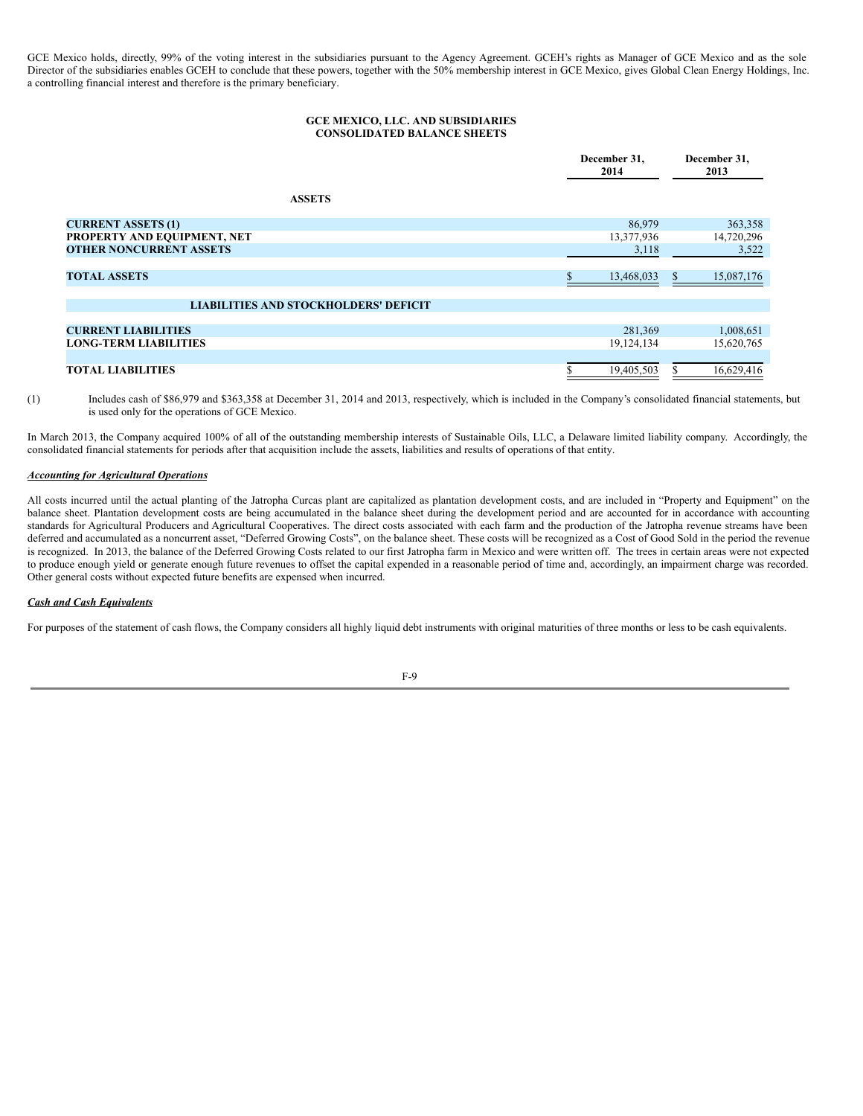GCE Mexico holds, directly, 99% of the voting interest in the subsidiaries pursuant to the Agency Agreement. GCEH's rights as Manager of GCE Mexico and as the sole Director of the subsidiaries enables GCEH to conclude that these powers, together with the 50% membership interest in GCE Mexico, gives Global Clean Energy Holdings, Inc. a controlling financial interest and therefore is the primary beneficiary.

### **GCE MEXICO, LLC. AND SUBSIDIARIES CONSOLIDATED BALANCE SHEETS**

|                                              | December 31,<br>2014 | December 31,<br>2013 |
|----------------------------------------------|----------------------|----------------------|
| <b>ASSETS</b>                                |                      |                      |
| <b>CURRENT ASSETS (1)</b>                    | 86,979               | 363,358              |
| PROPERTY AND EQUIPMENT, NET                  | 13,377,936           | 14,720,296           |
| <b>OTHER NONCURRENT ASSETS</b>               | 3,118                | 3,522                |
|                                              |                      |                      |
| <b>TOTAL ASSETS</b>                          | 13,468,033           | 15,087,176           |
|                                              |                      |                      |
| <b>LIABILITIES AND STOCKHOLDERS' DEFICIT</b> |                      |                      |
|                                              |                      |                      |
| <b>CURRENT LIABILITIES</b>                   | 281,369              | 1,008,651            |
| <b>LONG-TERM LIABILITIES</b>                 | 19,124,134           | 15,620,765           |
|                                              |                      |                      |
| <b>TOTAL LIABILITIES</b>                     | 19,405,503           | 16,629,416           |

(1) Includes cash of \$86,979 and \$363,358 at December 31, 2014 and 2013, respectively, which is included in the Company's consolidated financial statements, but is used only for the operations of GCE Mexico.

In March 2013, the Company acquired 100% of all of the outstanding membership interests of Sustainable Oils, LLC, a Delaware limited liability company. Accordingly, the consolidated financial statements for periods after that acquisition include the assets, liabilities and results of operations of that entity.

### *Accounting for Agricultural Operations*

All costs incurred until the actual planting of the Jatropha Curcas plant are capitalized as plantation development costs, and are included in "Property and Equipment" on the balance sheet. Plantation development costs are being accumulated in the balance sheet during the development period and are accounted for in accordance with accounting standards for Agricultural Producers and Agricultural Cooperatives. The direct costs associated with each farm and the production of the Jatropha revenue streams have been deferred and accumulated as a noncurrent asset, "Deferred Growing Costs", on the balance sheet. These costs will be recognized as a Cost of Good Sold in the period the revenue is recognized. In 2013, the balance of the Deferred Growing Costs related to our first Jatropha farm in Mexico and were written off. The trees in certain areas were not expected to produce enough yield or generate enough future revenues to offset the capital expended in a reasonable period of time and, accordingly, an impairment charge was recorded. Other general costs without expected future benefits are expensed when incurred.

# *Cash and Cash Equivalents*

For purposes of the statement of cash flows, the Company considers all highly liquid debt instruments with original maturities of three months or less to be cash equivalents.

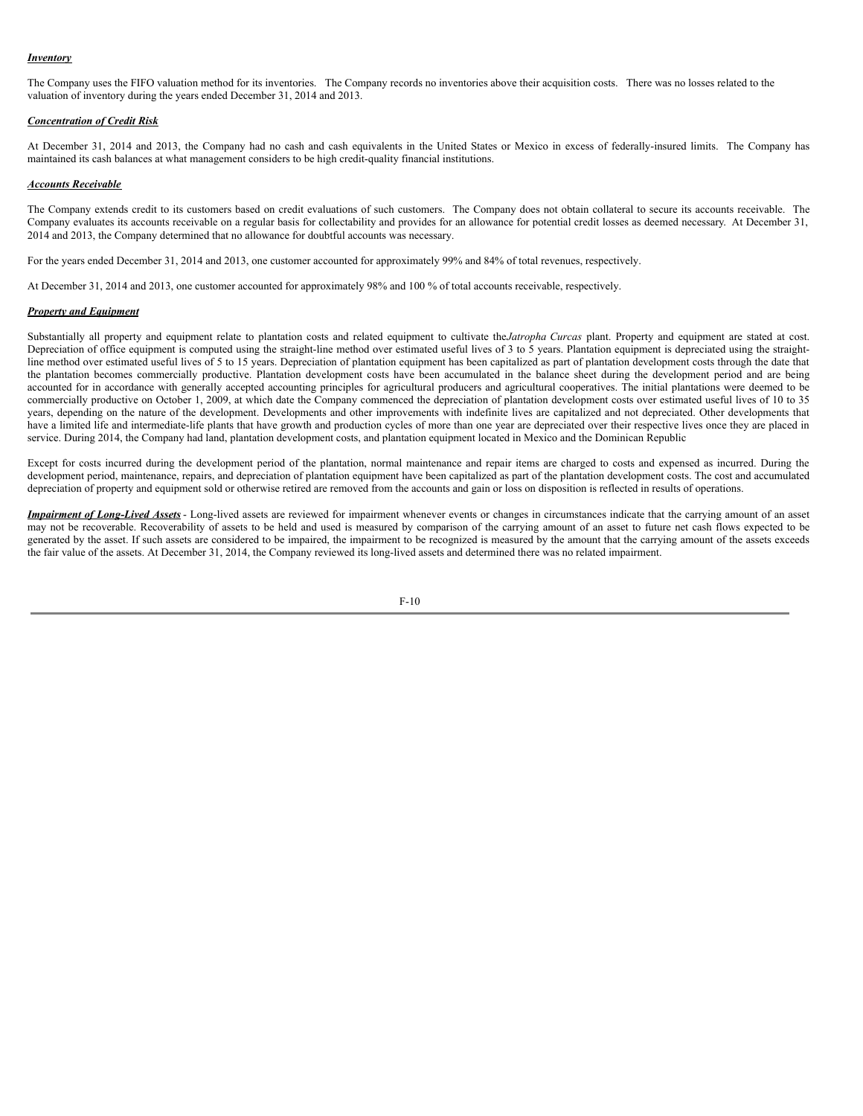#### *Inventory*

The Company uses the FIFO valuation method for its inventories. The Company records no inventories above their acquisition costs. There was no losses related to the valuation of inventory during the years ended December 31, 2014 and 2013.

#### *Concentration of Credit Risk*

At December 31, 2014 and 2013, the Company had no cash and cash equivalents in the United States or Mexico in excess of federally-insured limits. The Company has maintained its cash balances at what management considers to be high credit-quality financial institutions.

#### *Accounts Receivable*

The Company extends credit to its customers based on credit evaluations of such customers. The Company does not obtain collateral to secure its accounts receivable. The Company evaluates its accounts receivable on a regular basis for collectability and provides for an allowance for potential credit losses as deemed necessary. At December 31, 2014 and 2013, the Company determined that no allowance for doubtful accounts was necessary.

For the years ended December 31, 2014 and 2013, one customer accounted for approximately 99% and 84% of total revenues, respectively.

At December 31, 2014 and 2013, one customer accounted for approximately 98% and 100 % of total accounts receivable, respectively.

#### *Property and Equipment*

Substantially all property and equipment relate to plantation costs and related equipment to cultivate the*Jatropha Curcas* plant. Property and equipment are stated at cost. Depreciation of office equipment is computed using the straight-line method over estimated useful lives of 3 to 5 years. Plantation equipment is depreciated using the straightline method over estimated useful lives of 5 to 15 years. Depreciation of plantation equipment has been capitalized as part of plantation development costs through the date that the plantation becomes commercially productive. Plantation development costs have been accumulated in the balance sheet during the development period and are being accounted for in accordance with generally accepted accounting principles for agricultural producers and agricultural cooperatives. The initial plantations were deemed to be commercially productive on October 1, 2009, at which date the Company commenced the depreciation of plantation development costs over estimated useful lives of 10 to 35 years, depending on the nature of the development. Developments and other improvements with indefinite lives are capitalized and not depreciated. Other developments that have a limited life and intermediate-life plants that have growth and production cycles of more than one year are depreciated over their respective lives once they are placed in service. During 2014, the Company had land, plantation development costs, and plantation equipment located in Mexico and the Dominican Republic

Except for costs incurred during the development period of the plantation, normal maintenance and repair items are charged to costs and expensed as incurred. During the development period, maintenance, repairs, and depreciation of plantation equipment have been capitalized as part of the plantation development costs. The cost and accumulated depreciation of property and equipment sold or otherwise retired are removed from the accounts and gain or loss on disposition is reflected in results of operations.

*Impairment of Long-Lived Assets* - Long-lived assets are reviewed for impairment whenever events or changes in circumstances indicate that the carrying amount of an asset may not be recoverable. Recoverability of assets to be held and used is measured by comparison of the carrying amount of an asset to future net cash flows expected to be generated by the asset. If such assets are considered to be impaired, the impairment to be recognized is measured by the amount that the carrying amount of the assets exceeds the fair value of the assets. At December 31, 2014, the Company reviewed its long-lived assets and determined there was no related impairment.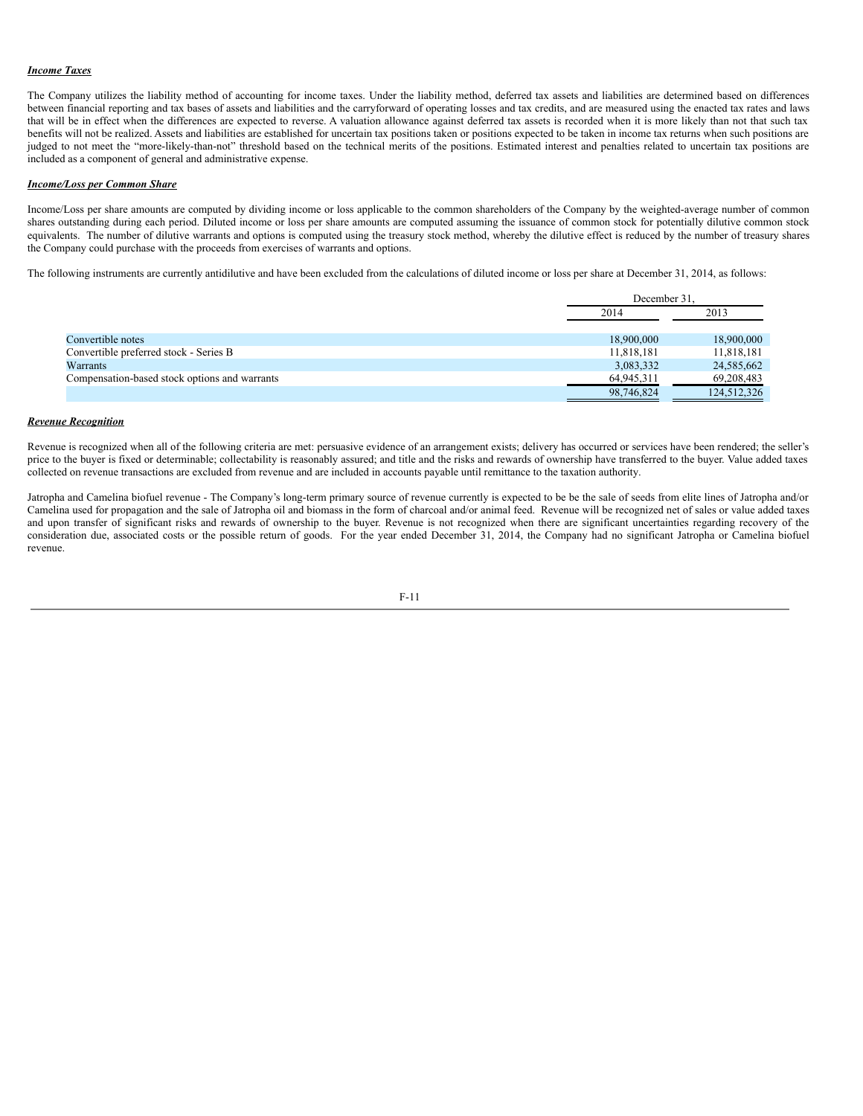# *Income Taxes*

The Company utilizes the liability method of accounting for income taxes. Under the liability method, deferred tax assets and liabilities are determined based on differences between financial reporting and tax bases of assets and liabilities and the carryforward of operating losses and tax credits, and are measured using the enacted tax rates and laws that will be in effect when the differences are expected to reverse. A valuation allowance against deferred tax assets is recorded when it is more likely than not that such tax benefits will not be realized. Assets and liabilities are established for uncertain tax positions taken or positions expected to be taken in income tax returns when such positions are judged to not meet the "more-likely-than-not" threshold based on the technical merits of the positions. Estimated interest and penalties related to uncertain tax positions are included as a component of general and administrative expense.

#### *Income/Loss per Common Share*

Income/Loss per share amounts are computed by dividing income or loss applicable to the common shareholders of the Company by the weighted-average number of common shares outstanding during each period. Diluted income or loss per share amounts are computed assuming the issuance of common stock for potentially dilutive common stock equivalents. The number of dilutive warrants and options is computed using the treasury stock method, whereby the dilutive effect is reduced by the number of treasury shares the Company could purchase with the proceeds from exercises of warrants and options.

The following instruments are currently antidilutive and have been excluded from the calculations of diluted income or loss per share at December 31, 2014, as follows:

|                                               | December 31. |             |
|-----------------------------------------------|--------------|-------------|
|                                               | 2014         | 2013        |
|                                               |              |             |
| Convertible notes                             | 18,900,000   | 18,900,000  |
| Convertible preferred stock - Series B        | 11,818,181   | 11,818,181  |
| Warrants                                      | 3,083,332    | 24,585,662  |
| Compensation-based stock options and warrants | 64,945,311   | 69,208,483  |
|                                               | 98,746,824   | 124,512,326 |

#### *Revenue Recognition*

Revenue is recognized when all of the following criteria are met: persuasive evidence of an arrangement exists; delivery has occurred or services have been rendered; the seller's price to the buyer is fixed or determinable; collectability is reasonably assured; and title and the risks and rewards of ownership have transferred to the buyer. Value added taxes collected on revenue transactions are excluded from revenue and are included in accounts payable until remittance to the taxation authority.

Jatropha and Camelina biofuel revenue - The Company's long-term primary source of revenue currently is expected to be be the sale of seeds from elite lines of Jatropha and/or Camelina used for propagation and the sale of Jatropha oil and biomass in the form of charcoal and/or animal feed. Revenue will be recognized net of sales or value added taxes and upon transfer of significant risks and rewards of ownership to the buyer. Revenue is not recognized when there are significant uncertainties regarding recovery of the consideration due, associated costs or the possible return of goods. For the year ended December 31, 2014, the Company had no significant Jatropha or Camelina biofuel revenue.

$$
F-1\,1
$$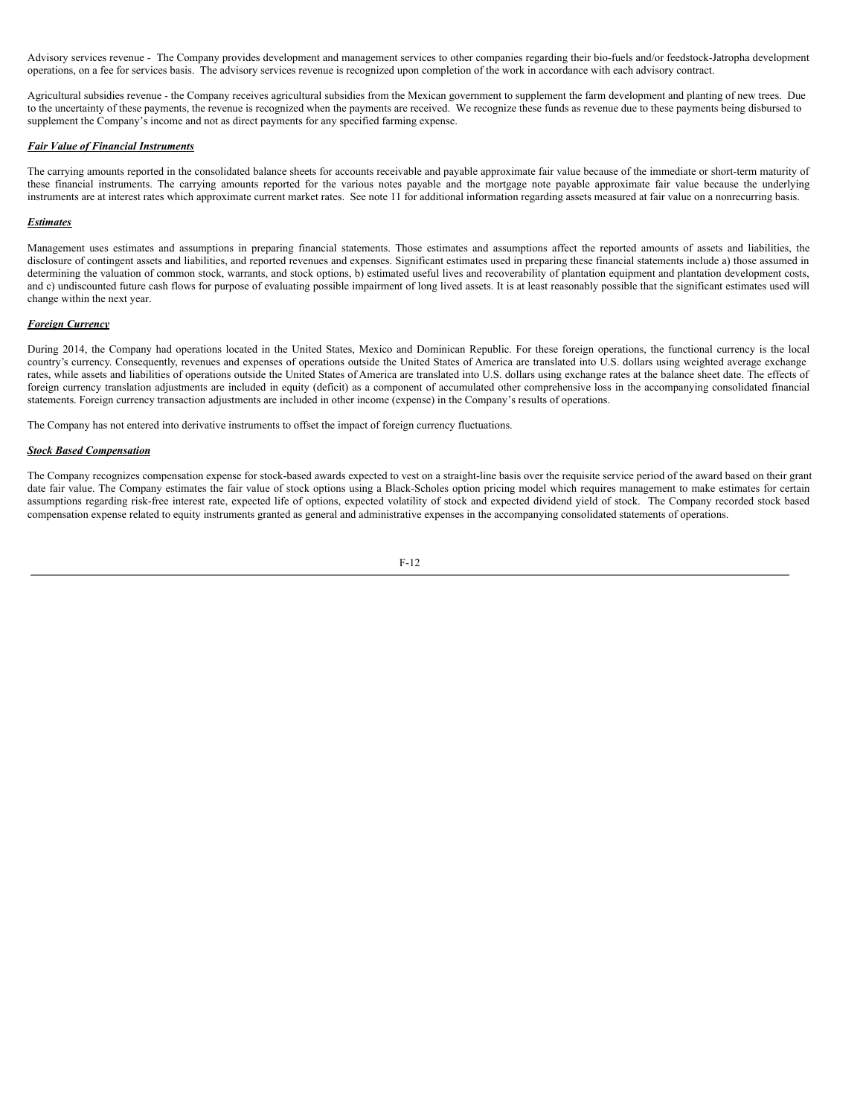Advisory services revenue - The Company provides development and management services to other companies regarding their bio-fuels and/or feedstock-Jatropha development operations, on a fee for services basis. The advisory services revenue is recognized upon completion of the work in accordance with each advisory contract.

Agricultural subsidies revenue - the Company receives agricultural subsidies from the Mexican government to supplement the farm development and planting of new trees. Due to the uncertainty of these payments, the revenue is recognized when the payments are received. We recognize these funds as revenue due to these payments being disbursed to supplement the Company's income and not as direct payments for any specified farming expense.

#### *Fair Value of Financial Instruments*

The carrying amounts reported in the consolidated balance sheets for accounts receivable and payable approximate fair value because of the immediate or short-term maturity of these financial instruments. The carrying amounts reported for the various notes payable and the mortgage note payable approximate fair value because the underlying instruments are at interest rates which approximate current market rates. See note 11 for additional information regarding assets measured at fair value on a nonrecurring basis.

#### *Estimates*

Management uses estimates and assumptions in preparing financial statements. Those estimates and assumptions affect the reported amounts of assets and liabilities, the disclosure of contingent assets and liabilities, and reported revenues and expenses. Significant estimates used in preparing these financial statements include a) those assumed in determining the valuation of common stock, warrants, and stock options, b) estimated useful lives and recoverability of plantation equipment and plantation development costs, and c) undiscounted future cash flows for purpose of evaluating possible impairment of long lived assets. It is at least reasonably possible that the significant estimates used will change within the next year.

#### *Foreign Currency*

During 2014, the Company had operations located in the United States, Mexico and Dominican Republic. For these foreign operations, the functional currency is the local country's currency. Consequently, revenues and expenses of operations outside the United States of America are translated into U.S. dollars using weighted average exchange rates, while assets and liabilities of operations outside the United States of America are translated into U.S. dollars using exchange rates at the balance sheet date. The effects of foreign currency translation adjustments are included in equity (deficit) as a component of accumulated other comprehensive loss in the accompanying consolidated financial statements. Foreign currency transaction adjustments are included in other income (expense) in the Company's results of operations.

The Company has not entered into derivative instruments to offset the impact of foreign currency fluctuations.

#### *Stock Based Compensation*

The Company recognizes compensation expense for stock-based awards expected to vest on a straight-line basis over the requisite service period of the award based on their grant date fair value. The Company estimates the fair value of stock options using a Black-Scholes option pricing model which requires management to make estimates for certain assumptions regarding risk-free interest rate, expected life of options, expected volatility of stock and expected dividend yield of stock. The Company recorded stock based compensation expense related to equity instruments granted as general and administrative expenses in the accompanying consolidated statements of operations.

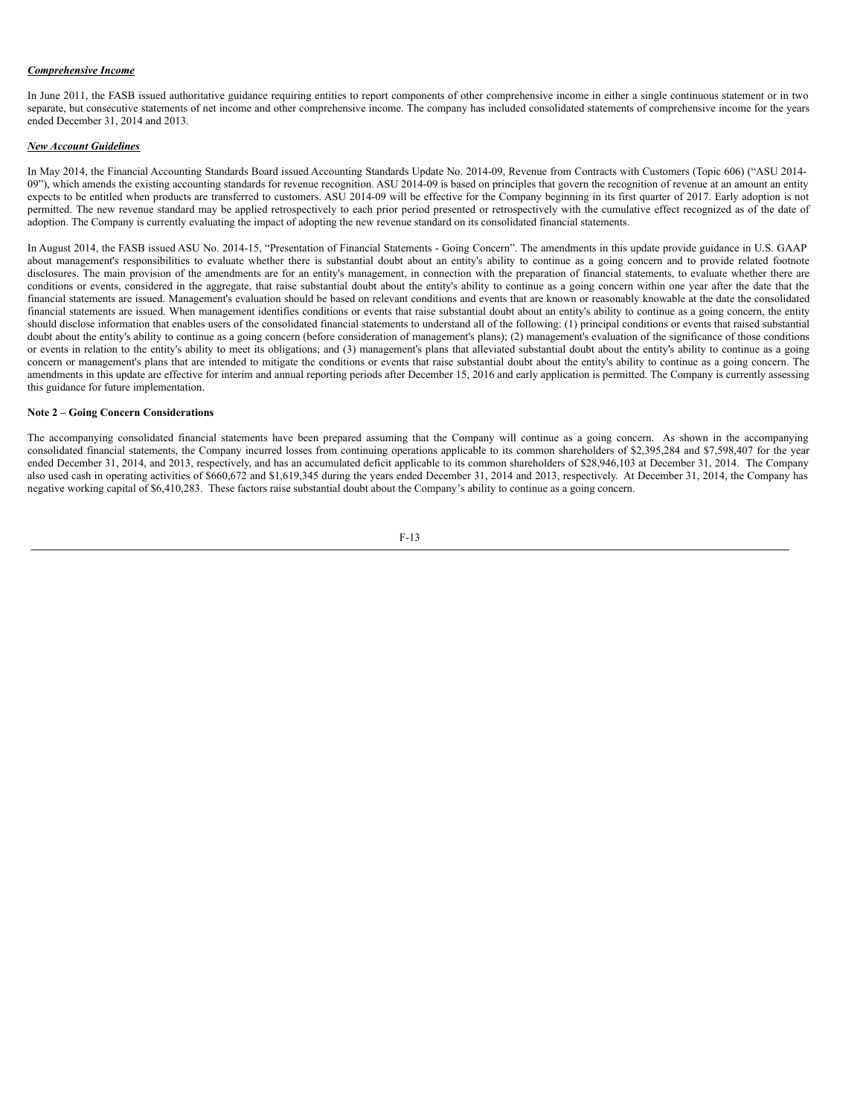### *Comprehensive Income*

In June 2011, the FASB issued authoritative guidance requiring entities to report components of other comprehensive income in either a single continuous statement or in two separate, but consecutive statements of net income and other comprehensive income. The company has included consolidated statements of comprehensive income for the years ended December 31, 2014 and 2013.

# *New Account Guidelines*

In May 2014, the Financial Accounting Standards Board issued Accounting Standards Update No. 2014-09, Revenue from Contracts with Customers (Topic 606) ("ASU 2014- 09"), which amends the existing accounting standards for revenue recognition. ASU 2014-09 is based on principles that govern the recognition of revenue at an amount an entity expects to be entitled when products are transferred to customers. ASU 2014-09 will be effective for the Company beginning in its first quarter of 2017. Early adoption is not permitted. The new revenue standard may be applied retrospectively to each prior period presented or retrospectively with the cumulative effect recognized as of the date of adoption. The Company is currently evaluating the impact of adopting the new revenue standard on its consolidated financial statements.

In August 2014, the FASB issued ASU No. 2014-15, "Presentation of Financial Statements - Going Concern". The amendments in this update provide guidance in U.S. GAAP about management's responsibilities to evaluate whether there is substantial doubt about an entity's ability to continue as a going concern and to provide related footnote disclosures. The main provision of the amendments are for an entity's management, in connection with the preparation of financial statements, to evaluate whether there are conditions or events, considered in the aggregate, that raise substantial doubt about the entity's ability to continue as a going concern within one year after the date that the financial statements are issued. Management's evaluation should be based on relevant conditions and events that are known or reasonably knowable at the date the consolidated financial statements are issued. When management identifies conditions or events that raise substantial doubt about an entity's ability to continue as a going concern, the entity should disclose information that enables users of the consolidated financial statements to understand all of the following: (1) principal conditions or events that raised substantial doubt about the entity's ability to continue as a going concern (before consideration of management's plans); (2) management's evaluation of the significance of those conditions or events in relation to the entity's ability to meet its obligations; and (3) management's plans that alleviated substantial doubt about the entity's ability to continue as a going concern or management's plans that are intended to mitigate the conditions or events that raise substantial doubt about the entity's ability to continue as a going concern. The amendments in this update are effective for interim and annual reporting periods after December 15, 2016 and early application is permitted. The Company is currently assessing this guidance for future implementation.

#### **Note 2 – Going Concern Considerations**

The accompanying consolidated financial statements have been prepared assuming that the Company will continue as a going concern. As shown in the accompanying consolidated financial statements, the Company incurred losses from continuing operations applicable to its common shareholders of \$2,395,284 and \$7,598,407 for the year ended December 31, 2014, and 2013, respectively, and has an accumulated deficit applicable to its common shareholders of \$28,946,103 at December 31, 2014. The Company also used cash in operating activities of \$660,672 and \$1,619,345 during the years ended December 31, 2014 and 2013, respectively. At December 31, 2014, the Company has negative working capital of \$6,410,283. These factors raise substantial doubt about the Company's ability to continue as a going concern.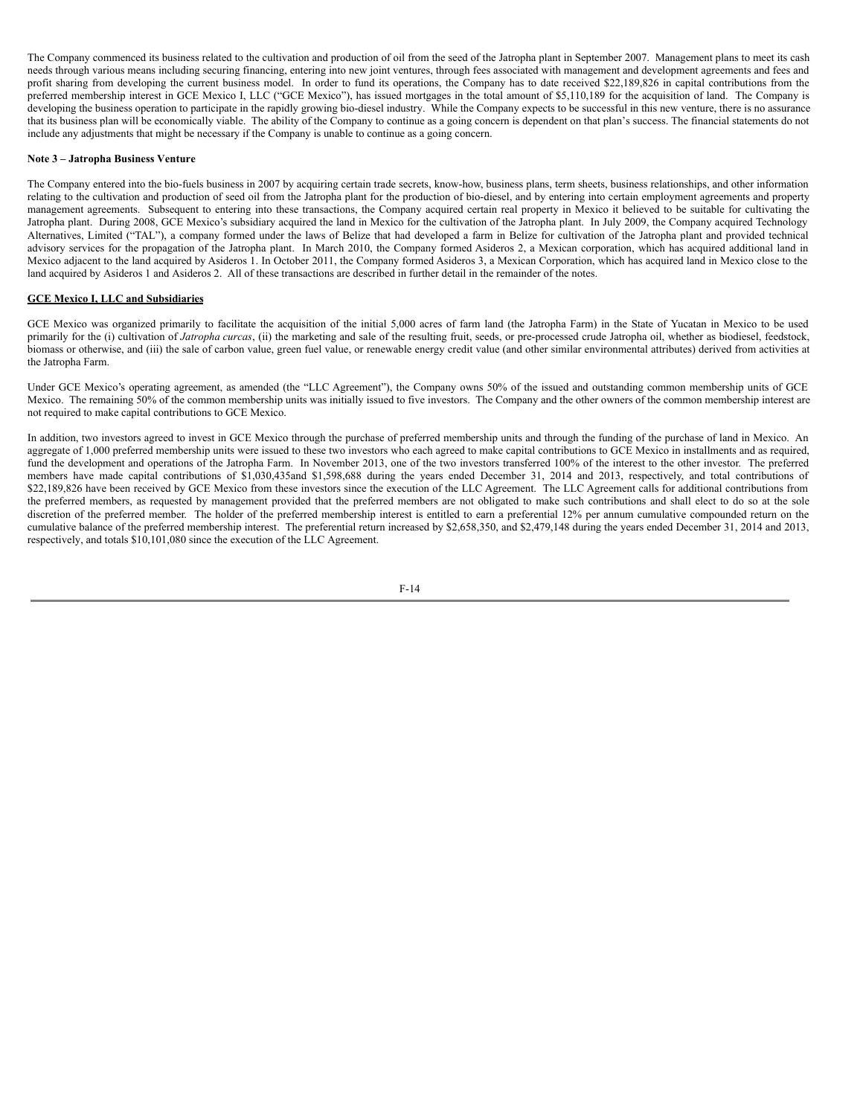The Company commenced its business related to the cultivation and production of oil from the seed of the Jatropha plant in September 2007. Management plans to meet its cash needs through various means including securing financing, entering into new joint ventures, through fees associated with management and development agreements and fees and profit sharing from developing the current business model. In order to fund its operations, the Company has to date received \$22,189,826 in capital contributions from the preferred membership interest in GCE Mexico I, LLC ("GCE Mexico"), has issued mortgages in the total amount of \$5,110,189 for the acquisition of land. The Company is developing the business operation to participate in the rapidly growing bio-diesel industry. While the Company expects to be successful in this new venture, there is no assurance that its business plan will be economically viable. The ability of the Company to continue as a going concern is dependent on that plan's success. The financial statements do not include any adjustments that might be necessary if the Company is unable to continue as a going concern.

#### **Note 3 – Jatropha Business Venture**

The Company entered into the bio-fuels business in 2007 by acquiring certain trade secrets, know-how, business plans, term sheets, business relationships, and other information relating to the cultivation and production of seed oil from the Jatropha plant for the production of bio-diesel, and by entering into certain employment agreements and property management agreements. Subsequent to entering into these transactions, the Company acquired certain real property in Mexico it believed to be suitable for cultivating the Jatropha plant. During 2008, GCE Mexico's subsidiary acquired the land in Mexico for the cultivation of the Jatropha plant. In July 2009, the Company acquired Technology Alternatives, Limited ("TAL"), a company formed under the laws of Belize that had developed a farm in Belize for cultivation of the Jatropha plant and provided technical advisory services for the propagation of the Jatropha plant. In March 2010, the Company formed Asideros 2, a Mexican corporation, which has acquired additional land in Mexico adjacent to the land acquired by Asideros 1. In October 2011, the Company formed Asideros 3, a Mexican Corporation, which has acquired land in Mexico close to the land acquired by Asideros 1 and Asideros 2. All of these transactions are described in further detail in the remainder of the notes.

### **GCE Mexico I, LLC and Subsidiaries**

GCE Mexico was organized primarily to facilitate the acquisition of the initial 5,000 acres of farm land (the Jatropha Farm) in the State of Yucatan in Mexico to be used primarily for the (i) cultivation of *Jatropha curcas*, (ii) the marketing and sale of the resulting fruit, seeds, or pre-processed crude Jatropha oil, whether as biodiesel, feedstock, biomass or otherwise, and (iii) the sale of carbon value, green fuel value, or renewable energy credit value (and other similar environmental attributes) derived from activities at the Jatropha Farm.

Under GCE Mexico's operating agreement, as amended (the "LLC Agreement"), the Company owns 50% of the issued and outstanding common membership units of GCE Mexico. The remaining 50% of the common membership units was initially issued to five investors. The Company and the other owners of the common membership interest are not required to make capital contributions to GCE Mexico.

In addition, two investors agreed to invest in GCE Mexico through the purchase of preferred membership units and through the funding of the purchase of land in Mexico. An aggregate of 1,000 preferred membership units were issued to these two investors who each agreed to make capital contributions to GCE Mexico in installments and as required, fund the development and operations of the Jatropha Farm. In November 2013, one of the two investors transferred 100% of the interest to the other investor. The preferred members have made capital contributions of \$1,030,435and \$1,598,688 during the years ended December 31, 2014 and 2013, respectively, and total contributions of \$22,189,826 have been received by GCE Mexico from these investors since the execution of the LLC Agreement. The LLC Agreement calls for additional contributions from the preferred members, as requested by management provided that the preferred members are not obligated to make such contributions and shall elect to do so at the sole discretion of the preferred member. The holder of the preferred membership interest is entitled to earn a preferential 12% per annum cumulative compounded return on the cumulative balance of the preferred membership interest. The preferential return increased by \$2,658,350, and \$2,479,148 during the years ended December 31, 2014 and 2013, respectively, and totals \$10,101,080 since the execution of the LLC Agreement.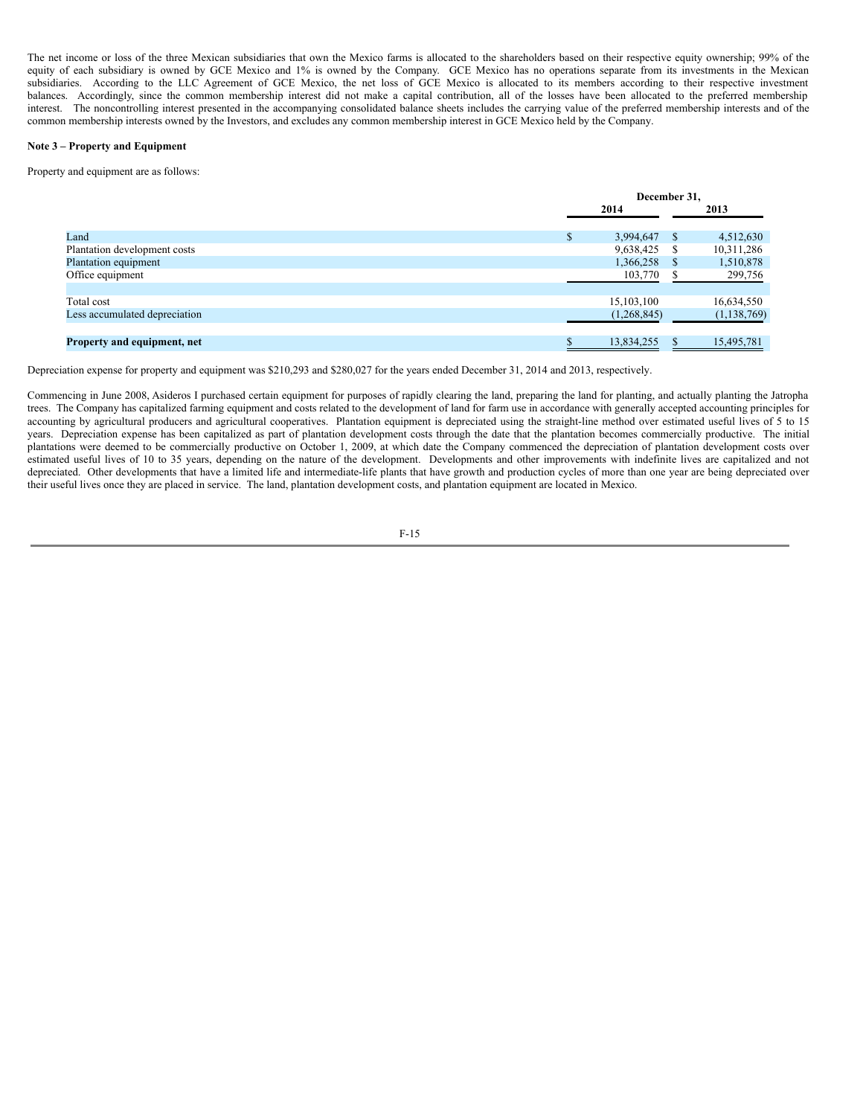The net income or loss of the three Mexican subsidiaries that own the Mexico farms is allocated to the shareholders based on their respective equity ownership; 99% of the equity of each subsidiary is owned by GCE Mexico and 1% is owned by the Company. GCE Mexico has no operations separate from its investments in the Mexican subsidiaries. According to the LLC Agreement of GCE Mexico, the net loss of GCE Mexico is allocated to its members according to their respective investment balances. Accordingly, since the common membership interest did not make a capital contribution, all of the losses have been allocated to the preferred membership interest. The noncontrolling interest presented in the accompanying consolidated balance sheets includes the carrying value of the preferred membership interests and of the common membership interests owned by the Investors, and excludes any common membership interest in GCE Mexico held by the Company.

### **Note 3 – Property and Equipment**

Property and equipment are as follows:

|                               | December 31,    |      |               |  |
|-------------------------------|-----------------|------|---------------|--|
|                               | 2014<br>2013    |      |               |  |
| Land                          | \$<br>3,994,647 | - S  | 4,512,630     |  |
| Plantation development costs  | 9,638,425       | - \$ | 10,311,286    |  |
| Plantation equipment          | 1,366,258       |      | 1,510,878     |  |
| Office equipment              | 103,770         |      | 299,756       |  |
| Total cost                    | 15,103,100      |      | 16,634,550    |  |
| Less accumulated depreciation | (1,268,845)     |      | (1, 138, 769) |  |
|                               |                 |      |               |  |
| Property and equipment, net   | 13,834,255      |      | 15,495,781    |  |

Depreciation expense for property and equipment was \$210,293 and \$280,027 for the years ended December 31, 2014 and 2013, respectively.

Commencing in June 2008, Asideros I purchased certain equipment for purposes of rapidly clearing the land, preparing the land for planting, and actually planting the Jatropha trees. The Company has capitalized farming equipment and costs related to the development of land for farm use in accordance with generally accepted accounting principles for accounting by agricultural producers and agricultural cooperatives. Plantation equipment is depreciated using the straight-line method over estimated useful lives of 5 to 15 years. Depreciation expense has been capitalized as part of plantation development costs through the date that the plantation becomes commercially productive. The initial plantations were deemed to be commercially productive on October 1, 2009, at which date the Company commenced the depreciation of plantation development costs over estimated useful lives of 10 to 35 years, depending on the nature of the development. Developments and other improvements with indefinite lives are capitalized and not depreciated. Other developments that have a limited life and intermediate-life plants that have growth and production cycles of more than one year are being depreciated over their useful lives once they are placed in service. The land, plantation development costs, and plantation equipment are located in Mexico.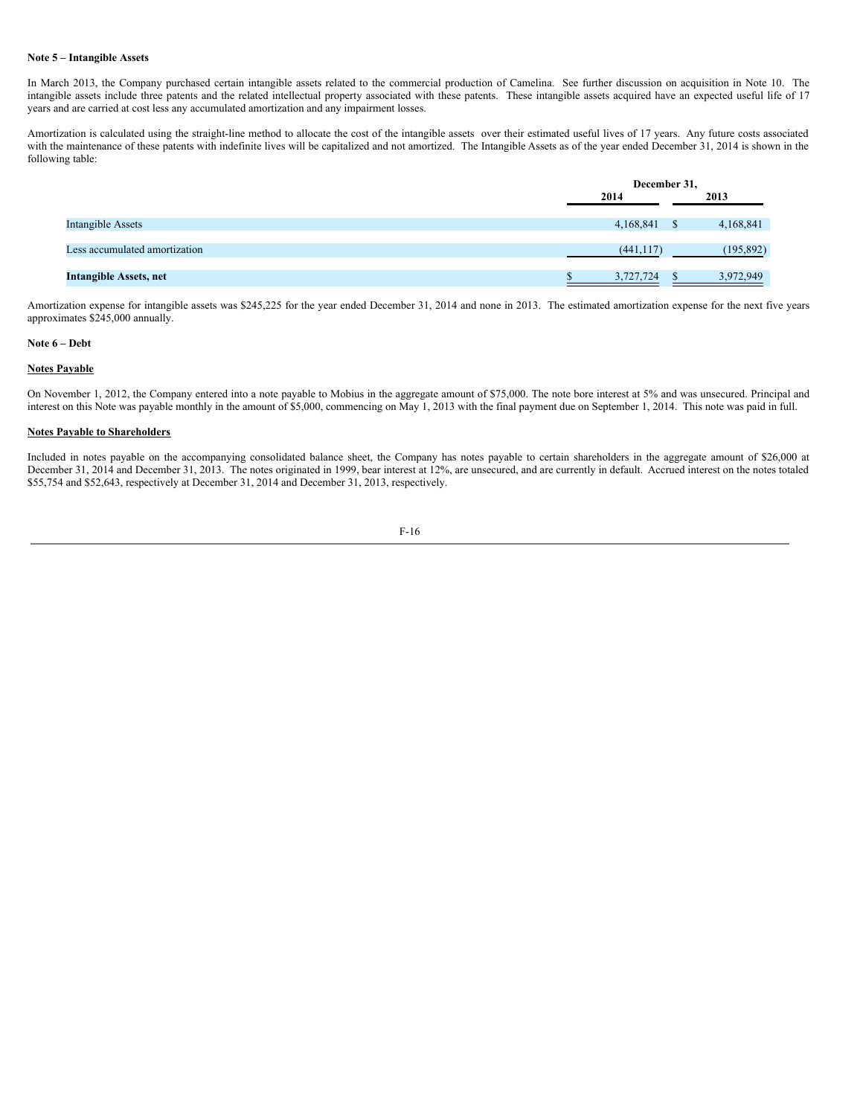#### **Note 5 – Intangible Assets**

In March 2013, the Company purchased certain intangible assets related to the commercial production of Camelina. See further discussion on acquisition in Note 10. The intangible assets include three patents and the related intellectual property associated with these patents. These intangible assets acquired have an expected useful life of 17 years and are carried at cost less any accumulated amortization and any impairment losses.

Amortization is calculated using the straight-line method to allocate the cost of the intangible assets over their estimated useful lives of 17 years. Any future costs associated with the maintenance of these patents with indefinite lives will be capitalized and not amortized. The Intangible Assets as of the year ended December 31, 2014 is shown in the following table:

|                               |            | December 31, |  |  |  |
|-------------------------------|------------|--------------|--|--|--|
|                               | 2014       | 2013         |  |  |  |
|                               |            |              |  |  |  |
| <b>Intangible Assets</b>      | 4,168,841  | 4,168,841    |  |  |  |
| Less accumulated amortization | (441, 117) | (195, 892)   |  |  |  |
|                               |            |              |  |  |  |
| <b>Intangible Assets, net</b> | 3,727,724  | 3,972,949    |  |  |  |
|                               |            |              |  |  |  |

Amortization expense for intangible assets was \$245,225 for the year ended December 31, 2014 and none in 2013. The estimated amortization expense for the next five years approximates \$245,000 annually.

## **Note 6 – Debt**

# **Notes Payable**

On November 1, 2012, the Company entered into a note payable to Mobius in the aggregate amount of \$75,000. The note bore interest at 5% and was unsecured. Principal and interest on this Note was payable monthly in the amount of \$5,000, commencing on May 1, 2013 with the final payment due on September 1, 2014. This note was paid in full.

### **Notes Payable to Shareholders**

Included in notes payable on the accompanying consolidated balance sheet, the Company has notes payable to certain shareholders in the aggregate amount of \$26,000 at December 31, 2014 and December 31, 2013. The notes originated in 1999, bear interest at 12%, are unsecured, and are currently in default. Accrued interest on the notes totaled \$55,754 and \$52,643, respectively at December 31, 2014 and December 31, 2013, respectively.

$$
F-16
$$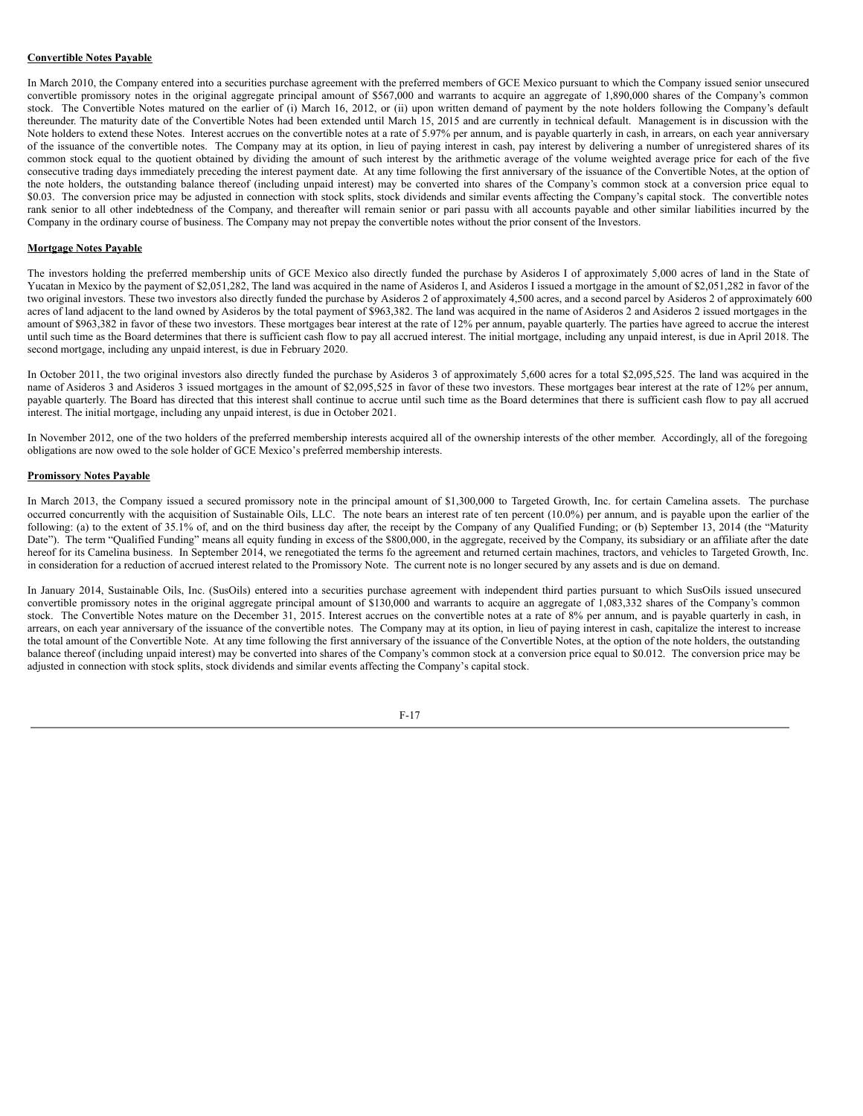## **Convertible Notes Payable**

In March 2010, the Company entered into a securities purchase agreement with the preferred members of GCE Mexico pursuant to which the Company issued senior unsecured convertible promissory notes in the original aggregate principal amount of \$567,000 and warrants to acquire an aggregate of 1,890,000 shares of the Company's common stock. The Convertible Notes matured on the earlier of (i) March 16, 2012, or (ii) upon written demand of payment by the note holders following the Company's default thereunder. The maturity date of the Convertible Notes had been extended until March 15, 2015 and are currently in technical default. Management is in discussion with the Note holders to extend these Notes. Interest accrues on the convertible notes at a rate of 5.97% per annum, and is payable quarterly in cash, in arrears, on each year anniversary of the issuance of the convertible notes. The Company may at its option, in lieu of paying interest in cash, pay interest by delivering a number of unregistered shares of its common stock equal to the quotient obtained by dividing the amount of such interest by the arithmetic average of the volume weighted average price for each of the five consecutive trading days immediately preceding the interest payment date. At any time following the first anniversary of the issuance of the Convertible Notes, at the option of the note holders, the outstanding balance thereof (including unpaid interest) may be converted into shares of the Company's common stock at a conversion price equal to \$0.03. The conversion price may be adjusted in connection with stock splits, stock dividends and similar events affecting the Company's capital stock. The convertible notes rank senior to all other indebtedness of the Company, and thereafter will remain senior or pari passu with all accounts payable and other similar liabilities incurred by the Company in the ordinary course of business. The Company may not prepay the convertible notes without the prior consent of the Investors.

### **Mortgage Notes Payable**

The investors holding the preferred membership units of GCE Mexico also directly funded the purchase by Asideros I of approximately 5,000 acres of land in the State of Yucatan in Mexico by the payment of \$2,051,282, The land was acquired in the name of Asideros I, and Asideros I issued a mortgage in the amount of \$2,051,282 in favor of the two original investors. These two investors also directly funded the purchase by Asideros 2 of approximately 4,500 acres, and a second parcel by Asideros 2 of approximately 600 acres of land adjacent to the land owned by Asideros by the total payment of \$963,382. The land was acquired in the name of Asideros 2 and Asideros 2 issued mortgages in the amount of \$963,382 in favor of these two investors. These mortgages bear interest at the rate of 12% per annum, payable quarterly. The parties have agreed to accrue the interest until such time as the Board determines that there is sufficient cash flow to pay all accrued interest. The initial mortgage, including any unpaid interest, is due in April 2018. The second mortgage, including any unpaid interest, is due in February 2020.

In October 2011, the two original investors also directly funded the purchase by Asideros 3 of approximately 5,600 acres for a total \$2,095,525. The land was acquired in the name of Asideros 3 and Asideros 3 issued mortgages in the amount of \$2,095,525 in favor of these two investors. These mortgages bear interest at the rate of 12% per annum, payable quarterly. The Board has directed that this interest shall continue to accrue until such time as the Board determines that there is sufficient cash flow to pay all accrued interest. The initial mortgage, including any unpaid interest, is due in October 2021.

In November 2012, one of the two holders of the preferred membership interests acquired all of the ownership interests of the other member. Accordingly, all of the foregoing obligations are now owed to the sole holder of GCE Mexico's preferred membership interests.

#### **Promissory Notes Payable**

In March 2013, the Company issued a secured promissory note in the principal amount of \$1,300,000 to Targeted Growth, Inc. for certain Camelina assets. The purchase occurred concurrently with the acquisition of Sustainable Oils, LLC. The note bears an interest rate of ten percent (10.0%) per annum, and is payable upon the earlier of the following: (a) to the extent of 35.1% of, and on the third business day after, the receipt by the Company of any Qualified Funding; or (b) September 13, 2014 (the "Maturity Date"). The term "Qualified Funding" means all equity funding in excess of the \$800,000, in the aggregate, received by the Company, its subsidiary or an affiliate after the date hereof for its Camelina business. In September 2014, we renegotiated the terms fo the agreement and returned certain machines, tractors, and vehicles to Targeted Growth, Inc. in consideration for a reduction of accrued interest related to the Promissory Note. The current note is no longer secured by any assets and is due on demand.

In January 2014, Sustainable Oils, Inc. (SusOils) entered into a securities purchase agreement with independent third parties pursuant to which SusOils issued unsecured convertible promissory notes in the original aggregate principal amount of \$130,000 and warrants to acquire an aggregate of 1,083,332 shares of the Company's common stock. The Convertible Notes mature on the December 31, 2015. Interest accrues on the convertible notes at a rate of 8% per annum, and is payable quarterly in cash, in arrears, on each year anniversary of the issuance of the convertible notes. The Company may at its option, in lieu of paying interest in cash, capitalize the interest to increase the total amount of the Convertible Note. At any time following the first anniversary of the issuance of the Convertible Notes, at the option of the note holders, the outstanding balance thereof (including unpaid interest) may be converted into shares of the Company's common stock at a conversion price equal to \$0.012. The conversion price may be adjusted in connection with stock splits, stock dividends and similar events affecting the Company's capital stock.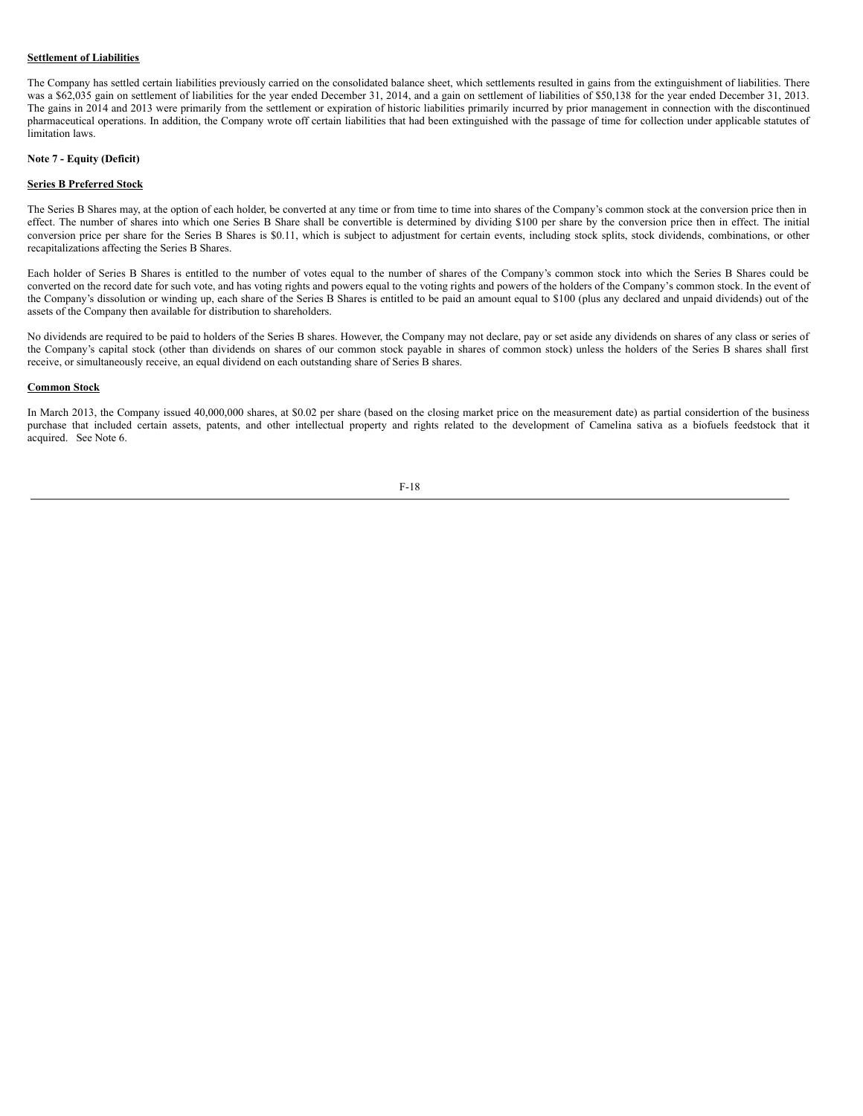### **Settlement of Liabilities**

The Company has settled certain liabilities previously carried on the consolidated balance sheet, which settlements resulted in gains from the extinguishment of liabilities. There was a \$62,035 gain on settlement of liabilities for the year ended December 31, 2014, and a gain on settlement of liabilities of \$50,138 for the year ended December 31, 2013. The gains in 2014 and 2013 were primarily from the settlement or expiration of historic liabilities primarily incurred by prior management in connection with the discontinued pharmaceutical operations. In addition, the Company wrote off certain liabilities that had been extinguished with the passage of time for collection under applicable statutes of limitation laws.

#### **Note 7 - Equity (Deficit)**

#### **Series B Preferred Stock**

The Series B Shares may, at the option of each holder, be converted at any time or from time to time into shares of the Company's common stock at the conversion price then in effect. The number of shares into which one Series B Share shall be convertible is determined by dividing \$100 per share by the conversion price then in effect. The initial conversion price per share for the Series B Shares is \$0.11, which is subject to adjustment for certain events, including stock splits, stock dividends, combinations, or other recapitalizations affecting the Series B Shares.

Each holder of Series B Shares is entitled to the number of votes equal to the number of shares of the Company's common stock into which the Series B Shares could be converted on the record date for such vote, and has voting rights and powers equal to the voting rights and powers of the holders of the Company's common stock. In the event of the Company's dissolution or winding up, each share of the Series B Shares is entitled to be paid an amount equal to \$100 (plus any declared and unpaid dividends) out of the assets of the Company then available for distribution to shareholders.

No dividends are required to be paid to holders of the Series B shares. However, the Company may not declare, pay or set aside any dividends on shares of any class or series of the Company's capital stock (other than dividends on shares of our common stock payable in shares of common stock) unless the holders of the Series B shares shall first receive, or simultaneously receive, an equal dividend on each outstanding share of Series B shares.

#### **Common Stock**

In March 2013, the Company issued 40,000,000 shares, at \$0.02 per share (based on the closing market price on the measurement date) as partial considertion of the business purchase that included certain assets, patents, and other intellectual property and rights related to the development of Camelina sativa as a biofuels feedstock that it acquired. See Note 6.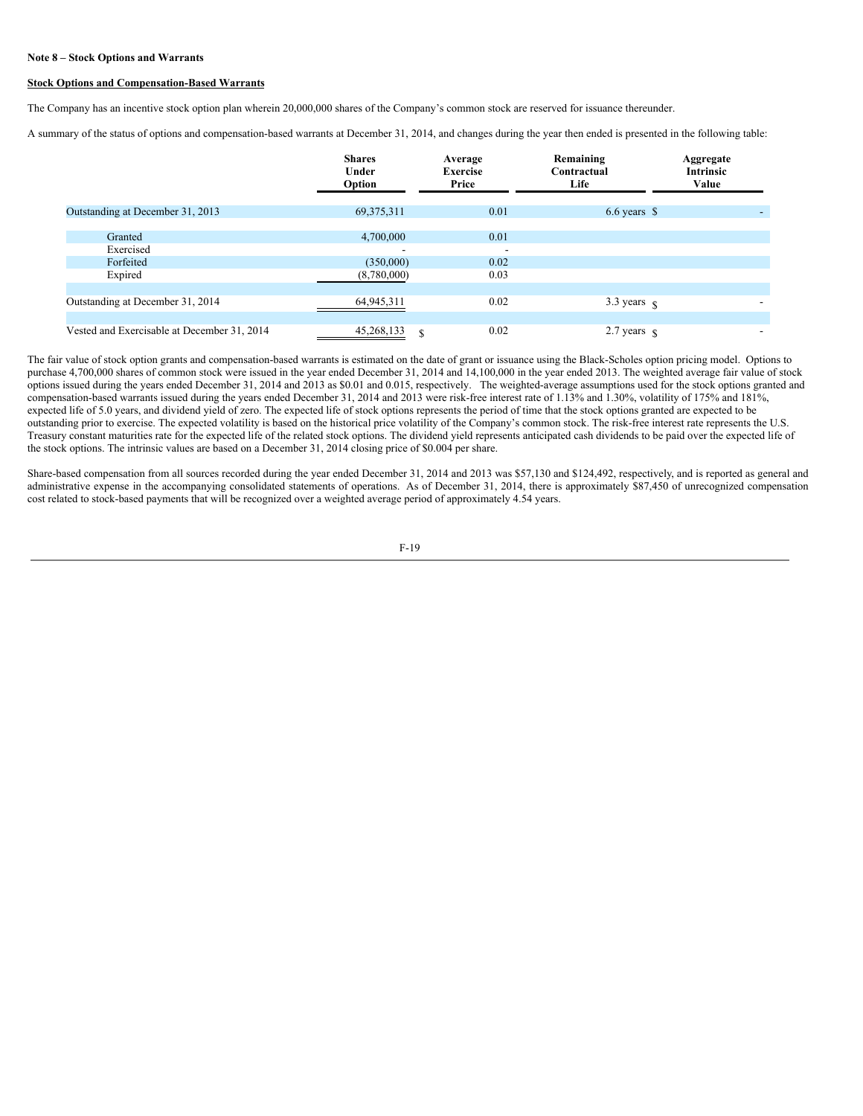#### **Note 8 – Stock Options and Warrants**

### **Stock Options and Compensation-Based Warrants**

The Company has an incentive stock option plan wherein 20,000,000 shares of the Company's common stock are reserved for issuance thereunder.

A summary of the status of options and compensation-based warrants at December 31, 2014, and changes during the year then ended is presented in the following table:

|                                             | <b>Shares</b><br>Under<br>Option | Average<br><b>Exercise</b><br>Price | Remaining<br>Contractual<br>Life | Aggregate<br><b>Intrinsic</b><br>Value |
|---------------------------------------------|----------------------------------|-------------------------------------|----------------------------------|----------------------------------------|
| Outstanding at December 31, 2013            | 69, 375, 311                     | 0.01                                | $6.6$ years $\$\$                |                                        |
| Granted<br>Exercised                        | 4,700,000                        | 0.01<br>$\overline{\phantom{0}}$    |                                  |                                        |
| Forfeited<br>Expired                        | (350,000)<br>(8,780,000)         | 0.02<br>0.03                        |                                  |                                        |
| Outstanding at December 31, 2014            | 64,945,311                       | 0.02                                | 3.3 years $\sqrt{ }$             |                                        |
| Vested and Exercisable at December 31, 2014 | 45,268,133<br>\$.                | 0.02                                | 2.7 years $\frac{1}{3}$          |                                        |

The fair value of stock option grants and compensation-based warrants is estimated on the date of grant or issuance using the Black-Scholes option pricing model. Options to purchase 4,700,000 shares of common stock were issued in the year ended December 31, 2014 and 14,100,000 in the year ended 2013. The weighted average fair value of stock options issued during the years ended December 31, 2014 and 2013 as \$0.01 and 0.015, respectively. The weighted-average assumptions used for the stock options granted and compensation-based warrants issued during the years ended December 31, 2014 and 2013 were risk-free interest rate of 1.13% and 1.30%, volatility of 175% and 181%, expected life of 5.0 years, and dividend yield of zero. The expected life of stock options represents the period of time that the stock options granted are expected to be outstanding prior to exercise. The expected volatility is based on the historical price volatility of the Company's common stock. The risk-free interest rate represents the U.S. Treasury constant maturities rate for the expected life of the related stock options. The dividend yield represents anticipated cash dividends to be paid over the expected life of the stock options. The intrinsic values are based on a December 31, 2014 closing price of \$0.004 per share.

Share-based compensation from all sources recorded during the year ended December 31, 2014 and 2013 was \$57,130 and \$124,492, respectively, and is reported as general and administrative expense in the accompanying consolidated statements of operations. As of December 31, 2014, there is approximately \$87,450 of unrecognized compensation cost related to stock-based payments that will be recognized over a weighted average period of approximately 4.54 years.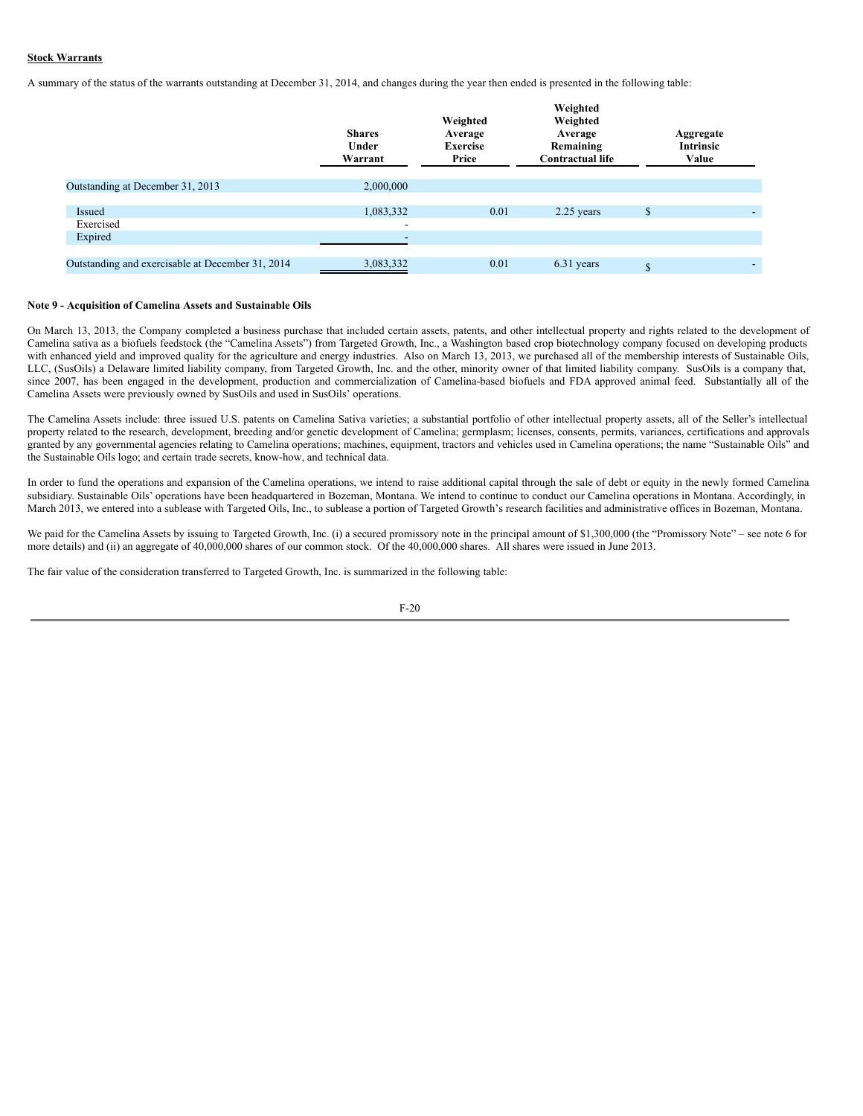### **Stock Warrants**

A summary of the status of the warrants outstanding at December 31, 2014, and changes during the year then ended is presented in the following table:

|                                                  | <b>Shares</b><br>Under<br>Warrant | Weighted<br>Average<br><b>Exercise</b><br>Price | Weighted<br>Weighted<br>Average<br>Remaining<br><b>Contractual life</b> | Aggregate<br><b>Intrinsic</b><br>Value |                          |
|--------------------------------------------------|-----------------------------------|-------------------------------------------------|-------------------------------------------------------------------------|----------------------------------------|--------------------------|
| Outstanding at December 31, 2013                 | 2,000,000                         |                                                 |                                                                         |                                        |                          |
|                                                  |                                   |                                                 |                                                                         |                                        |                          |
| Issued                                           | 1,083,332                         | 0.01                                            | $2.25$ years                                                            | <sup>\$</sup>                          | $\overline{\phantom{a}}$ |
| Exercised                                        | $\overline{\phantom{a}}$          |                                                 |                                                                         |                                        |                          |
| Expired                                          | $\overline{\phantom{a}}$          |                                                 |                                                                         |                                        |                          |
|                                                  |                                   |                                                 |                                                                         |                                        |                          |
| Outstanding and exercisable at December 31, 2014 | 3,083,332                         | 0.01                                            | 6.31 years                                                              | <sup>\$</sup>                          | $\overline{\phantom{a}}$ |
|                                                  |                                   |                                                 |                                                                         |                                        |                          |

#### **Note 9 - Acquisition of Camelina Assets and Sustainable Oils**

On March 13, 2013, the Company completed a business purchase that included certain assets, patents, and other intellectual property and rights related to the development of Camelina sativa as a biofuels feedstock (the "Camelina Assets") from Targeted Growth, Inc., a Washington based crop biotechnology company focused on developing products with enhanced yield and improved quality for the agriculture and energy industries. Also on March 13, 2013, we purchased all of the membership interests of Sustainable Oils, LLC, (SusOils) a Delaware limited liability company, from Targeted Growth, Inc. and the other, minority owner of that limited liability company. SusOils is a company that, since 2007, has been engaged in the development, production and commercialization of Camelina-based biofuels and FDA approved animal feed. Substantially all of the Camelina Assets were previously owned by SusOils and used in SusOils' operations.

The Camelina Assets include: three issued U.S. patents on Camelina Sativa varieties; a substantial portfolio of other intellectual property assets, all of the Seller's intellectual property related to the research, development, breeding and/or genetic development of Camelina; germplasm; licenses, consents, permits, variances, certifications and approvals granted by any governmental agencies relating to Camelina operations; machines, equipment, tractors and vehicles used in Camelina operations; the name "Sustainable Oils" and the Sustainable Oils logo; and certain trade secrets, know-how, and technical data.

In order to fund the operations and expansion of the Camelina operations, we intend to raise additional capital through the sale of debt or equity in the newly formed Camelina subsidiary. Sustainable Oils' operations have been headquartered in Bozeman, Montana. We intend to continue to conduct our Camelina operations in Montana. Accordingly, in March 2013, we entered into a sublease with Targeted Oils, Inc., to sublease a portion of Targeted Growth's research facilities and administrative offices in Bozeman, Montana.

We paid for the Camelina Assets by issuing to Targeted Growth, Inc. (i) a secured promissory note in the principal amount of \$1,300,000 (the "Promissory Note" – see note 6 for more details) and (ii) an aggregate of 40,000,000 shares of our common stock. Of the 40,000,000 shares. All shares were issued in June 2013.

The fair value of the consideration transferred to Targeted Growth, Inc. is summarized in the following table: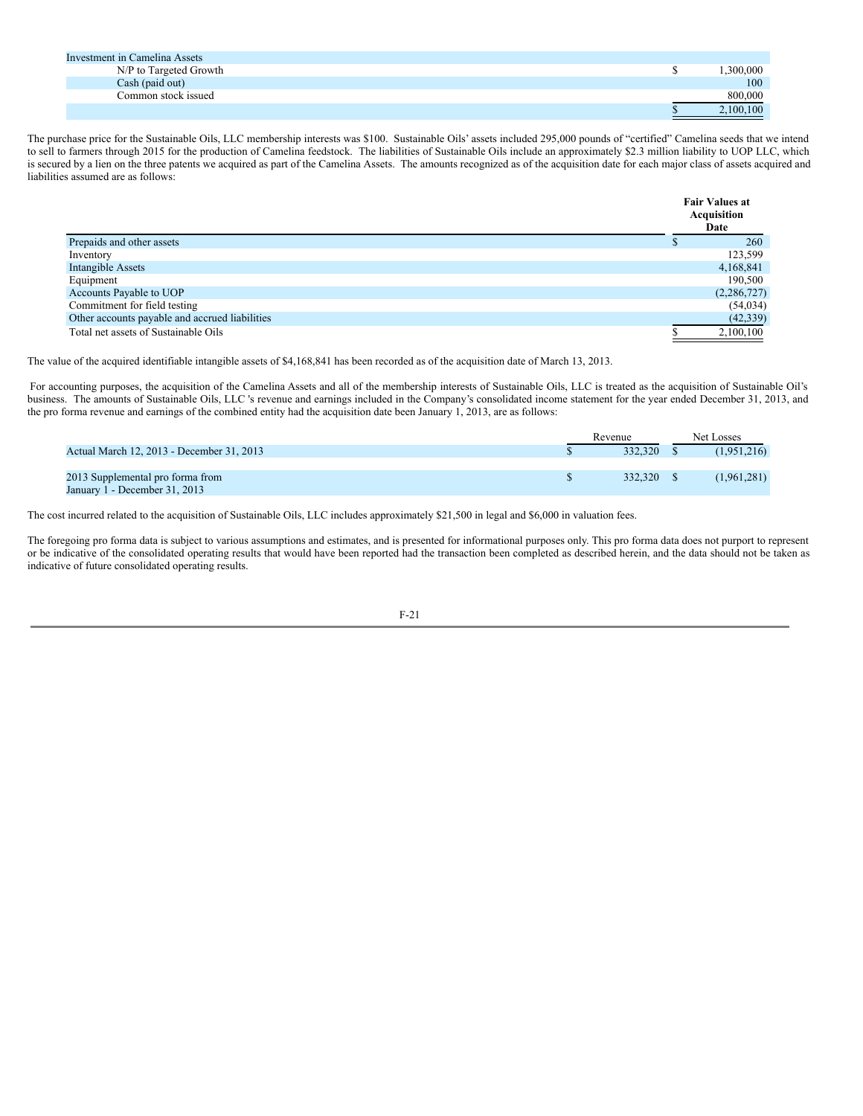| Investment in Camelina Assets |           |
|-------------------------------|-----------|
| N/P to Targeted Growth        | .300,000  |
| Cash (paid out)               | 100       |
| Common stock issued           | 800,000   |
|                               | 2,100,100 |

The purchase price for the Sustainable Oils, LLC membership interests was \$100. Sustainable Oils' assets included 295,000 pounds of "certified" Camelina seeds that we intend to sell to farmers through 2015 for the production of Camelina feedstock. The liabilities of Sustainable Oils include an approximately \$2.3 million liability to UOP LLC, which is secured by a lien on the three patents we acquired as part of the Camelina Assets. The amounts recognized as of the acquisition date for each major class of assets acquired and liabilities assumed are as follows:

|                                                | <b>Fair Values at</b><br>Acquisition<br>Date |
|------------------------------------------------|----------------------------------------------|
| Prepaids and other assets                      | 260                                          |
| Inventory                                      | 123,599                                      |
| Intangible Assets                              | 4,168,841                                    |
| Equipment                                      | 190,500                                      |
| Accounts Payable to UOP                        | (2,286,727)                                  |
| Commitment for field testing                   | (54, 034)                                    |
| Other accounts payable and accrued liabilities | (42, 339)                                    |
| Total net assets of Sustainable Oils           | 2,100,100                                    |

The value of the acquired identifiable intangible assets of \$4,168,841 has been recorded as of the acquisition date of March 13, 2013.

For accounting purposes, the acquisition of the Camelina Assets and all of the membership interests of Sustainable Oils, LLC is treated as the acquisition of Sustainable Oil's business. The amounts of Sustainable Oils, LLC 's revenue and earnings included in the Company's consolidated income statement for the year ended December 31, 2013, and the pro forma revenue and earnings of the combined entity had the acquisition date been January 1, 2013, are as follows:

|                                           | Revenue    | Net Losses  |
|-------------------------------------------|------------|-------------|
| Actual March 12, 2013 - December 31, 2013 | 332.320 \$ | (1,951,216) |
|                                           |            |             |
| 2013 Supplemental pro forma from          | 332.320 \$ | (1,961,281) |
| January 1 - December 31, 2013             |            |             |

The cost incurred related to the acquisition of Sustainable Oils, LLC includes approximately \$21,500 in legal and \$6,000 in valuation fees.

The foregoing pro forma data is subject to various assumptions and estimates, and is presented for informational purposes only. This pro forma data does not purport to represent or be indicative of the consolidated operating results that would have been reported had the transaction been completed as described herein, and the data should not be taken as indicative of future consolidated operating results.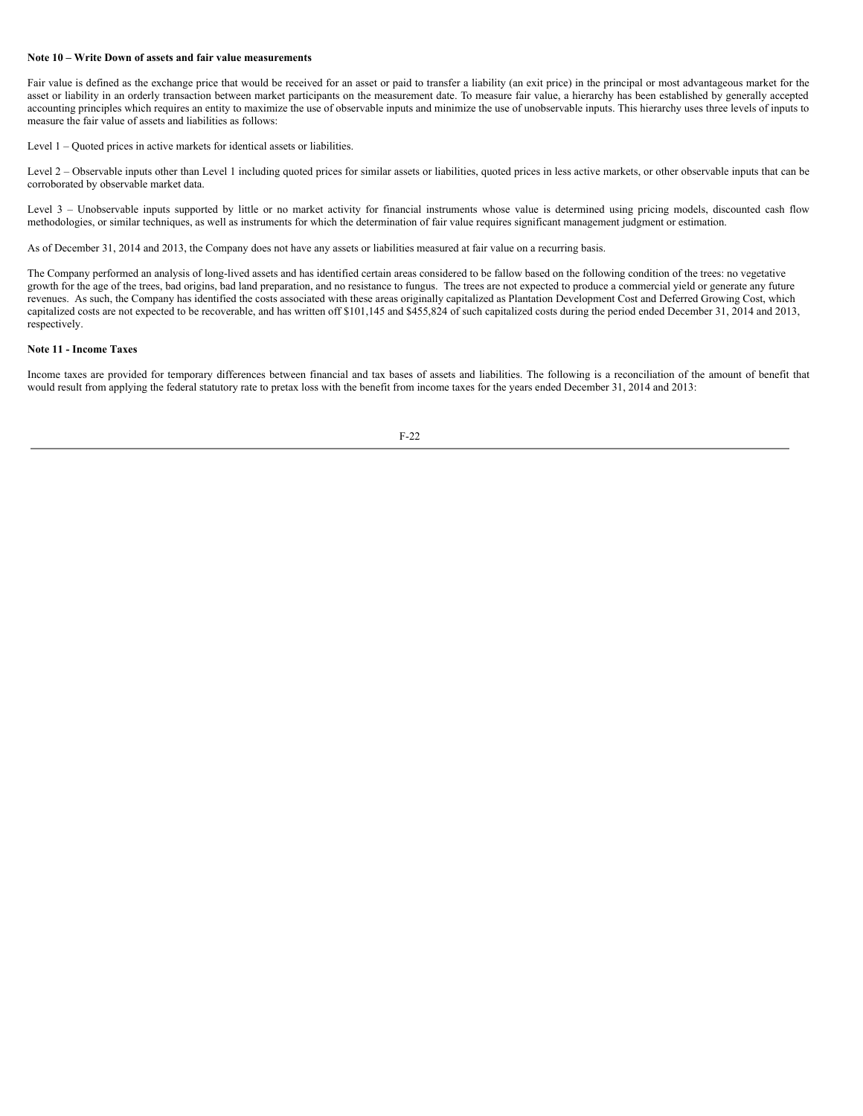#### **Note 10 – Write Down of assets and fair value measurements**

Fair value is defined as the exchange price that would be received for an asset or paid to transfer a liability (an exit price) in the principal or most advantageous market for the asset or liability in an orderly transaction between market participants on the measurement date. To measure fair value, a hierarchy has been established by generally accepted accounting principles which requires an entity to maximize the use of observable inputs and minimize the use of unobservable inputs. This hierarchy uses three levels of inputs to measure the fair value of assets and liabilities as follows:

Level 1 – Quoted prices in active markets for identical assets or liabilities.

Level 2 – Observable inputs other than Level 1 including quoted prices for similar assets or liabilities, quoted prices in less active markets, or other observable inputs that can be corroborated by observable market data.

Level 3 - Unobservable inputs supported by little or no market activity for financial instruments whose value is determined using pricing models, discounted cash flow methodologies, or similar techniques, as well as instruments for which the determination of fair value requires significant management judgment or estimation.

As of December 31, 2014 and 2013, the Company does not have any assets or liabilities measured at fair value on a recurring basis.

The Company performed an analysis of long-lived assets and has identified certain areas considered to be fallow based on the following condition of the trees: no vegetative growth for the age of the trees, bad origins, bad land preparation, and no resistance to fungus. The trees are not expected to produce a commercial yield or generate any future revenues. As such, the Company has identified the costs associated with these areas originally capitalized as Plantation Development Cost and Deferred Growing Cost, which capitalized costs are not expected to be recoverable, and has written off \$101,145 and \$455,824 of such capitalized costs during the period ended December 31, 2014 and 2013, respectively.

#### **Note 11 - Income Taxes**

Income taxes are provided for temporary differences between financial and tax bases of assets and liabilities. The following is a reconciliation of the amount of benefit that would result from applying the federal statutory rate to pretax loss with the benefit from income taxes for the years ended December 31, 2014 and 2013: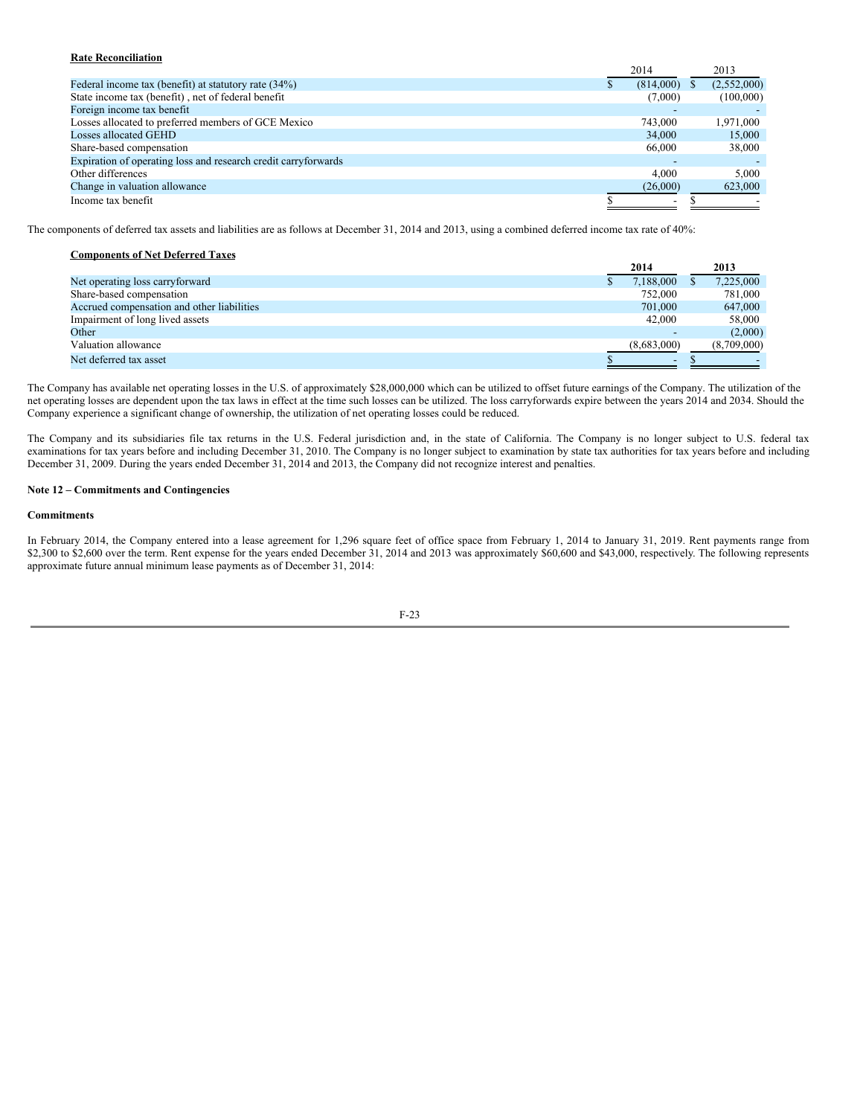# **Rate Reconciliation**

|                                                                | 2014                     | 2013        |
|----------------------------------------------------------------|--------------------------|-------------|
| Federal income tax (benefit) at statutory rate (34%)           | (814,000)                | (2,552,000) |
| State income tax (benefit), net of federal benefit             | (7,000)                  | (100,000)   |
| Foreign income tax benefit                                     |                          |             |
| Losses allocated to preferred members of GCE Mexico            | 743,000                  | 1,971,000   |
| Losses allocated GEHD                                          | 34,000                   | 15,000      |
| Share-based compensation                                       | 66,000                   | 38,000      |
| Expiration of operating loss and research credit carryforwards |                          |             |
| Other differences                                              | 4.000                    | 5.000       |
| Change in valuation allowance                                  | (26,000)                 | 623,000     |
| Income tax benefit                                             | $\overline{\phantom{a}}$ |             |

The components of deferred tax assets and liabilities are as follows at December 31, 2014 and 2013, using a combined deferred income tax rate of 40%:

| <b>Components of Net Deferred Taxes</b>    |             |             |
|--------------------------------------------|-------------|-------------|
|                                            | 2014        | 2013        |
| Net operating loss carryforward            | 7,188,000   | 7,225,000   |
| Share-based compensation                   | 752,000     | 781,000     |
| Accrued compensation and other liabilities | 701,000     | 647,000     |
| Impairment of long lived assets            | 42,000      | 58,000      |
| Other                                      | -           | (2,000)     |
| Valuation allowance                        | (8,683,000) | (8,709,000) |
| Net deferred tax asset                     | ۰           |             |

The Company has available net operating losses in the U.S. of approximately \$28,000,000 which can be utilized to offset future earnings of the Company. The utilization of the net operating losses are dependent upon the tax laws in effect at the time such losses can be utilized. The loss carryforwards expire between the years 2014 and 2034. Should the Company experience a significant change of ownership, the utilization of net operating losses could be reduced.

The Company and its subsidiaries file tax returns in the U.S. Federal jurisdiction and, in the state of California. The Company is no longer subject to U.S. federal tax examinations for tax years before and including December 31, 2010. The Company is no longer subject to examination by state tax authorities for tax years before and including December 31, 2009. During the years ended December 31, 2014 and 2013, the Company did not recognize interest and penalties.

## **Note 12 – Commitments and Contingencies**

### **Commitments**

In February 2014, the Company entered into a lease agreement for 1,296 square feet of office space from February 1, 2014 to January 31, 2019. Rent payments range from \$2,300 to \$2,600 over the term. Rent expense for the years ended December 31, 2014 and 2013 was approximately \$60,600 and \$43,000, respectively. The following represents approximate future annual minimum lease payments as of December 31, 2014:

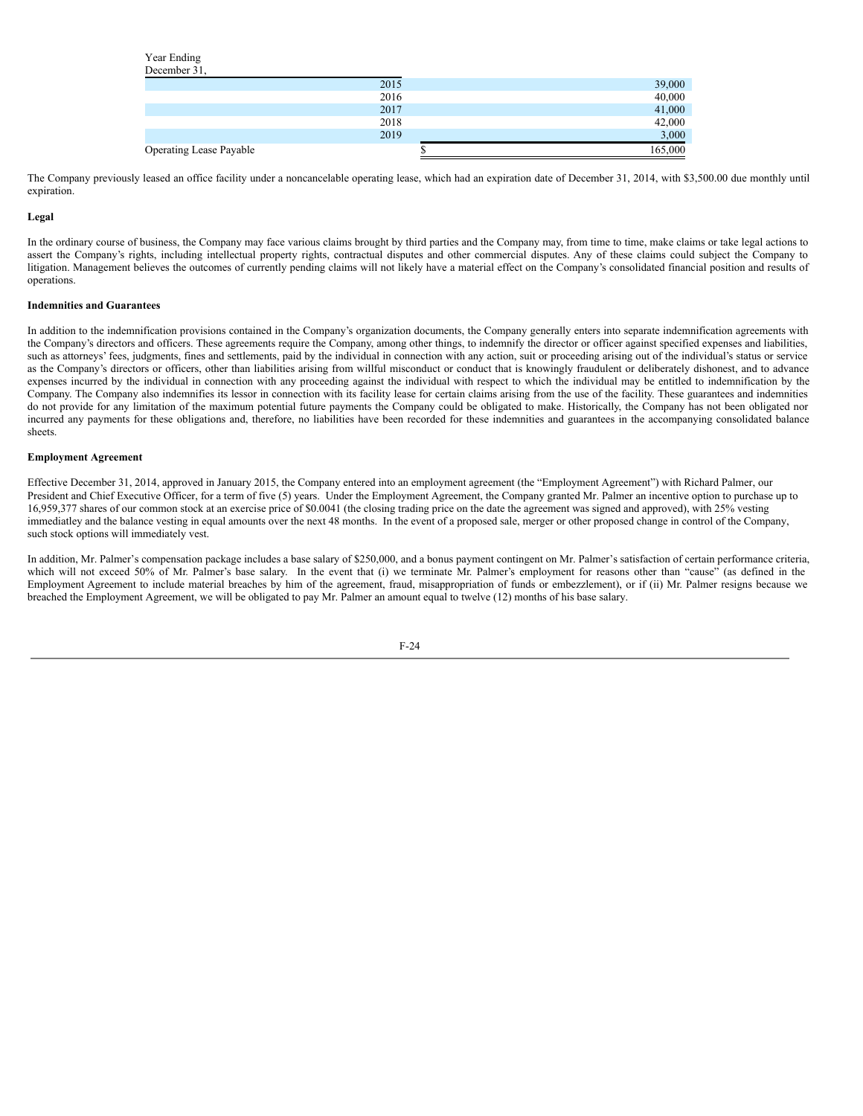Year Ending December 21

| -----------                    |         |
|--------------------------------|---------|
| 2015                           | 39,000  |
| 2016                           | 40,000  |
| 2017                           | 41,000  |
| 2018                           | 42,000  |
| 2019                           | 3,000   |
| <b>Operating Lease Payable</b> | 165,000 |

The Company previously leased an office facility under a noncancelable operating lease, which had an expiration date of December 31, 2014, with \$3,500.00 due monthly until expiration.

# **Legal**

In the ordinary course of business, the Company may face various claims brought by third parties and the Company may, from time to time, make claims or take legal actions to assert the Company's rights, including intellectual property rights, contractual disputes and other commercial disputes. Any of these claims could subject the Company to litigation. Management believes the outcomes of currently pending claims will not likely have a material effect on the Company's consolidated financial position and results of operations.

### **Indemnities and Guarantees**

In addition to the indemnification provisions contained in the Company's organization documents, the Company generally enters into separate indemnification agreements with the Company's directors and officers. These agreements require the Company, among other things, to indemnify the director or officer against specified expenses and liabilities, such as attorneys' fees, judgments, fines and settlements, paid by the individual in connection with any action, suit or proceeding arising out of the individual's status or service as the Company's directors or officers, other than liabilities arising from willful misconduct or conduct that is knowingly fraudulent or deliberately dishonest, and to advance expenses incurred by the individual in connection with any proceeding against the individual with respect to which the individual may be entitled to indemnification by the Company. The Company also indemnifies its lessor in connection with its facility lease for certain claims arising from the use of the facility. These guarantees and indemnities do not provide for any limitation of the maximum potential future payments the Company could be obligated to make. Historically, the Company has not been obligated nor incurred any payments for these obligations and, therefore, no liabilities have been recorded for these indemnities and guarantees in the accompanying consolidated balance sheets.

### **Employment Agreement**

Effective December 31, 2014, approved in January 2015, the Company entered into an employment agreement (the "Employment Agreement") with Richard Palmer, our President and Chief Executive Officer, for a term of five (5) years. Under the Employment Agreement, the Company granted Mr. Palmer an incentive option to purchase up to 16,959,377 shares of our common stock at an exercise price of \$0.0041 (the closing trading price on the date the agreement was signed and approved), with 25% vesting immediatley and the balance vesting in equal amounts over the next 48 months. In the event of a proposed sale, merger or other proposed change in control of the Company, such stock options will immediately vest.

In addition, Mr. Palmer's compensation package includes a base salary of \$250,000, and a bonus payment contingent on Mr. Palmer's satisfaction of certain performance criteria, which will not exceed 50% of Mr. Palmer's base salary. In the event that (i) we terminate Mr. Palmer's employment for reasons other than "cause" (as defined in the Employment Agreement to include material breaches by him of the agreement, fraud, misappropriation of funds or embezzlement), or if (ii) Mr. Palmer resigns because we breached the Employment Agreement, we will be obligated to pay Mr. Palmer an amount equal to twelve (12) months of his base salary.

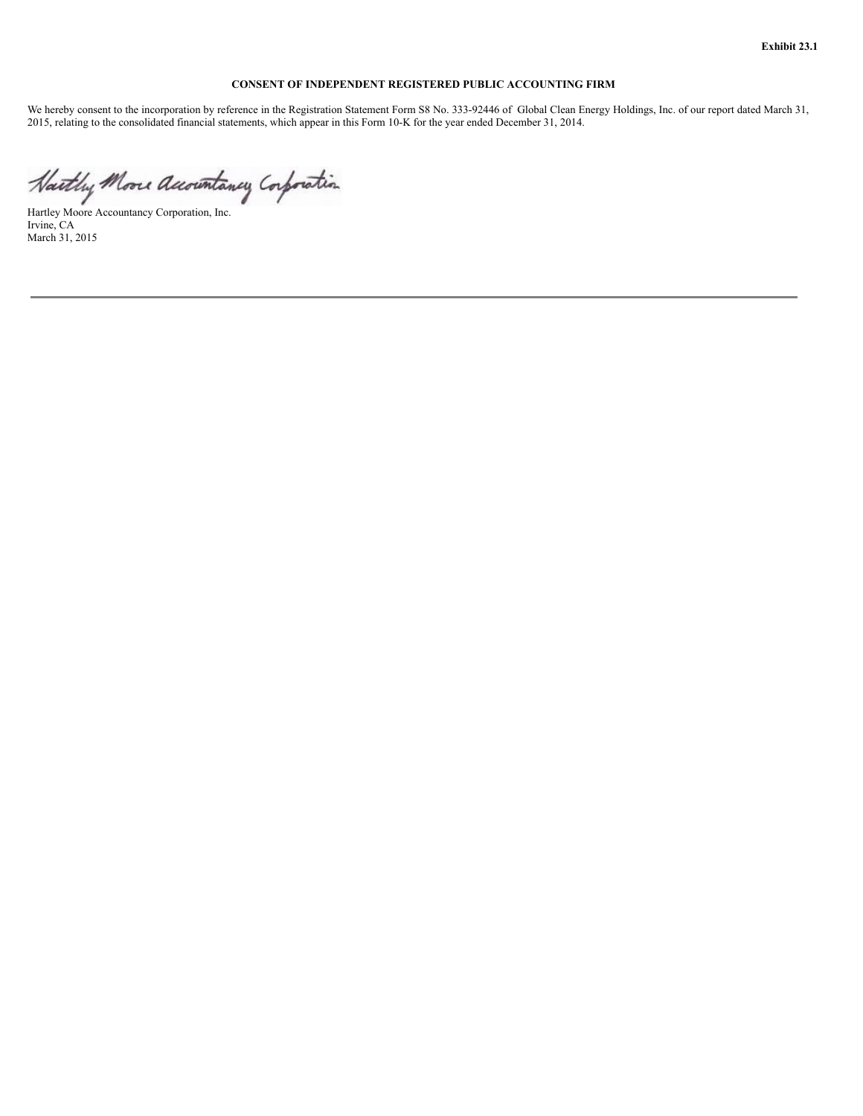**Exhibit 23.1**

# **CONSENT OF INDEPENDENT REGISTERED PUBLIC ACCOUNTING FIRM**

We hereby consent to the incorporation by reference in the Registration Statement Form S8 No. 333-92446 of Global Clean Energy Holdings, Inc. of our report dated March 31, 2015, relating to the consolidated financial statements, which appear in this Form 10-K for the year ended December 31, 2014.

Hartley Moore Accountancy Corporation, Inc. Irvine, CA March 31, 2015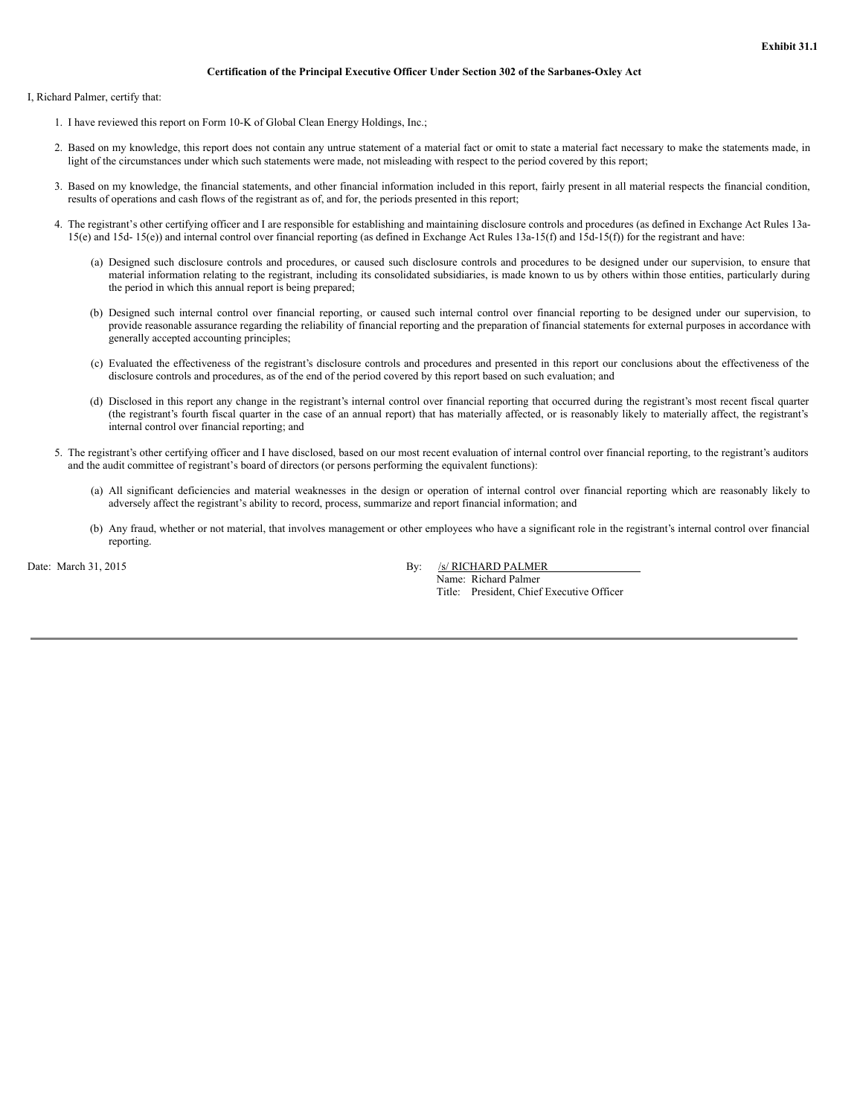#### **Certification of the Principal Executive Officer Under Section 302 of the Sarbanes-Oxley Act**

I, Richard Palmer, certify that:

- 1. I have reviewed this report on Form 10-K of Global Clean Energy Holdings, Inc.;
- 2. Based on my knowledge, this report does not contain any untrue statement of a material fact or omit to state a material fact necessary to make the statements made, in light of the circumstances under which such statements were made, not misleading with respect to the period covered by this report;
- 3. Based on my knowledge, the financial statements, and other financial information included in this report, fairly present in all material respects the financial condition, results of operations and cash flows of the registrant as of, and for, the periods presented in this report;
- 4. The registrant's other certifying officer and I are responsible for establishing and maintaining disclosure controls and procedures (as defined in Exchange Act Rules 13a-15(e) and 15d- 15(e)) and internal control over financial reporting (as defined in Exchange Act Rules 13a-15(f) and 15d-15(f)) for the registrant and have:
	- (a) Designed such disclosure controls and procedures, or caused such disclosure controls and procedures to be designed under our supervision, to ensure that material information relating to the registrant, including its consolidated subsidiaries, is made known to us by others within those entities, particularly during the period in which this annual report is being prepared;
	- (b) Designed such internal control over financial reporting, or caused such internal control over financial reporting to be designed under our supervision, to provide reasonable assurance regarding the reliability of financial reporting and the preparation of financial statements for external purposes in accordance with generally accepted accounting principles;
	- (c) Evaluated the effectiveness of the registrant's disclosure controls and procedures and presented in this report our conclusions about the effectiveness of the disclosure controls and procedures, as of the end of the period covered by this report based on such evaluation; and
	- (d) Disclosed in this report any change in the registrant's internal control over financial reporting that occurred during the registrant's most recent fiscal quarter (the registrant's fourth fiscal quarter in the case of an annual report) that has materially affected, or is reasonably likely to materially affect, the registrant's internal control over financial reporting; and
- 5. The registrant's other certifying officer and I have disclosed, based on our most recent evaluation of internal control over financial reporting, to the registrant's auditors and the audit committee of registrant's board of directors (or persons performing the equivalent functions):
	- (a) All significant deficiencies and material weaknesses in the design or operation of internal control over financial reporting which are reasonably likely to adversely affect the registrant's ability to record, process, summarize and report financial information; and
	- (b) Any fraud, whether or not material, that involves management or other employees who have a significant role in the registrant's internal control over financial reporting.

Date: March 31, 2015 By: /s/ RICHARD PALMER

Name: Richard Palmer Title: President, Chief Executive Officer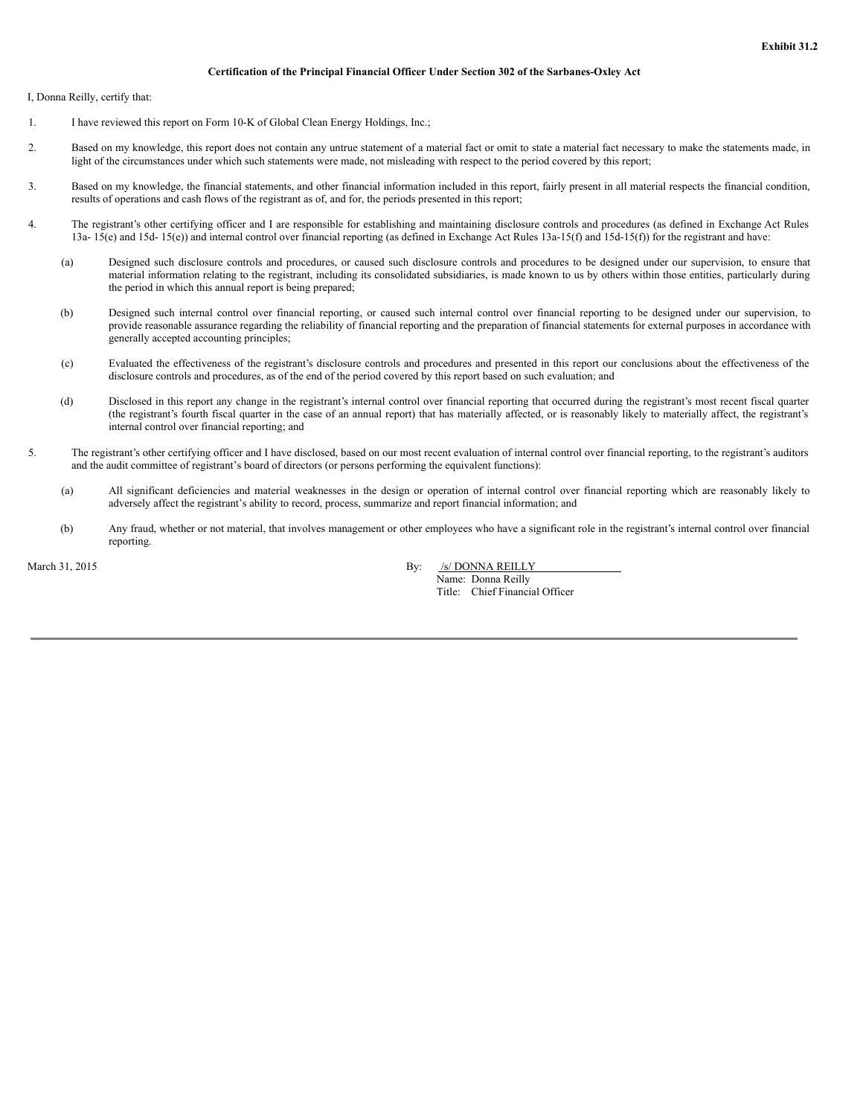#### **Certification of the Principal Financial Officer Under Section 302 of the Sarbanes-Oxley Act**

I, Donna Reilly, certify that:

- 1. I have reviewed this report on Form 10-K of Global Clean Energy Holdings, Inc.;
- 2. Based on my knowledge, this report does not contain any untrue statement of a material fact or omit to state a material fact necessary to make the statements made, in light of the circumstances under which such statements were made, not misleading with respect to the period covered by this report;
- 3. Based on my knowledge, the financial statements, and other financial information included in this report, fairly present in all material respects the financial condition, results of operations and cash flows of the registrant as of, and for, the periods presented in this report;
- 4. The registrant's other certifying officer and I are responsible for establishing and maintaining disclosure controls and procedures (as defined in Exchange Act Rules 13a- 15(e) and 15d- 15(e)) and internal control over financial reporting (as defined in Exchange Act Rules 13a-15(f) and 15d-15(f)) for the registrant and have:
	- (a) Designed such disclosure controls and procedures, or caused such disclosure controls and procedures to be designed under our supervision, to ensure that material information relating to the registrant, including its consolidated subsidiaries, is made known to us by others within those entities, particularly during the period in which this annual report is being prepared;
	- (b) Designed such internal control over financial reporting, or caused such internal control over financial reporting to be designed under our supervision, to provide reasonable assurance regarding the reliability of financial reporting and the preparation of financial statements for external purposes in accordance with generally accepted accounting principles;
	- (c) Evaluated the effectiveness of the registrant's disclosure controls and procedures and presented in this report our conclusions about the effectiveness of the disclosure controls and procedures, as of the end of the period covered by this report based on such evaluation; and
	- (d) Disclosed in this report any change in the registrant's internal control over financial reporting that occurred during the registrant's most recent fiscal quarter (the registrant's fourth fiscal quarter in the case of an annual report) that has materially affected, or is reasonably likely to materially affect, the registrant's internal control over financial reporting; and
- 5. The registrant's other certifying officer and I have disclosed, based on our most recent evaluation of internal control over financial reporting, to the registrant's auditors and the audit committee of registrant's board of directors (or persons performing the equivalent functions):
	- (a) All significant deficiencies and material weaknesses in the design or operation of internal control over financial reporting which are reasonably likely to adversely affect the registrant's ability to record, process, summarize and report financial information; and
	- (b) Any fraud, whether or not material, that involves management or other employees who have a significant role in the registrant's internal control over financial reporting.

March 31, 2015 By: /s/ DONNA REILLY Name: Donna Reilly Title: Chief Financial Officer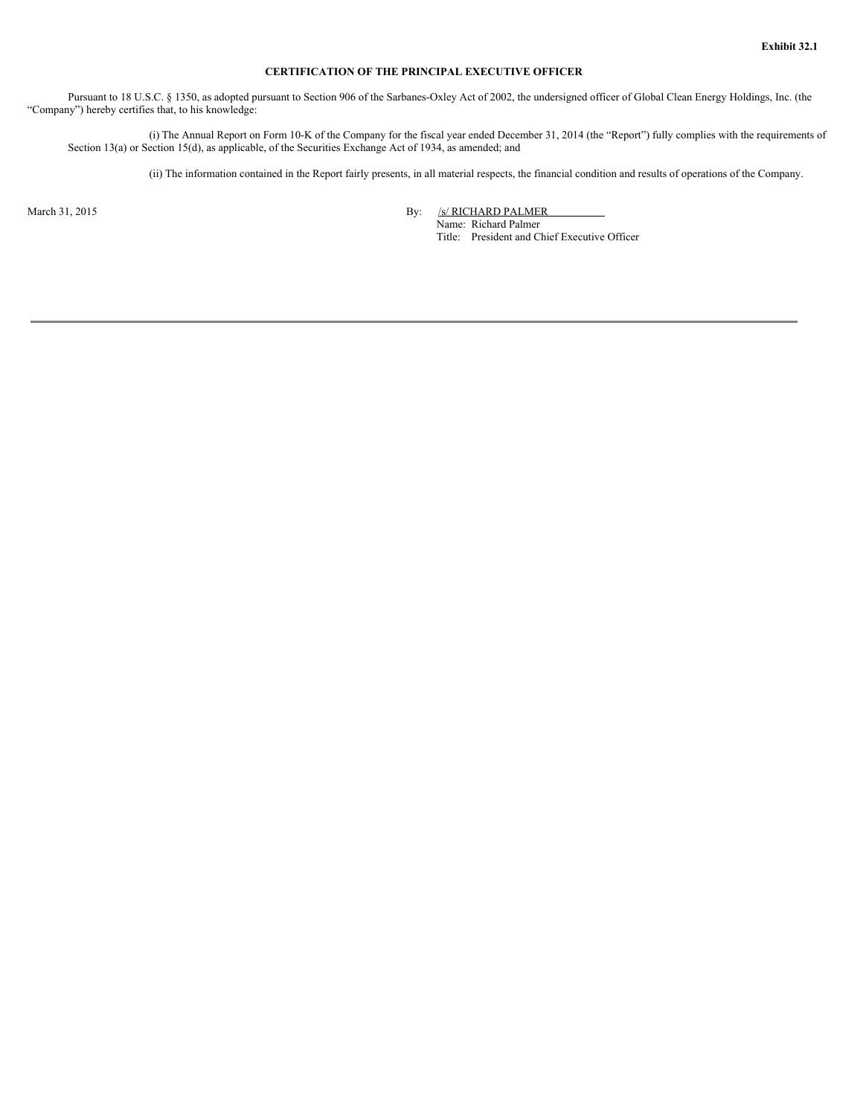# **CERTIFICATION OF THE PRINCIPAL EXECUTIVE OFFICER**

Pursuant to 18 U.S.C. § 1350, as adopted pursuant to Section 906 of the Sarbanes-Oxley Act of 2002, the undersigned officer of Global Clean Energy Holdings, Inc. (the "Company") hereby certifies that, to his knowledge:

(i) The Annual Report on Form 10-K of the Company for the fiscal year ended December 31, 2014 (the "Report") fully complies with the requirements of Section 13(a) or Section 15(d), as applicable, of the Securities Exchange Act of 1934, as amended; and

(ii) The information contained in the Report fairly presents, in all material respects, the financial condition and results of operations of the Company.

March 31, 2015 By: /s/ RICHARD PALMER Name: Richard Palmer Title: President and Chief Executive Officer